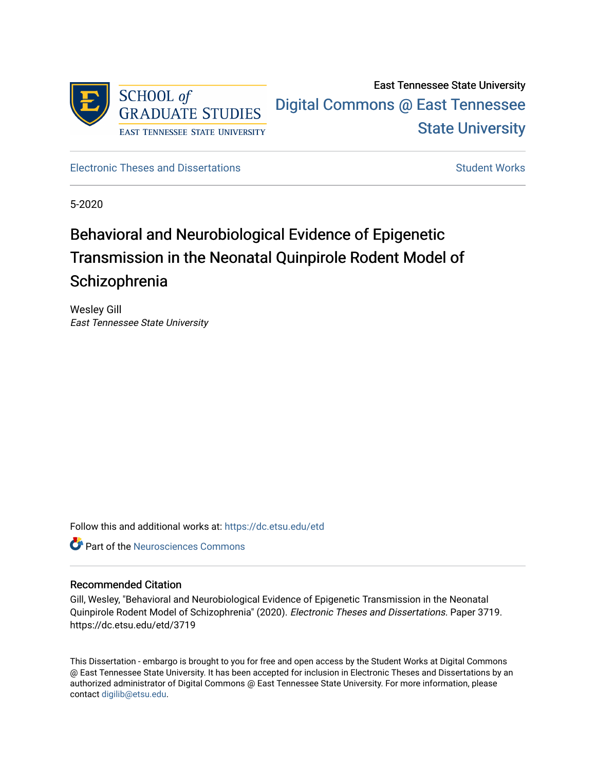

## East Tennessee State University [Digital Commons @ East Tennessee](https://dc.etsu.edu/)  [State University](https://dc.etsu.edu/)

[Electronic Theses and Dissertations](https://dc.etsu.edu/etd) [Student Works](https://dc.etsu.edu/student-works) Student Works

5-2020

# Behavioral and Neurobiological Evidence of Epigenetic Transmission in the Neonatal Quinpirole Rodent Model of **Schizophrenia**

Wesley Gill East Tennessee State University

Follow this and additional works at: [https://dc.etsu.edu/etd](https://dc.etsu.edu/etd?utm_source=dc.etsu.edu%2Fetd%2F3719&utm_medium=PDF&utm_campaign=PDFCoverPages)

**C** Part of the Neurosciences Commons

#### Recommended Citation

Gill, Wesley, "Behavioral and Neurobiological Evidence of Epigenetic Transmission in the Neonatal Quinpirole Rodent Model of Schizophrenia" (2020). Electronic Theses and Dissertations. Paper 3719. https://dc.etsu.edu/etd/3719

This Dissertation - embargo is brought to you for free and open access by the Student Works at Digital Commons @ East Tennessee State University. It has been accepted for inclusion in Electronic Theses and Dissertations by an authorized administrator of Digital Commons @ East Tennessee State University. For more information, please contact [digilib@etsu.edu](mailto:digilib@etsu.edu).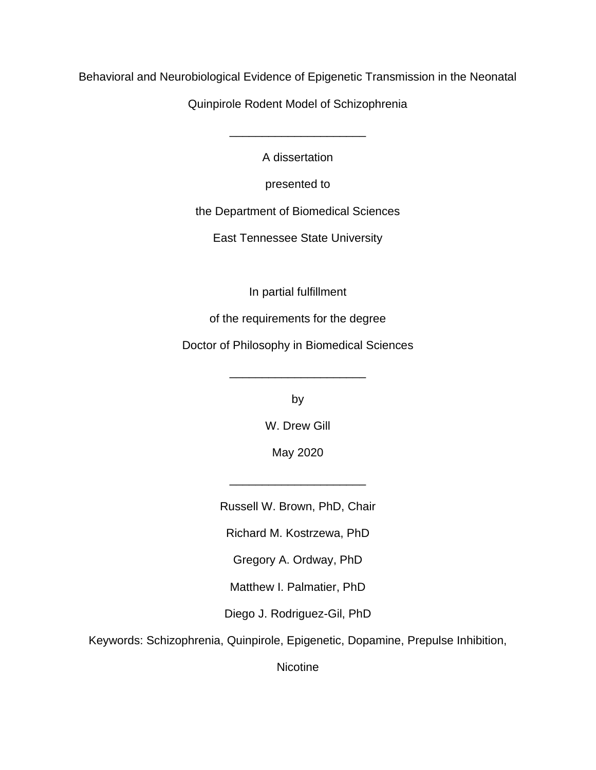Behavioral and Neurobiological Evidence of Epigenetic Transmission in the Neonatal

Quinpirole Rodent Model of Schizophrenia

A dissertation

\_\_\_\_\_\_\_\_\_\_\_\_\_\_\_\_\_\_\_\_\_

presented to

the Department of Biomedical Sciences

East Tennessee State University

In partial fulfillment

of the requirements for the degree

Doctor of Philosophy in Biomedical Sciences

by

\_\_\_\_\_\_\_\_\_\_\_\_\_\_\_\_\_\_\_\_\_

W. Drew Gill

May 2020

Russell W. Brown, PhD, Chair

\_\_\_\_\_\_\_\_\_\_\_\_\_\_\_\_\_\_\_\_\_

Richard M. Kostrzewa, PhD

Gregory A. Ordway, PhD

Matthew I. Palmatier, PhD

Diego J. Rodriguez-Gil, PhD

Keywords: Schizophrenia, Quinpirole, Epigenetic, Dopamine, Prepulse Inhibition,

**Nicotine**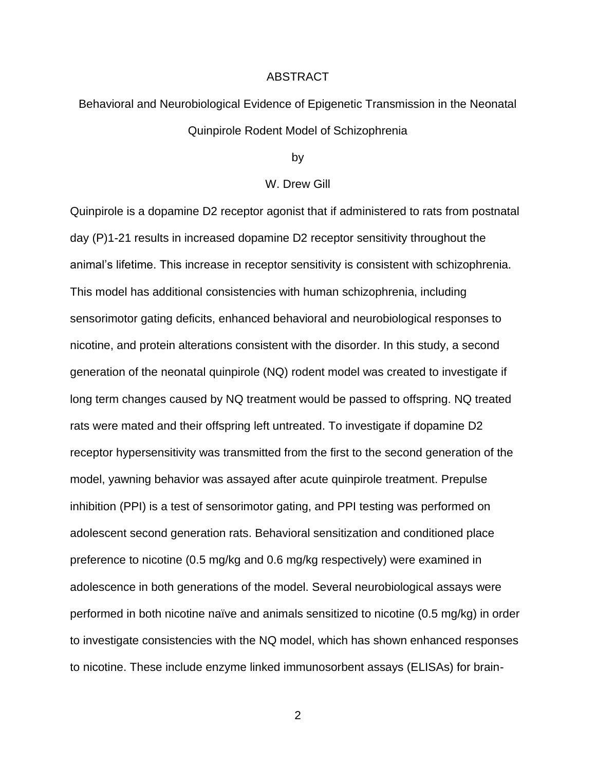#### ABSTRACT

## Behavioral and Neurobiological Evidence of Epigenetic Transmission in the Neonatal Quinpirole Rodent Model of Schizophrenia

by

#### W. Drew Gill

Quinpirole is a dopamine D2 receptor agonist that if administered to rats from postnatal day (P)1-21 results in increased dopamine D2 receptor sensitivity throughout the animal's lifetime. This increase in receptor sensitivity is consistent with schizophrenia. This model has additional consistencies with human schizophrenia, including sensorimotor gating deficits, enhanced behavioral and neurobiological responses to nicotine, and protein alterations consistent with the disorder. In this study, a second generation of the neonatal quinpirole (NQ) rodent model was created to investigate if long term changes caused by NQ treatment would be passed to offspring. NQ treated rats were mated and their offspring left untreated. To investigate if dopamine D2 receptor hypersensitivity was transmitted from the first to the second generation of the model, yawning behavior was assayed after acute quinpirole treatment. Prepulse inhibition (PPI) is a test of sensorimotor gating, and PPI testing was performed on adolescent second generation rats. Behavioral sensitization and conditioned place preference to nicotine (0.5 mg/kg and 0.6 mg/kg respectively) were examined in adolescence in both generations of the model. Several neurobiological assays were performed in both nicotine naïve and animals sensitized to nicotine (0.5 mg/kg) in order to investigate consistencies with the NQ model, which has shown enhanced responses to nicotine. These include enzyme linked immunosorbent assays (ELISAs) for brain-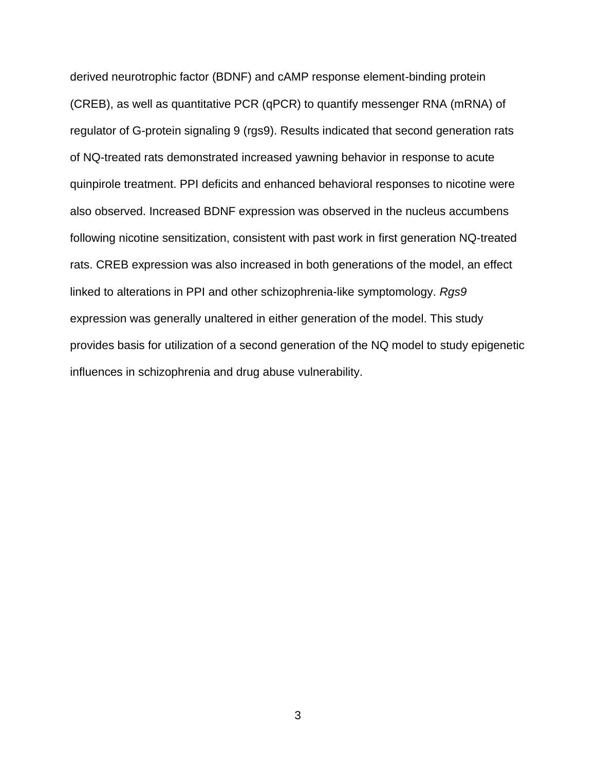derived neurotrophic factor (BDNF) and cAMP response element-binding protein (CREB), as well as quantitative PCR (qPCR) to quantify messenger RNA (mRNA) of regulator of G-protein signaling 9 (rgs9). Results indicated that second generation rats of NQ-treated rats demonstrated increased yawning behavior in response to acute quinpirole treatment. PPI deficits and enhanced behavioral responses to nicotine were also observed. Increased BDNF expression was observed in the nucleus accumbens following nicotine sensitization, consistent with past work in first generation NQ-treated rats. CREB expression was also increased in both generations of the model, an effect linked to alterations in PPI and other schizophrenia-like symptomology. *Rgs9* expression was generally unaltered in either generation of the model. This study provides basis for utilization of a second generation of the NQ model to study epigenetic influences in schizophrenia and drug abuse vulnerability.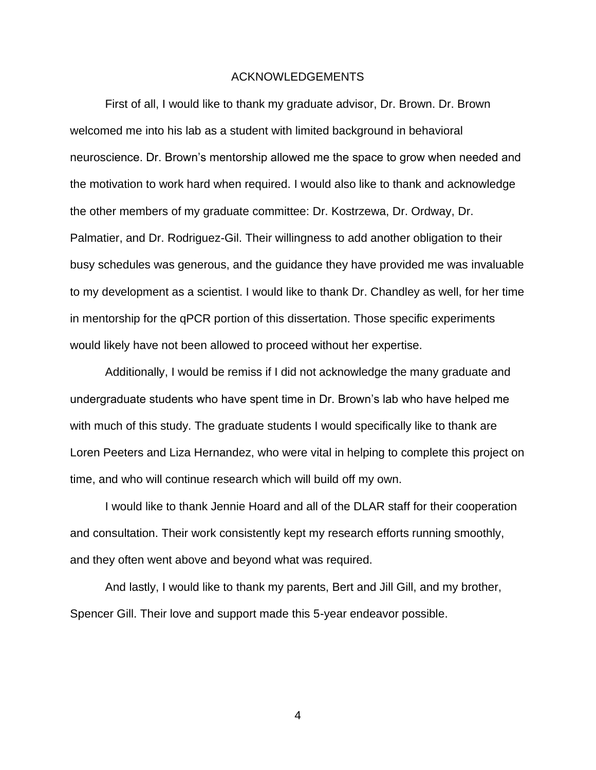#### ACKNOWLEDGEMENTS

First of all, I would like to thank my graduate advisor, Dr. Brown. Dr. Brown welcomed me into his lab as a student with limited background in behavioral neuroscience. Dr. Brown's mentorship allowed me the space to grow when needed and the motivation to work hard when required. I would also like to thank and acknowledge the other members of my graduate committee: Dr. Kostrzewa, Dr. Ordway, Dr. Palmatier, and Dr. Rodriguez-Gil. Their willingness to add another obligation to their busy schedules was generous, and the guidance they have provided me was invaluable to my development as a scientist. I would like to thank Dr. Chandley as well, for her time in mentorship for the qPCR portion of this dissertation. Those specific experiments would likely have not been allowed to proceed without her expertise.

Additionally, I would be remiss if I did not acknowledge the many graduate and undergraduate students who have spent time in Dr. Brown's lab who have helped me with much of this study. The graduate students I would specifically like to thank are Loren Peeters and Liza Hernandez, who were vital in helping to complete this project on time, and who will continue research which will build off my own.

I would like to thank Jennie Hoard and all of the DLAR staff for their cooperation and consultation. Their work consistently kept my research efforts running smoothly, and they often went above and beyond what was required.

And lastly, I would like to thank my parents, Bert and Jill Gill, and my brother, Spencer Gill. Their love and support made this 5-year endeavor possible.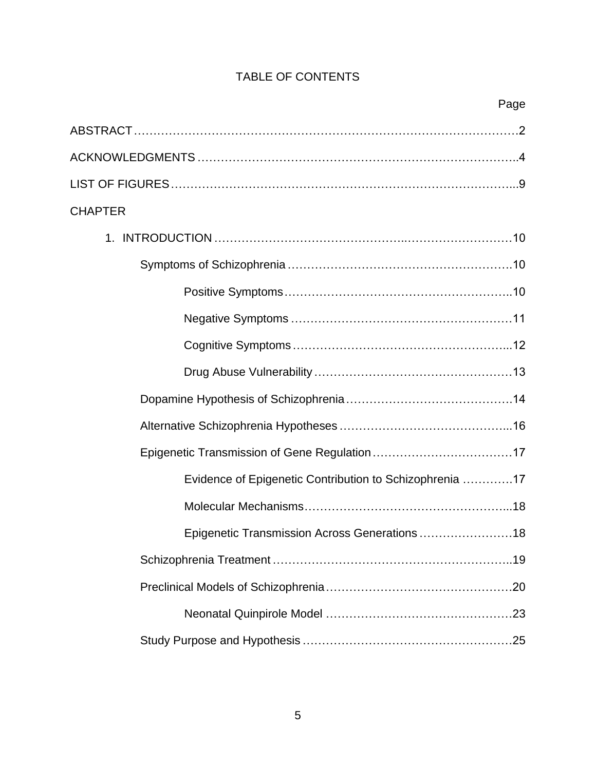### TABLE OF CONTENTS

| <b>CHAPTER</b>                                          |  |  |  |  |  |
|---------------------------------------------------------|--|--|--|--|--|
|                                                         |  |  |  |  |  |
|                                                         |  |  |  |  |  |
|                                                         |  |  |  |  |  |
|                                                         |  |  |  |  |  |
|                                                         |  |  |  |  |  |
|                                                         |  |  |  |  |  |
|                                                         |  |  |  |  |  |
|                                                         |  |  |  |  |  |
|                                                         |  |  |  |  |  |
| Evidence of Epigenetic Contribution to Schizophrenia 17 |  |  |  |  |  |
|                                                         |  |  |  |  |  |
| Epigenetic Transmission Across Generations  18          |  |  |  |  |  |
|                                                         |  |  |  |  |  |
|                                                         |  |  |  |  |  |
|                                                         |  |  |  |  |  |
|                                                         |  |  |  |  |  |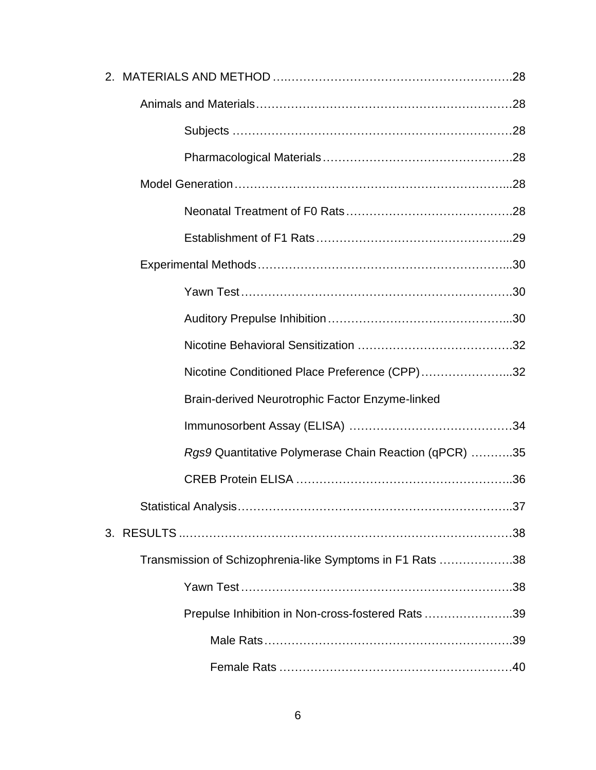| Nicotine Conditioned Place Preference (CPP)32             |  |
|-----------------------------------------------------------|--|
| Brain-derived Neurotrophic Factor Enzyme-linked           |  |
|                                                           |  |
| Rgs9 Quantitative Polymerase Chain Reaction (qPCR) 35     |  |
|                                                           |  |
|                                                           |  |
|                                                           |  |
| Transmission of Schizophrenia-like Symptoms in F1 Rats 38 |  |
|                                                           |  |
| Prepulse Inhibition in Non-cross-fostered Rats39          |  |
|                                                           |  |
|                                                           |  |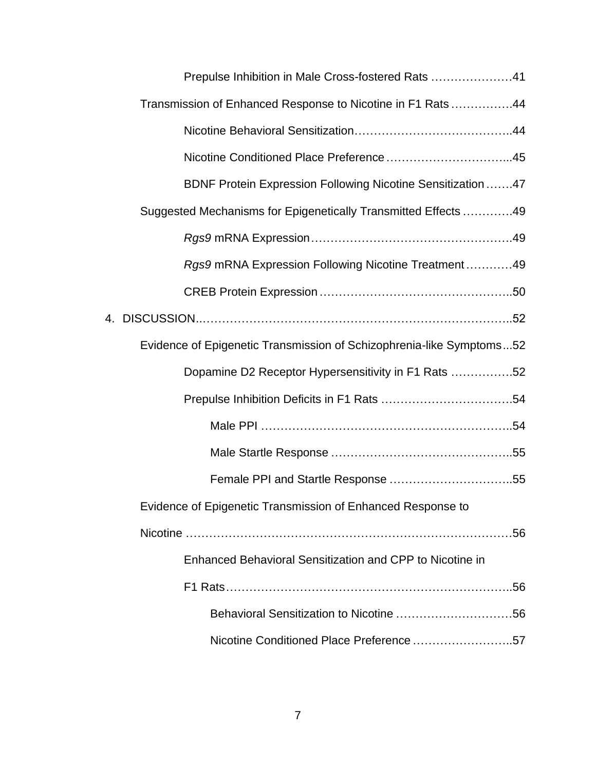| Prepulse Inhibition in Male Cross-fostered Rats 41                   |  |
|----------------------------------------------------------------------|--|
| Transmission of Enhanced Response to Nicotine in F1 Rats 44          |  |
|                                                                      |  |
|                                                                      |  |
| BDNF Protein Expression Following Nicotine Sensitization 47          |  |
| Suggested Mechanisms for Epigenetically Transmitted Effects 49       |  |
|                                                                      |  |
| Rgs9 mRNA Expression Following Nicotine Treatment49                  |  |
|                                                                      |  |
|                                                                      |  |
| Evidence of Epigenetic Transmission of Schizophrenia-like Symptoms52 |  |
| Dopamine D2 Receptor Hypersensitivity in F1 Rats 52                  |  |
|                                                                      |  |
|                                                                      |  |
|                                                                      |  |
|                                                                      |  |
| Evidence of Epigenetic Transmission of Enhanced Response to          |  |
|                                                                      |  |
| Enhanced Behavioral Sensitization and CPP to Nicotine in             |  |
|                                                                      |  |
|                                                                      |  |
| Nicotine Conditioned Place Preference 57                             |  |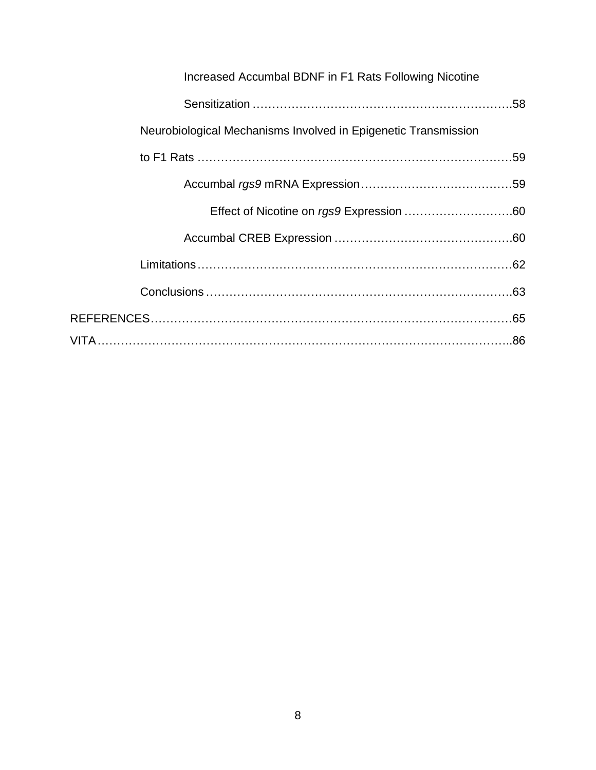| Increased Accumbal BDNF in F1 Rats Following Nicotine          |  |
|----------------------------------------------------------------|--|
|                                                                |  |
| Neurobiological Mechanisms Involved in Epigenetic Transmission |  |
|                                                                |  |
|                                                                |  |
|                                                                |  |
|                                                                |  |
|                                                                |  |
|                                                                |  |
|                                                                |  |
|                                                                |  |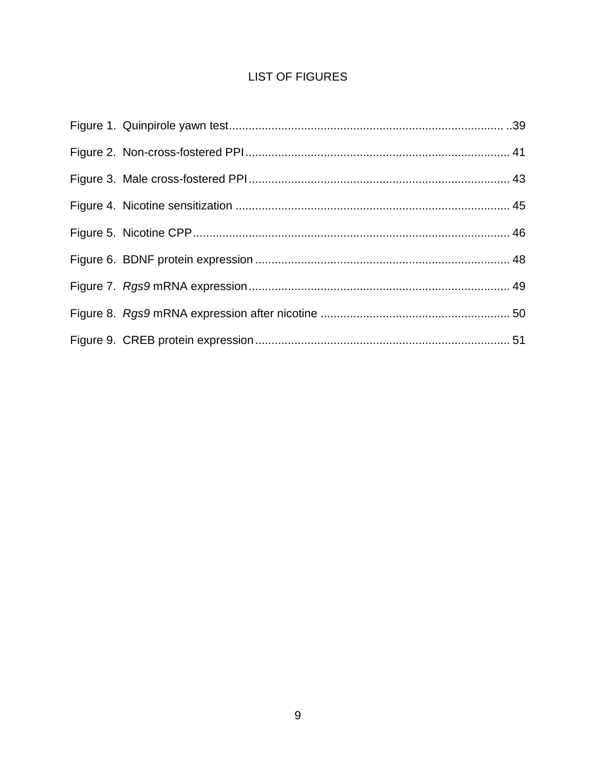### **LIST OF FIGURES**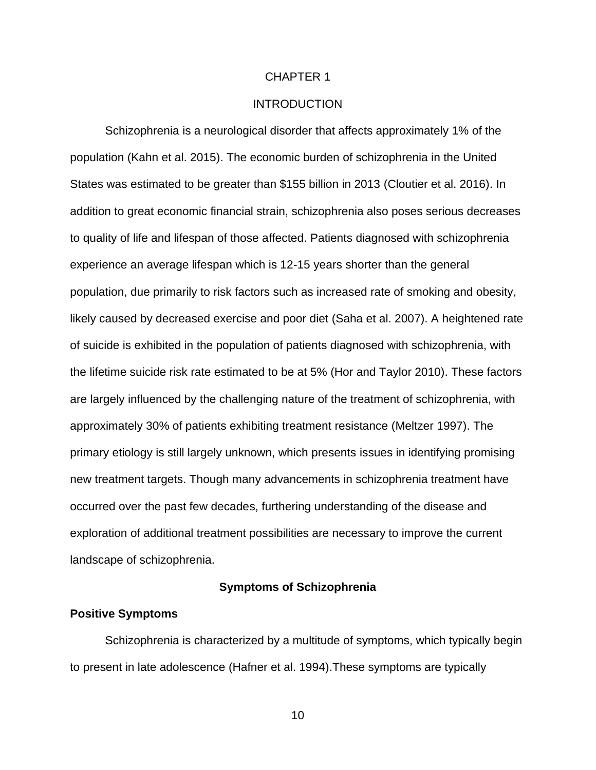#### CHAPTER 1

#### INTRODUCTION

Schizophrenia is a neurological disorder that affects approximately 1% of the population (Kahn et al. 2015). The economic burden of schizophrenia in the United States was estimated to be greater than \$155 billion in 2013 (Cloutier et al. 2016). In addition to great economic financial strain, schizophrenia also poses serious decreases to quality of life and lifespan of those affected. Patients diagnosed with schizophrenia experience an average lifespan which is 12-15 years shorter than the general population, due primarily to risk factors such as increased rate of smoking and obesity, likely caused by decreased exercise and poor diet (Saha et al. 2007). A heightened rate of suicide is exhibited in the population of patients diagnosed with schizophrenia, with the lifetime suicide risk rate estimated to be at 5% (Hor and Taylor 2010). These factors are largely influenced by the challenging nature of the treatment of schizophrenia, with approximately 30% of patients exhibiting treatment resistance (Meltzer 1997). The primary etiology is still largely unknown, which presents issues in identifying promising new treatment targets. Though many advancements in schizophrenia treatment have occurred over the past few decades, furthering understanding of the disease and exploration of additional treatment possibilities are necessary to improve the current landscape of schizophrenia.

#### **Symptoms of Schizophrenia**

#### **Positive Symptoms**

Schizophrenia is characterized by a multitude of symptoms, which typically begin to present in late adolescence (Hafner et al. 1994).These symptoms are typically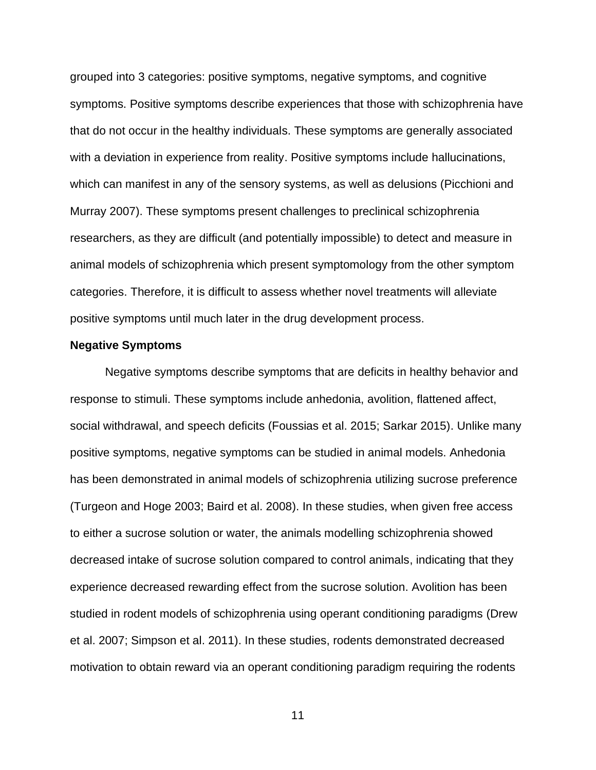grouped into 3 categories: positive symptoms, negative symptoms, and cognitive symptoms. Positive symptoms describe experiences that those with schizophrenia have that do not occur in the healthy individuals. These symptoms are generally associated with a deviation in experience from reality. Positive symptoms include hallucinations, which can manifest in any of the sensory systems, as well as delusions (Picchioni and Murray 2007). These symptoms present challenges to preclinical schizophrenia researchers, as they are difficult (and potentially impossible) to detect and measure in animal models of schizophrenia which present symptomology from the other symptom categories. Therefore, it is difficult to assess whether novel treatments will alleviate positive symptoms until much later in the drug development process.

#### **Negative Symptoms**

Negative symptoms describe symptoms that are deficits in healthy behavior and response to stimuli. These symptoms include anhedonia, avolition, flattened affect, social withdrawal, and speech deficits (Foussias et al. 2015; Sarkar 2015). Unlike many positive symptoms, negative symptoms can be studied in animal models. Anhedonia has been demonstrated in animal models of schizophrenia utilizing sucrose preference (Turgeon and Hoge 2003; Baird et al. 2008). In these studies, when given free access to either a sucrose solution or water, the animals modelling schizophrenia showed decreased intake of sucrose solution compared to control animals, indicating that they experience decreased rewarding effect from the sucrose solution. Avolition has been studied in rodent models of schizophrenia using operant conditioning paradigms (Drew et al. 2007; Simpson et al. 2011). In these studies, rodents demonstrated decreased motivation to obtain reward via an operant conditioning paradigm requiring the rodents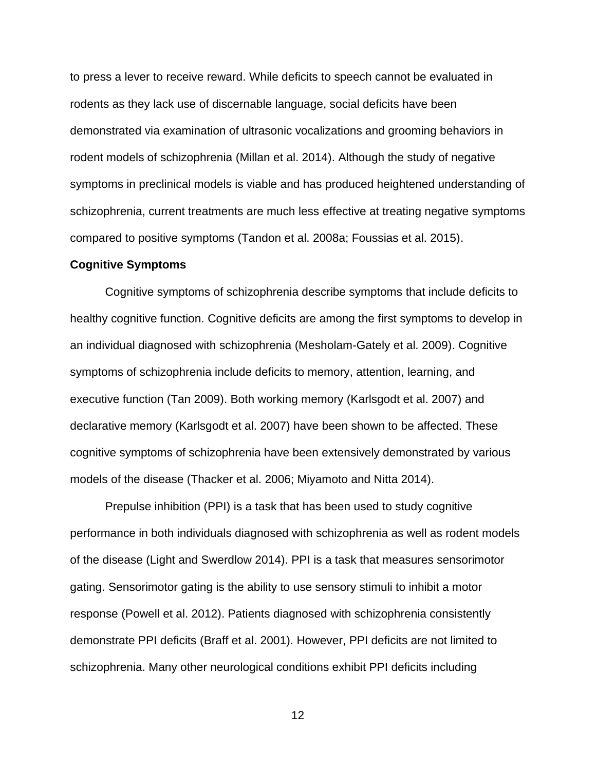to press a lever to receive reward. While deficits to speech cannot be evaluated in rodents as they lack use of discernable language, social deficits have been demonstrated via examination of ultrasonic vocalizations and grooming behaviors in rodent models of schizophrenia (Millan et al. 2014). Although the study of negative symptoms in preclinical models is viable and has produced heightened understanding of schizophrenia, current treatments are much less effective at treating negative symptoms compared to positive symptoms (Tandon et al. 2008a; Foussias et al. 2015).

#### **Cognitive Symptoms**

Cognitive symptoms of schizophrenia describe symptoms that include deficits to healthy cognitive function. Cognitive deficits are among the first symptoms to develop in an individual diagnosed with schizophrenia (Mesholam-Gately et al. 2009). Cognitive symptoms of schizophrenia include deficits to memory, attention, learning, and executive function (Tan 2009). Both working memory (Karlsgodt et al. 2007) and declarative memory (Karlsgodt et al. 2007) have been shown to be affected. These cognitive symptoms of schizophrenia have been extensively demonstrated by various models of the disease (Thacker et al. 2006; Miyamoto and Nitta 2014).

Prepulse inhibition (PPI) is a task that has been used to study cognitive performance in both individuals diagnosed with schizophrenia as well as rodent models of the disease (Light and Swerdlow 2014). PPI is a task that measures sensorimotor gating. Sensorimotor gating is the ability to use sensory stimuli to inhibit a motor response (Powell et al. 2012). Patients diagnosed with schizophrenia consistently demonstrate PPI deficits (Braff et al. 2001). However, PPI deficits are not limited to schizophrenia. Many other neurological conditions exhibit PPI deficits including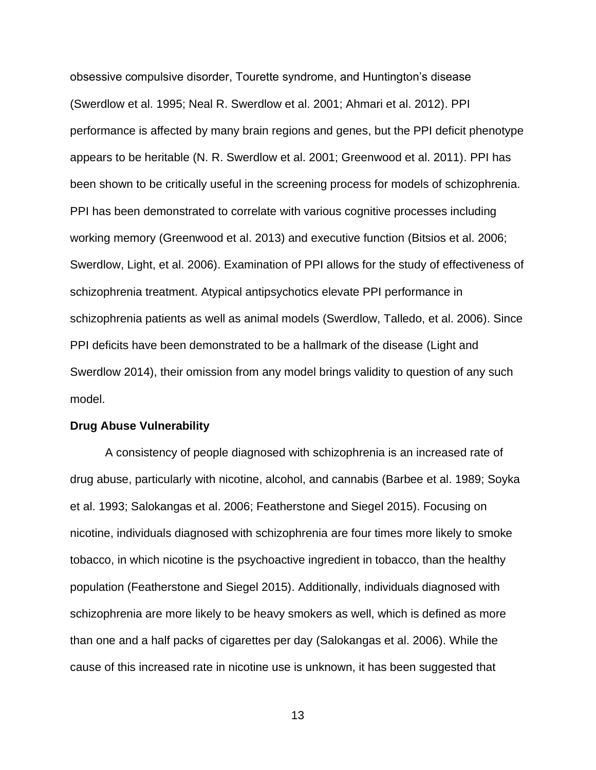obsessive compulsive disorder, Tourette syndrome, and Huntington's disease (Swerdlow et al. 1995; Neal R. Swerdlow et al. 2001; Ahmari et al. 2012). PPI performance is affected by many brain regions and genes, but the PPI deficit phenotype appears to be heritable (N. R. Swerdlow et al. 2001; Greenwood et al. 2011). PPI has been shown to be critically useful in the screening process for models of schizophrenia. PPI has been demonstrated to correlate with various cognitive processes including working memory (Greenwood et al. 2013) and executive function (Bitsios et al. 2006; Swerdlow, Light, et al. 2006). Examination of PPI allows for the study of effectiveness of schizophrenia treatment. Atypical antipsychotics elevate PPI performance in schizophrenia patients as well as animal models (Swerdlow, Talledo, et al. 2006). Since PPI deficits have been demonstrated to be a hallmark of the disease (Light and Swerdlow 2014), their omission from any model brings validity to question of any such model.

#### **Drug Abuse Vulnerability**

A consistency of people diagnosed with schizophrenia is an increased rate of drug abuse, particularly with nicotine, alcohol, and cannabis (Barbee et al. 1989; Soyka et al. 1993; Salokangas et al. 2006; Featherstone and Siegel 2015). Focusing on nicotine, individuals diagnosed with schizophrenia are four times more likely to smoke tobacco, in which nicotine is the psychoactive ingredient in tobacco, than the healthy population (Featherstone and Siegel 2015). Additionally, individuals diagnosed with schizophrenia are more likely to be heavy smokers as well, which is defined as more than one and a half packs of cigarettes per day (Salokangas et al. 2006). While the cause of this increased rate in nicotine use is unknown, it has been suggested that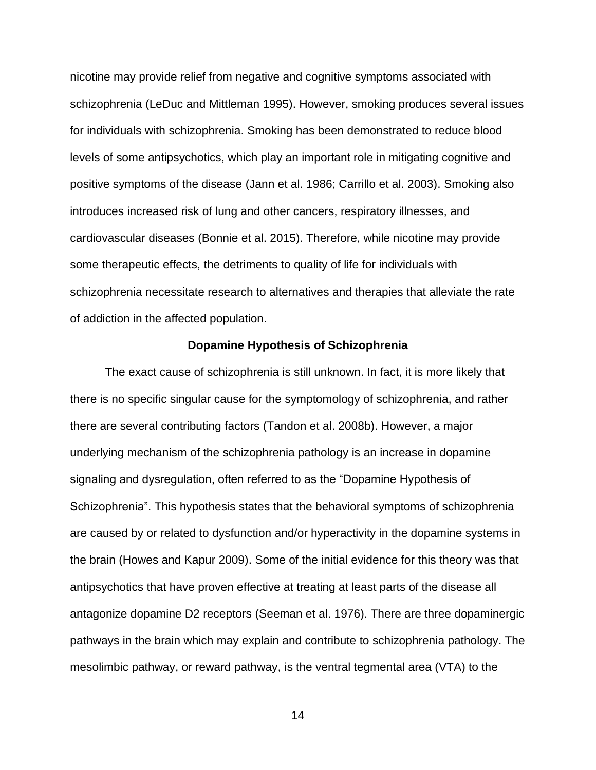nicotine may provide relief from negative and cognitive symptoms associated with schizophrenia (LeDuc and Mittleman 1995). However, smoking produces several issues for individuals with schizophrenia. Smoking has been demonstrated to reduce blood levels of some antipsychotics, which play an important role in mitigating cognitive and positive symptoms of the disease (Jann et al. 1986; Carrillo et al. 2003). Smoking also introduces increased risk of lung and other cancers, respiratory illnesses, and cardiovascular diseases (Bonnie et al. 2015). Therefore, while nicotine may provide some therapeutic effects, the detriments to quality of life for individuals with schizophrenia necessitate research to alternatives and therapies that alleviate the rate of addiction in the affected population.

#### **Dopamine Hypothesis of Schizophrenia**

The exact cause of schizophrenia is still unknown. In fact, it is more likely that there is no specific singular cause for the symptomology of schizophrenia, and rather there are several contributing factors (Tandon et al. 2008b). However, a major underlying mechanism of the schizophrenia pathology is an increase in dopamine signaling and dysregulation, often referred to as the "Dopamine Hypothesis of Schizophrenia". This hypothesis states that the behavioral symptoms of schizophrenia are caused by or related to dysfunction and/or hyperactivity in the dopamine systems in the brain (Howes and Kapur 2009). Some of the initial evidence for this theory was that antipsychotics that have proven effective at treating at least parts of the disease all antagonize dopamine D2 receptors (Seeman et al. 1976). There are three dopaminergic pathways in the brain which may explain and contribute to schizophrenia pathology. The mesolimbic pathway, or reward pathway, is the ventral tegmental area (VTA) to the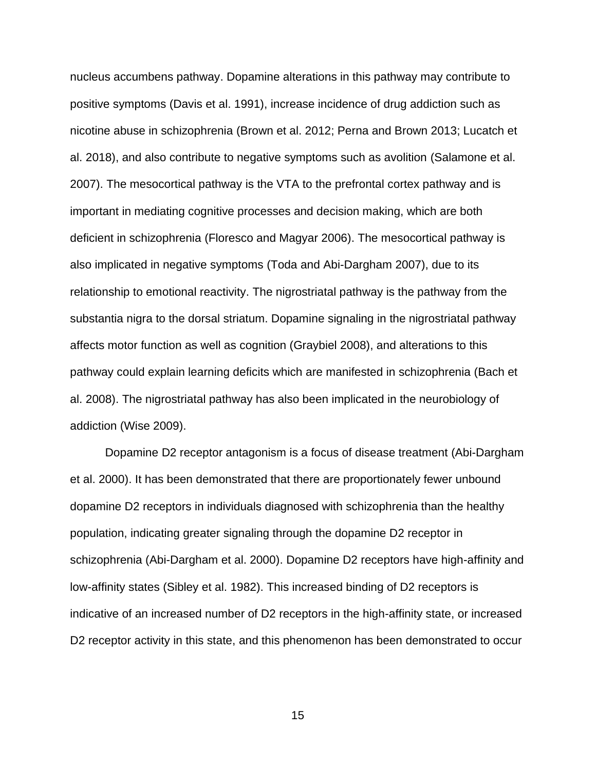nucleus accumbens pathway. Dopamine alterations in this pathway may contribute to positive symptoms (Davis et al. 1991), increase incidence of drug addiction such as nicotine abuse in schizophrenia (Brown et al. 2012; Perna and Brown 2013; Lucatch et al. 2018), and also contribute to negative symptoms such as avolition (Salamone et al. 2007). The mesocortical pathway is the VTA to the prefrontal cortex pathway and is important in mediating cognitive processes and decision making, which are both deficient in schizophrenia (Floresco and Magyar 2006). The mesocortical pathway is also implicated in negative symptoms (Toda and Abi-Dargham 2007), due to its relationship to emotional reactivity. The nigrostriatal pathway is the pathway from the substantia nigra to the dorsal striatum. Dopamine signaling in the nigrostriatal pathway affects motor function as well as cognition (Graybiel 2008), and alterations to this pathway could explain learning deficits which are manifested in schizophrenia (Bach et al. 2008). The nigrostriatal pathway has also been implicated in the neurobiology of addiction (Wise 2009).

Dopamine D2 receptor antagonism is a focus of disease treatment (Abi-Dargham et al. 2000). It has been demonstrated that there are proportionately fewer unbound dopamine D2 receptors in individuals diagnosed with schizophrenia than the healthy population, indicating greater signaling through the dopamine D2 receptor in schizophrenia (Abi-Dargham et al. 2000). Dopamine D2 receptors have high-affinity and low-affinity states (Sibley et al. 1982). This increased binding of D2 receptors is indicative of an increased number of D2 receptors in the high-affinity state, or increased D2 receptor activity in this state, and this phenomenon has been demonstrated to occur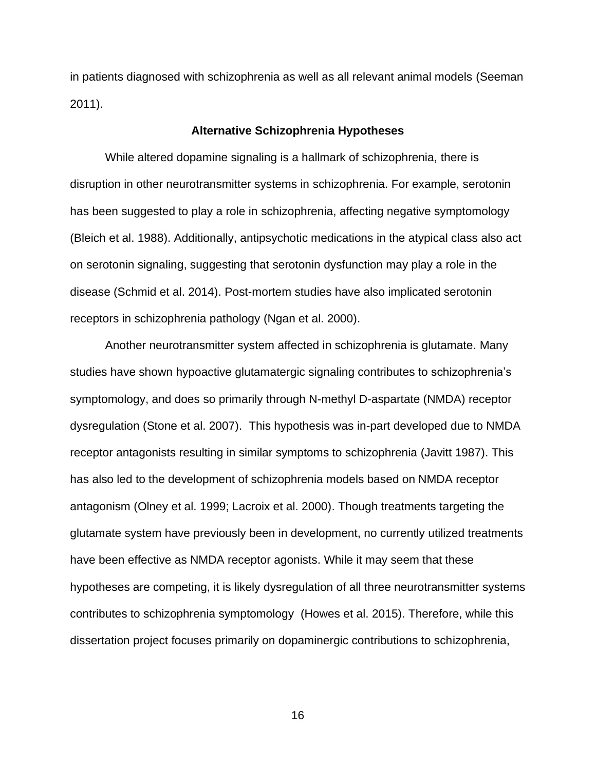in patients diagnosed with schizophrenia as well as all relevant animal models (Seeman 2011).

#### **Alternative Schizophrenia Hypotheses**

While altered dopamine signaling is a hallmark of schizophrenia, there is disruption in other neurotransmitter systems in schizophrenia. For example, serotonin has been suggested to play a role in schizophrenia, affecting negative symptomology (Bleich et al. 1988). Additionally, antipsychotic medications in the atypical class also act on serotonin signaling, suggesting that serotonin dysfunction may play a role in the disease (Schmid et al. 2014). Post-mortem studies have also implicated serotonin receptors in schizophrenia pathology (Ngan et al. 2000).

Another neurotransmitter system affected in schizophrenia is glutamate. Many studies have shown hypoactive glutamatergic signaling contributes to schizophrenia's symptomology, and does so primarily through N-methyl D-aspartate (NMDA) receptor dysregulation (Stone et al. 2007). This hypothesis was in-part developed due to NMDA receptor antagonists resulting in similar symptoms to schizophrenia (Javitt 1987). This has also led to the development of schizophrenia models based on NMDA receptor antagonism (Olney et al. 1999; Lacroix et al. 2000). Though treatments targeting the glutamate system have previously been in development, no currently utilized treatments have been effective as NMDA receptor agonists. While it may seem that these hypotheses are competing, it is likely dysregulation of all three neurotransmitter systems contributes to schizophrenia symptomology (Howes et al. 2015). Therefore, while this dissertation project focuses primarily on dopaminergic contributions to schizophrenia,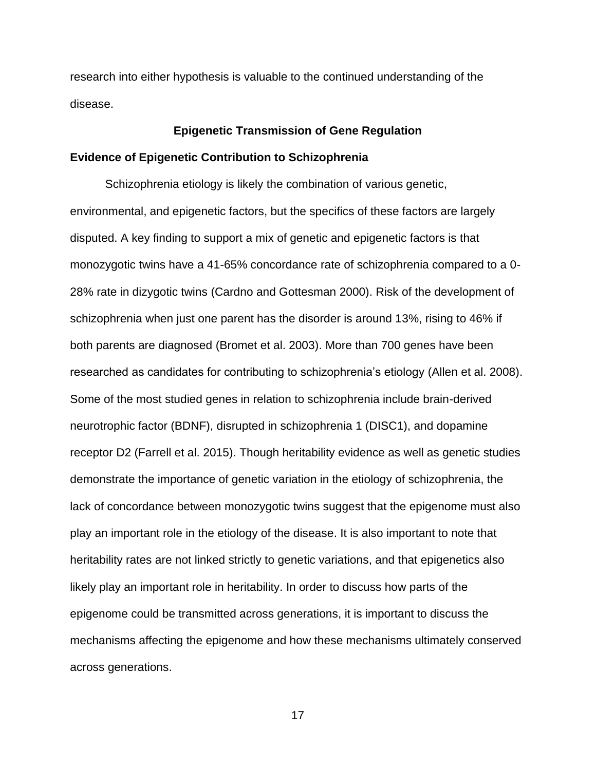research into either hypothesis is valuable to the continued understanding of the disease.

#### **Epigenetic Transmission of Gene Regulation**

#### **Evidence of Epigenetic Contribution to Schizophrenia**

Schizophrenia etiology is likely the combination of various genetic, environmental, and epigenetic factors, but the specifics of these factors are largely disputed. A key finding to support a mix of genetic and epigenetic factors is that monozygotic twins have a 41-65% concordance rate of schizophrenia compared to a 0- 28% rate in dizygotic twins (Cardno and Gottesman 2000). Risk of the development of schizophrenia when just one parent has the disorder is around 13%, rising to 46% if both parents are diagnosed (Bromet et al. 2003). More than 700 genes have been researched as candidates for contributing to schizophrenia's etiology (Allen et al. 2008). Some of the most studied genes in relation to schizophrenia include brain-derived neurotrophic factor (BDNF), disrupted in schizophrenia 1 (DISC1), and dopamine receptor D2 (Farrell et al. 2015). Though heritability evidence as well as genetic studies demonstrate the importance of genetic variation in the etiology of schizophrenia, the lack of concordance between monozygotic twins suggest that the epigenome must also play an important role in the etiology of the disease. It is also important to note that heritability rates are not linked strictly to genetic variations, and that epigenetics also likely play an important role in heritability. In order to discuss how parts of the epigenome could be transmitted across generations, it is important to discuss the mechanisms affecting the epigenome and how these mechanisms ultimately conserved across generations.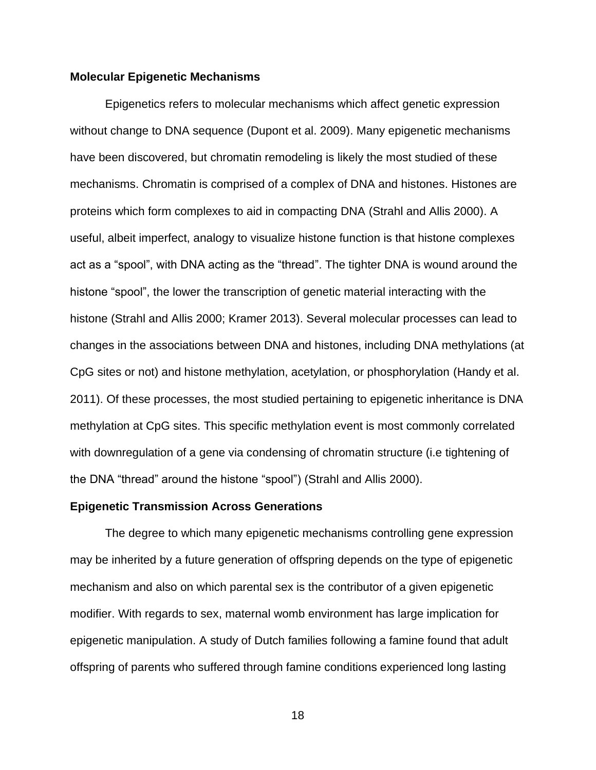#### **Molecular Epigenetic Mechanisms**

Epigenetics refers to molecular mechanisms which affect genetic expression without change to DNA sequence (Dupont et al. 2009). Many epigenetic mechanisms have been discovered, but chromatin remodeling is likely the most studied of these mechanisms. Chromatin is comprised of a complex of DNA and histones. Histones are proteins which form complexes to aid in compacting DNA (Strahl and Allis 2000). A useful, albeit imperfect, analogy to visualize histone function is that histone complexes act as a "spool", with DNA acting as the "thread". The tighter DNA is wound around the histone "spool", the lower the transcription of genetic material interacting with the histone (Strahl and Allis 2000; Kramer 2013). Several molecular processes can lead to changes in the associations between DNA and histones, including DNA methylations (at CpG sites or not) and histone methylation, acetylation, or phosphorylation (Handy et al. 2011). Of these processes, the most studied pertaining to epigenetic inheritance is DNA methylation at CpG sites. This specific methylation event is most commonly correlated with downregulation of a gene via condensing of chromatin structure (i.e tightening of the DNA "thread" around the histone "spool") (Strahl and Allis 2000).

#### **Epigenetic Transmission Across Generations**

The degree to which many epigenetic mechanisms controlling gene expression may be inherited by a future generation of offspring depends on the type of epigenetic mechanism and also on which parental sex is the contributor of a given epigenetic modifier. With regards to sex, maternal womb environment has large implication for epigenetic manipulation. A study of Dutch families following a famine found that adult offspring of parents who suffered through famine conditions experienced long lasting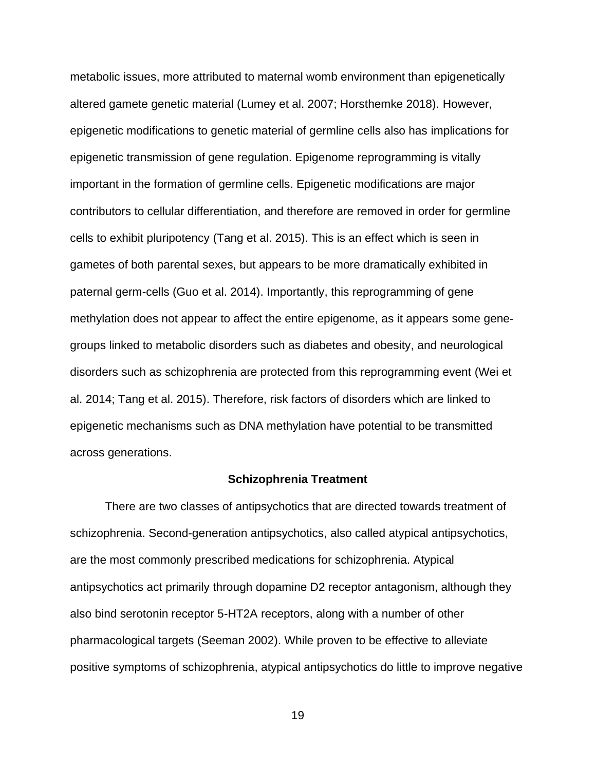metabolic issues, more attributed to maternal womb environment than epigenetically altered gamete genetic material (Lumey et al. 2007; Horsthemke 2018). However, epigenetic modifications to genetic material of germline cells also has implications for epigenetic transmission of gene regulation. Epigenome reprogramming is vitally important in the formation of germline cells. Epigenetic modifications are major contributors to cellular differentiation, and therefore are removed in order for germline cells to exhibit pluripotency (Tang et al. 2015). This is an effect which is seen in gametes of both parental sexes, but appears to be more dramatically exhibited in paternal germ-cells (Guo et al. 2014). Importantly, this reprogramming of gene methylation does not appear to affect the entire epigenome, as it appears some genegroups linked to metabolic disorders such as diabetes and obesity, and neurological disorders such as schizophrenia are protected from this reprogramming event (Wei et al. 2014; Tang et al. 2015). Therefore, risk factors of disorders which are linked to epigenetic mechanisms such as DNA methylation have potential to be transmitted across generations.

#### **Schizophrenia Treatment**

There are two classes of antipsychotics that are directed towards treatment of schizophrenia. Second-generation antipsychotics, also called atypical antipsychotics, are the most commonly prescribed medications for schizophrenia. Atypical antipsychotics act primarily through dopamine D2 receptor antagonism, although they also bind serotonin receptor 5-HT2A receptors, along with a number of other pharmacological targets (Seeman 2002). While proven to be effective to alleviate positive symptoms of schizophrenia, atypical antipsychotics do little to improve negative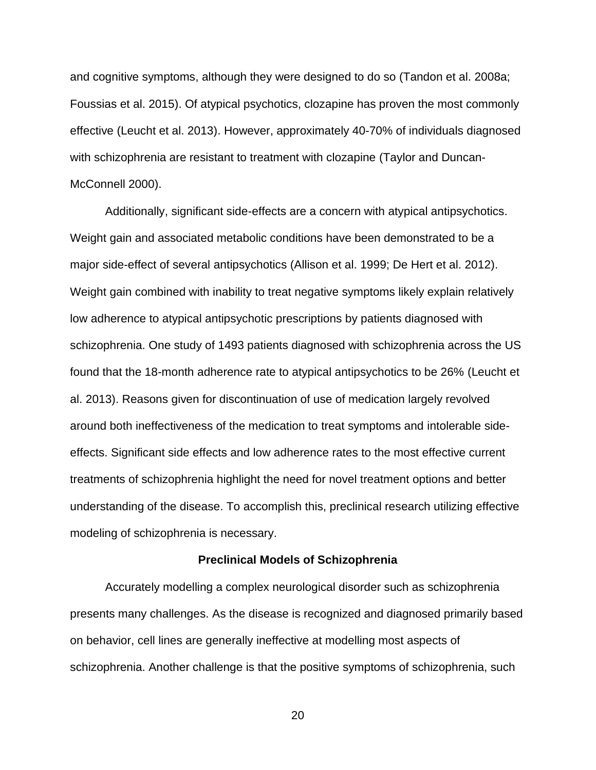and cognitive symptoms, although they were designed to do so (Tandon et al. 2008a; Foussias et al. 2015). Of atypical psychotics, clozapine has proven the most commonly effective (Leucht et al. 2013). However, approximately 40-70% of individuals diagnosed with schizophrenia are resistant to treatment with clozapine (Taylor and Duncan-McConnell 2000).

Additionally, significant side-effects are a concern with atypical antipsychotics. Weight gain and associated metabolic conditions have been demonstrated to be a major side-effect of several antipsychotics (Allison et al. 1999; De Hert et al. 2012). Weight gain combined with inability to treat negative symptoms likely explain relatively low adherence to atypical antipsychotic prescriptions by patients diagnosed with schizophrenia. One study of 1493 patients diagnosed with schizophrenia across the US found that the 18-month adherence rate to atypical antipsychotics to be 26% (Leucht et al. 2013). Reasons given for discontinuation of use of medication largely revolved around both ineffectiveness of the medication to treat symptoms and intolerable sideeffects. Significant side effects and low adherence rates to the most effective current treatments of schizophrenia highlight the need for novel treatment options and better understanding of the disease. To accomplish this, preclinical research utilizing effective modeling of schizophrenia is necessary.

#### **Preclinical Models of Schizophrenia**

Accurately modelling a complex neurological disorder such as schizophrenia presents many challenges. As the disease is recognized and diagnosed primarily based on behavior, cell lines are generally ineffective at modelling most aspects of schizophrenia. Another challenge is that the positive symptoms of schizophrenia, such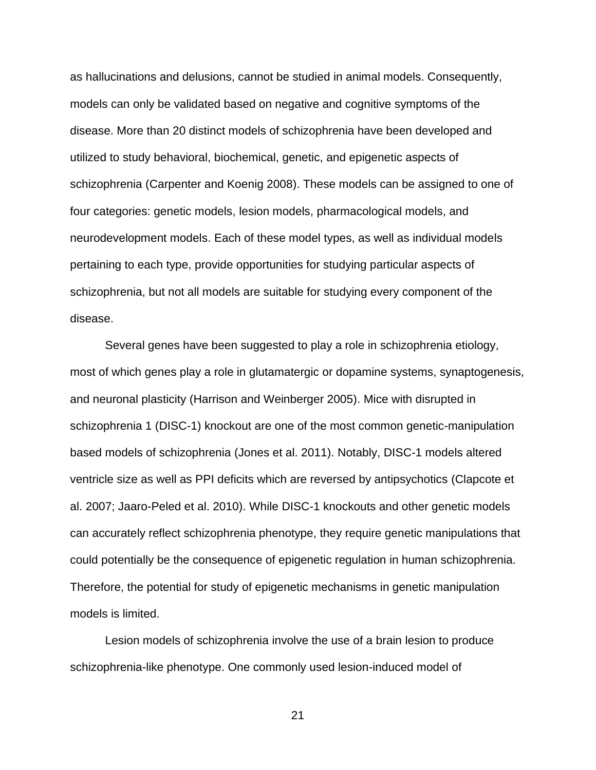as hallucinations and delusions, cannot be studied in animal models. Consequently, models can only be validated based on negative and cognitive symptoms of the disease. More than 20 distinct models of schizophrenia have been developed and utilized to study behavioral, biochemical, genetic, and epigenetic aspects of schizophrenia (Carpenter and Koenig 2008). These models can be assigned to one of four categories: genetic models, lesion models, pharmacological models, and neurodevelopment models. Each of these model types, as well as individual models pertaining to each type, provide opportunities for studying particular aspects of schizophrenia, but not all models are suitable for studying every component of the disease.

Several genes have been suggested to play a role in schizophrenia etiology, most of which genes play a role in glutamatergic or dopamine systems, synaptogenesis, and neuronal plasticity (Harrison and Weinberger 2005). Mice with disrupted in schizophrenia 1 (DISC-1) knockout are one of the most common genetic-manipulation based models of schizophrenia (Jones et al. 2011). Notably, DISC-1 models altered ventricle size as well as PPI deficits which are reversed by antipsychotics (Clapcote et al. 2007; Jaaro-Peled et al. 2010). While DISC-1 knockouts and other genetic models can accurately reflect schizophrenia phenotype, they require genetic manipulations that could potentially be the consequence of epigenetic regulation in human schizophrenia. Therefore, the potential for study of epigenetic mechanisms in genetic manipulation models is limited.

Lesion models of schizophrenia involve the use of a brain lesion to produce schizophrenia-like phenotype. One commonly used lesion-induced model of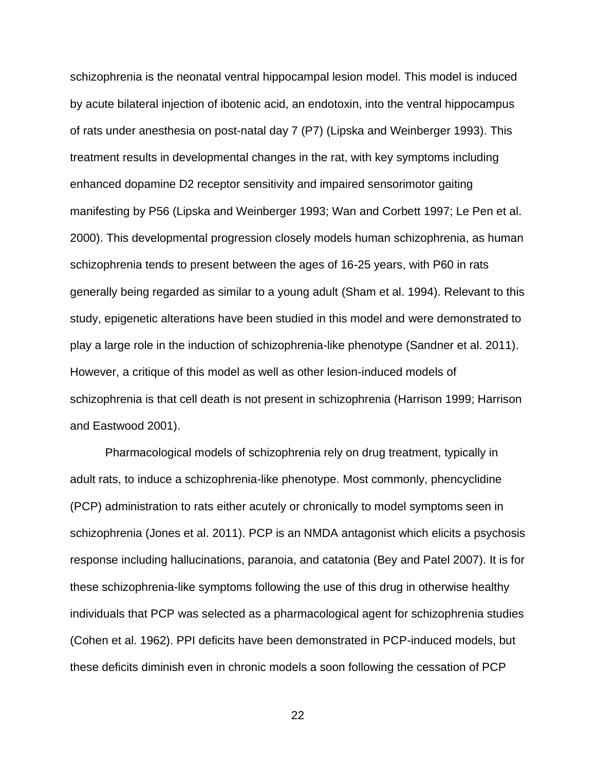schizophrenia is the neonatal ventral hippocampal lesion model. This model is induced by acute bilateral injection of ibotenic acid, an endotoxin, into the ventral hippocampus of rats under anesthesia on post-natal day 7 (P7) (Lipska and Weinberger 1993). This treatment results in developmental changes in the rat, with key symptoms including enhanced dopamine D2 receptor sensitivity and impaired sensorimotor gaiting manifesting by P56 (Lipska and Weinberger 1993; Wan and Corbett 1997; Le Pen et al. 2000). This developmental progression closely models human schizophrenia, as human schizophrenia tends to present between the ages of 16-25 years, with P60 in rats generally being regarded as similar to a young adult (Sham et al. 1994). Relevant to this study, epigenetic alterations have been studied in this model and were demonstrated to play a large role in the induction of schizophrenia-like phenotype (Sandner et al. 2011). However, a critique of this model as well as other lesion-induced models of schizophrenia is that cell death is not present in schizophrenia (Harrison 1999; Harrison and Eastwood 2001).

Pharmacological models of schizophrenia rely on drug treatment, typically in adult rats, to induce a schizophrenia-like phenotype. Most commonly, phencyclidine (PCP) administration to rats either acutely or chronically to model symptoms seen in schizophrenia (Jones et al. 2011). PCP is an NMDA antagonist which elicits a psychosis response including hallucinations, paranoia, and catatonia (Bey and Patel 2007). It is for these schizophrenia-like symptoms following the use of this drug in otherwise healthy individuals that PCP was selected as a pharmacological agent for schizophrenia studies (Cohen et al. 1962). PPI deficits have been demonstrated in PCP-induced models, but these deficits diminish even in chronic models a soon following the cessation of PCP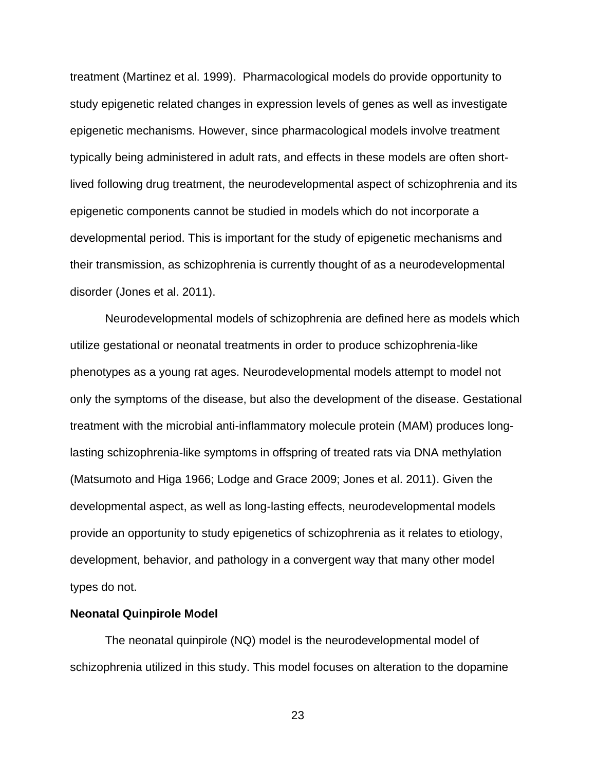treatment (Martinez et al. 1999). Pharmacological models do provide opportunity to study epigenetic related changes in expression levels of genes as well as investigate epigenetic mechanisms. However, since pharmacological models involve treatment typically being administered in adult rats, and effects in these models are often shortlived following drug treatment, the neurodevelopmental aspect of schizophrenia and its epigenetic components cannot be studied in models which do not incorporate a developmental period. This is important for the study of epigenetic mechanisms and their transmission, as schizophrenia is currently thought of as a neurodevelopmental disorder (Jones et al. 2011).

Neurodevelopmental models of schizophrenia are defined here as models which utilize gestational or neonatal treatments in order to produce schizophrenia-like phenotypes as a young rat ages. Neurodevelopmental models attempt to model not only the symptoms of the disease, but also the development of the disease. Gestational treatment with the microbial anti-inflammatory molecule protein (MAM) produces longlasting schizophrenia-like symptoms in offspring of treated rats via DNA methylation (Matsumoto and Higa 1966; Lodge and Grace 2009; Jones et al. 2011). Given the developmental aspect, as well as long-lasting effects, neurodevelopmental models provide an opportunity to study epigenetics of schizophrenia as it relates to etiology, development, behavior, and pathology in a convergent way that many other model types do not.

#### **Neonatal Quinpirole Model**

The neonatal quinpirole (NQ) model is the neurodevelopmental model of schizophrenia utilized in this study. This model focuses on alteration to the dopamine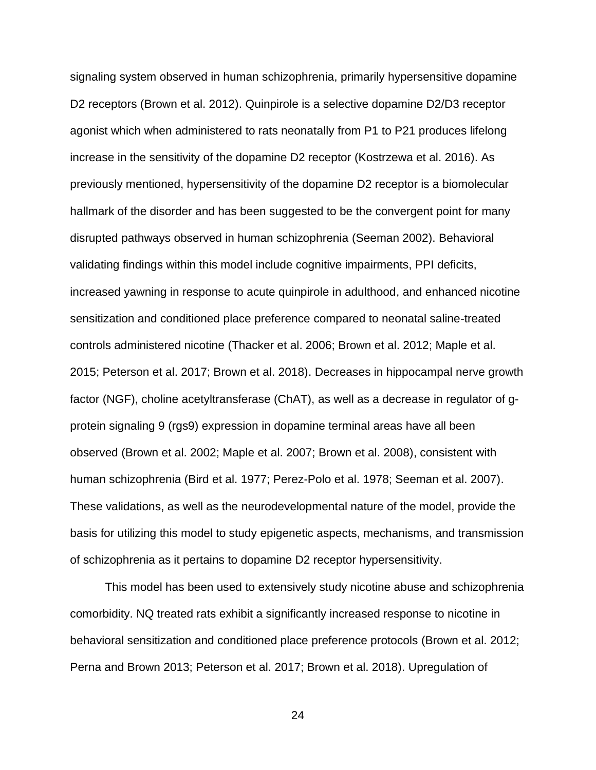signaling system observed in human schizophrenia, primarily hypersensitive dopamine D2 receptors (Brown et al. 2012). Quinpirole is a selective dopamine D2/D3 receptor agonist which when administered to rats neonatally from P1 to P21 produces lifelong increase in the sensitivity of the dopamine D2 receptor (Kostrzewa et al. 2016). As previously mentioned, hypersensitivity of the dopamine D2 receptor is a biomolecular hallmark of the disorder and has been suggested to be the convergent point for many disrupted pathways observed in human schizophrenia (Seeman 2002). Behavioral validating findings within this model include cognitive impairments, PPI deficits, increased yawning in response to acute quinpirole in adulthood, and enhanced nicotine sensitization and conditioned place preference compared to neonatal saline-treated controls administered nicotine (Thacker et al. 2006; Brown et al. 2012; Maple et al. 2015; Peterson et al. 2017; Brown et al. 2018). Decreases in hippocampal nerve growth factor (NGF), choline acetyltransferase (ChAT), as well as a decrease in regulator of gprotein signaling 9 (rgs9) expression in dopamine terminal areas have all been observed (Brown et al. 2002; Maple et al. 2007; Brown et al. 2008), consistent with human schizophrenia (Bird et al. 1977; Perez-Polo et al. 1978; Seeman et al. 2007). These validations, as well as the neurodevelopmental nature of the model, provide the basis for utilizing this model to study epigenetic aspects, mechanisms, and transmission of schizophrenia as it pertains to dopamine D2 receptor hypersensitivity.

This model has been used to extensively study nicotine abuse and schizophrenia comorbidity. NQ treated rats exhibit a significantly increased response to nicotine in behavioral sensitization and conditioned place preference protocols (Brown et al. 2012; Perna and Brown 2013; Peterson et al. 2017; Brown et al. 2018). Upregulation of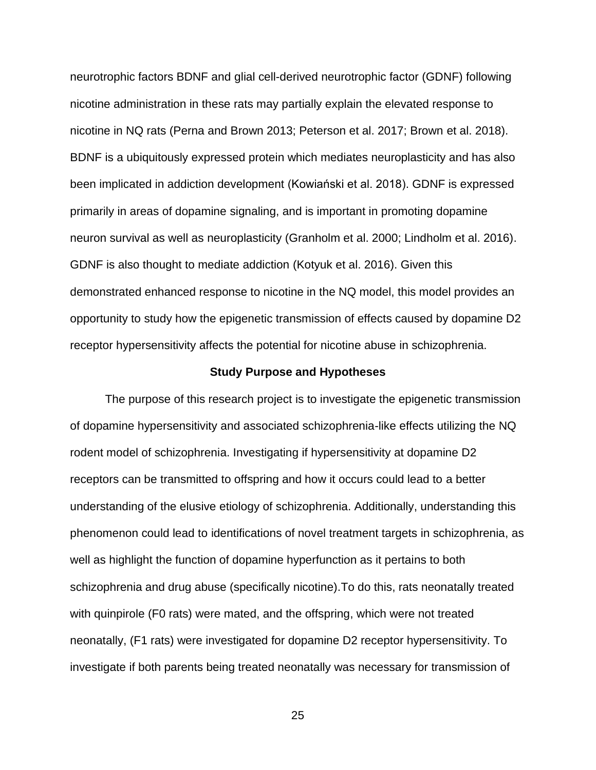neurotrophic factors BDNF and glial cell-derived neurotrophic factor (GDNF) following nicotine administration in these rats may partially explain the elevated response to nicotine in NQ rats (Perna and Brown 2013; Peterson et al. 2017; Brown et al. 2018). BDNF is a ubiquitously expressed protein which mediates neuroplasticity and has also been implicated in addiction development (Kowiański et al. 2018). GDNF is expressed primarily in areas of dopamine signaling, and is important in promoting dopamine neuron survival as well as neuroplasticity (Granholm et al. 2000; Lindholm et al. 2016). GDNF is also thought to mediate addiction (Kotyuk et al. 2016). Given this demonstrated enhanced response to nicotine in the NQ model, this model provides an opportunity to study how the epigenetic transmission of effects caused by dopamine D2 receptor hypersensitivity affects the potential for nicotine abuse in schizophrenia.

#### **Study Purpose and Hypotheses**

The purpose of this research project is to investigate the epigenetic transmission of dopamine hypersensitivity and associated schizophrenia-like effects utilizing the NQ rodent model of schizophrenia. Investigating if hypersensitivity at dopamine D2 receptors can be transmitted to offspring and how it occurs could lead to a better understanding of the elusive etiology of schizophrenia. Additionally, understanding this phenomenon could lead to identifications of novel treatment targets in schizophrenia, as well as highlight the function of dopamine hyperfunction as it pertains to both schizophrenia and drug abuse (specifically nicotine).To do this, rats neonatally treated with quinpirole (F0 rats) were mated, and the offspring, which were not treated neonatally, (F1 rats) were investigated for dopamine D2 receptor hypersensitivity. To investigate if both parents being treated neonatally was necessary for transmission of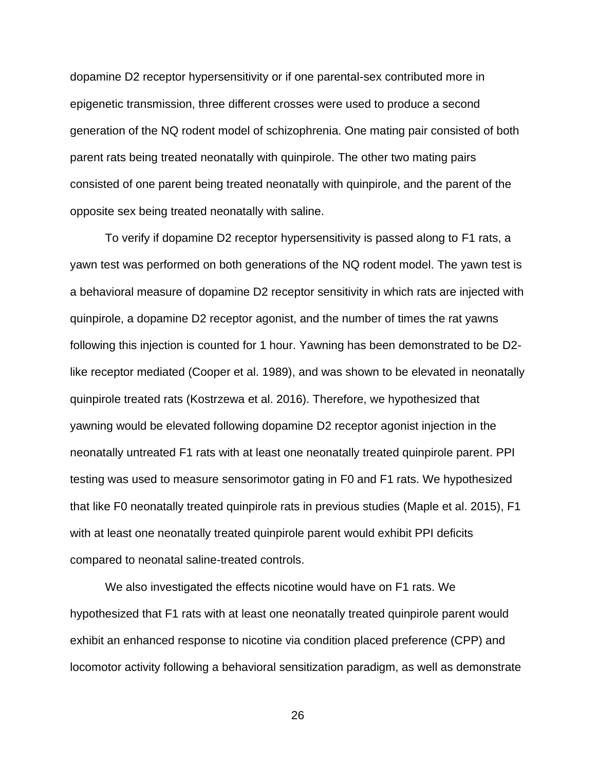dopamine D2 receptor hypersensitivity or if one parental-sex contributed more in epigenetic transmission, three different crosses were used to produce a second generation of the NQ rodent model of schizophrenia. One mating pair consisted of both parent rats being treated neonatally with quinpirole. The other two mating pairs consisted of one parent being treated neonatally with quinpirole, and the parent of the opposite sex being treated neonatally with saline.

To verify if dopamine D2 receptor hypersensitivity is passed along to F1 rats, a yawn test was performed on both generations of the NQ rodent model. The yawn test is a behavioral measure of dopamine D2 receptor sensitivity in which rats are injected with quinpirole, a dopamine D2 receptor agonist, and the number of times the rat yawns following this injection is counted for 1 hour. Yawning has been demonstrated to be D2 like receptor mediated (Cooper et al. 1989), and was shown to be elevated in neonatally quinpirole treated rats (Kostrzewa et al. 2016). Therefore, we hypothesized that yawning would be elevated following dopamine D2 receptor agonist injection in the neonatally untreated F1 rats with at least one neonatally treated quinpirole parent. PPI testing was used to measure sensorimotor gating in F0 and F1 rats. We hypothesized that like F0 neonatally treated quinpirole rats in previous studies (Maple et al. 2015), F1 with at least one neonatally treated quinpirole parent would exhibit PPI deficits compared to neonatal saline-treated controls.

We also investigated the effects nicotine would have on F1 rats. We hypothesized that F1 rats with at least one neonatally treated quinpirole parent would exhibit an enhanced response to nicotine via condition placed preference (CPP) and locomotor activity following a behavioral sensitization paradigm, as well as demonstrate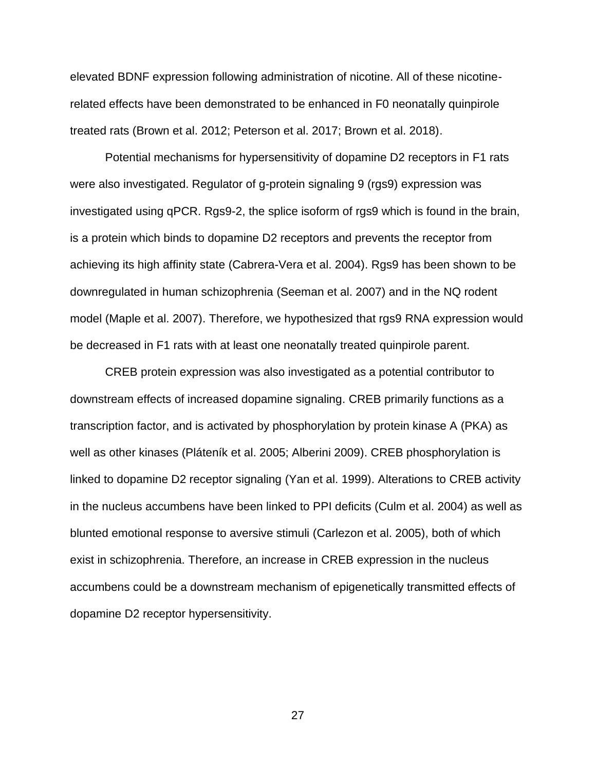elevated BDNF expression following administration of nicotine. All of these nicotinerelated effects have been demonstrated to be enhanced in F0 neonatally quinpirole treated rats (Brown et al. 2012; Peterson et al. 2017; Brown et al. 2018).

Potential mechanisms for hypersensitivity of dopamine D2 receptors in F1 rats were also investigated. Regulator of g-protein signaling 9 (rgs9) expression was investigated using qPCR. Rgs9-2, the splice isoform of rgs9 which is found in the brain, is a protein which binds to dopamine D2 receptors and prevents the receptor from achieving its high affinity state (Cabrera-Vera et al. 2004). Rgs9 has been shown to be downregulated in human schizophrenia (Seeman et al. 2007) and in the NQ rodent model (Maple et al. 2007). Therefore, we hypothesized that rgs9 RNA expression would be decreased in F1 rats with at least one neonatally treated quinpirole parent.

CREB protein expression was also investigated as a potential contributor to downstream effects of increased dopamine signaling. CREB primarily functions as a transcription factor, and is activated by phosphorylation by protein kinase A (PKA) as well as other kinases (Pláteník et al. 2005; Alberini 2009). CREB phosphorylation is linked to dopamine D2 receptor signaling (Yan et al. 1999). Alterations to CREB activity in the nucleus accumbens have been linked to PPI deficits (Culm et al. 2004) as well as blunted emotional response to aversive stimuli (Carlezon et al. 2005), both of which exist in schizophrenia. Therefore, an increase in CREB expression in the nucleus accumbens could be a downstream mechanism of epigenetically transmitted effects of dopamine D2 receptor hypersensitivity.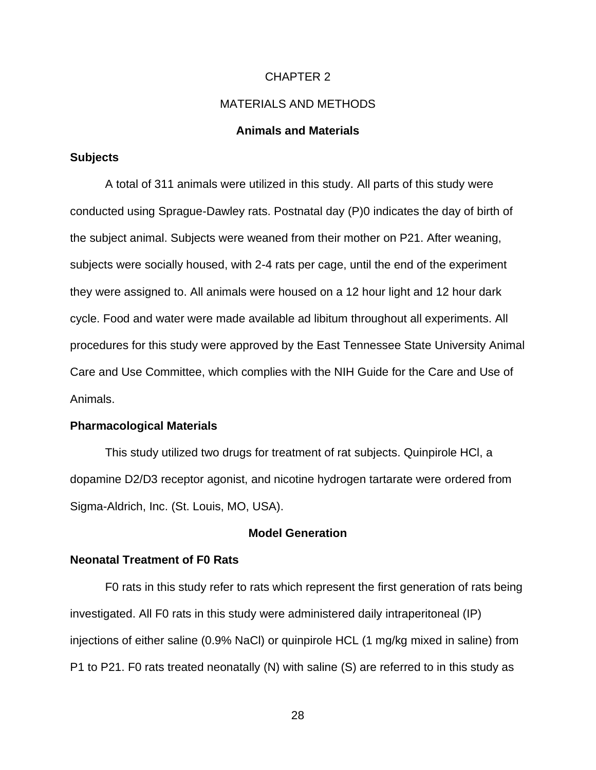#### CHAPTER 2

#### MATERIALS AND METHODS

#### **Animals and Materials**

#### **Subjects**

A total of 311 animals were utilized in this study. All parts of this study were conducted using Sprague-Dawley rats. Postnatal day (P)0 indicates the day of birth of the subject animal. Subjects were weaned from their mother on P21. After weaning, subjects were socially housed, with 2-4 rats per cage, until the end of the experiment they were assigned to. All animals were housed on a 12 hour light and 12 hour dark cycle. Food and water were made available ad libitum throughout all experiments. All procedures for this study were approved by the East Tennessee State University Animal Care and Use Committee, which complies with the NIH Guide for the Care and Use of Animals.

#### **Pharmacological Materials**

This study utilized two drugs for treatment of rat subjects. Quinpirole HCl, a dopamine D2/D3 receptor agonist, and nicotine hydrogen tartarate were ordered from Sigma-Aldrich, Inc. (St. Louis, MO, USA).

#### **Model Generation**

#### **Neonatal Treatment of F0 Rats**

F0 rats in this study refer to rats which represent the first generation of rats being investigated. All F0 rats in this study were administered daily intraperitoneal (IP) injections of either saline (0.9% NaCl) or quinpirole HCL (1 mg/kg mixed in saline) from P1 to P21. F0 rats treated neonatally (N) with saline (S) are referred to in this study as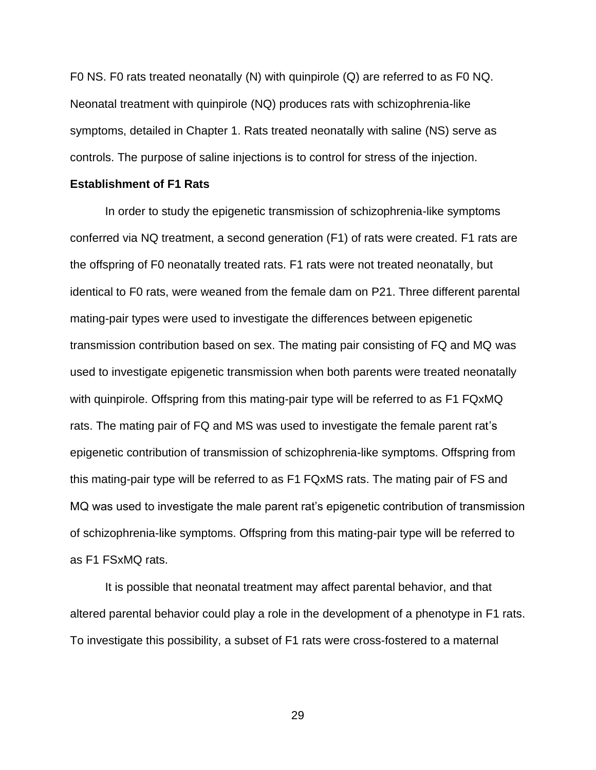F0 NS. F0 rats treated neonatally (N) with quinpirole (Q) are referred to as F0 NQ. Neonatal treatment with quinpirole (NQ) produces rats with schizophrenia-like symptoms, detailed in Chapter 1. Rats treated neonatally with saline (NS) serve as controls. The purpose of saline injections is to control for stress of the injection.

#### **Establishment of F1 Rats**

In order to study the epigenetic transmission of schizophrenia-like symptoms conferred via NQ treatment, a second generation (F1) of rats were created. F1 rats are the offspring of F0 neonatally treated rats. F1 rats were not treated neonatally, but identical to F0 rats, were weaned from the female dam on P21. Three different parental mating-pair types were used to investigate the differences between epigenetic transmission contribution based on sex. The mating pair consisting of FQ and MQ was used to investigate epigenetic transmission when both parents were treated neonatally with quinpirole. Offspring from this mating-pair type will be referred to as F1 FQxMQ rats. The mating pair of FQ and MS was used to investigate the female parent rat's epigenetic contribution of transmission of schizophrenia-like symptoms. Offspring from this mating-pair type will be referred to as F1 FQxMS rats. The mating pair of FS and MQ was used to investigate the male parent rat's epigenetic contribution of transmission of schizophrenia-like symptoms. Offspring from this mating-pair type will be referred to as F1 FSxMQ rats.

It is possible that neonatal treatment may affect parental behavior, and that altered parental behavior could play a role in the development of a phenotype in F1 rats. To investigate this possibility, a subset of F1 rats were cross-fostered to a maternal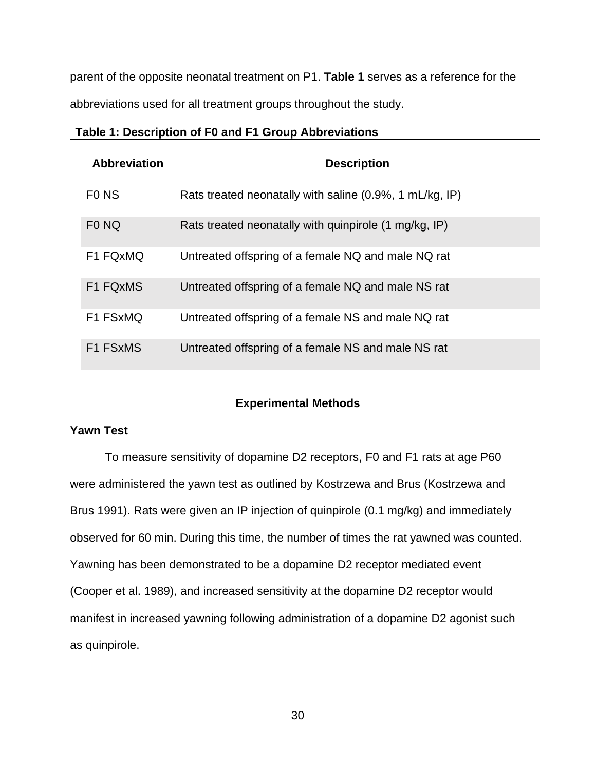parent of the opposite neonatal treatment on P1. **Table 1** serves as a reference for the abbreviations used for all treatment groups throughout the study.

| <b>Abbreviation</b> | <b>Description</b>                                      |
|---------------------|---------------------------------------------------------|
| F <sub>0</sub> NS   | Rats treated neonatally with saline (0.9%, 1 mL/kg, IP) |
| F <sub>0</sub> NQ   | Rats treated neonatally with quinpirole (1 mg/kg, IP)   |
| F1 FQxMQ            | Untreated offspring of a female NQ and male NQ rat      |
| F1 FQxMS            | Untreated offspring of a female NQ and male NS rat      |
| F1 FSxMQ            | Untreated offspring of a female NS and male NQ rat      |
| F1 FSxMS            | Untreated offspring of a female NS and male NS rat      |

#### **Table 1: Description of F0 and F1 Group Abbreviations**

#### **Experimental Methods**

#### **Yawn Test**

To measure sensitivity of dopamine D2 receptors, F0 and F1 rats at age P60 were administered the yawn test as outlined by Kostrzewa and Brus (Kostrzewa and Brus 1991). Rats were given an IP injection of quinpirole (0.1 mg/kg) and immediately observed for 60 min. During this time, the number of times the rat yawned was counted. Yawning has been demonstrated to be a dopamine D2 receptor mediated event (Cooper et al. 1989), and increased sensitivity at the dopamine D2 receptor would manifest in increased yawning following administration of a dopamine D2 agonist such as quinpirole.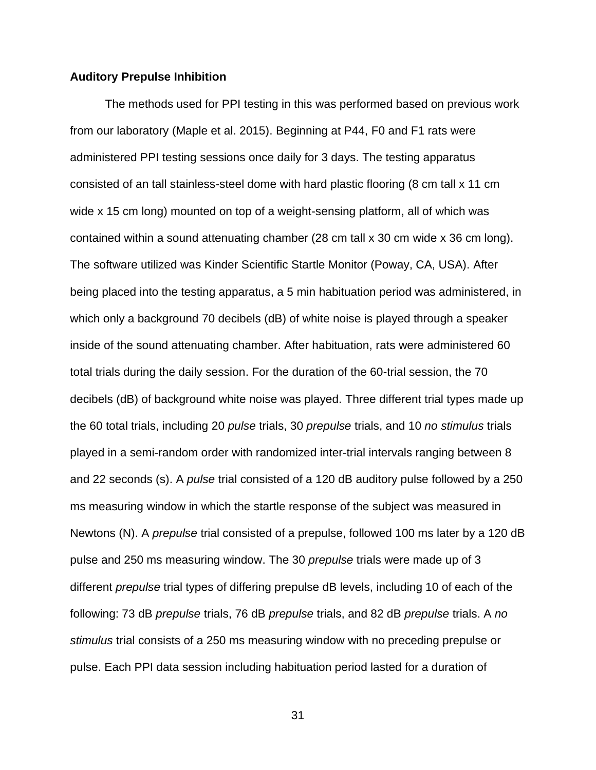#### **Auditory Prepulse Inhibition**

The methods used for PPI testing in this was performed based on previous work from our laboratory (Maple et al. 2015). Beginning at P44, F0 and F1 rats were administered PPI testing sessions once daily for 3 days. The testing apparatus consisted of an tall stainless-steel dome with hard plastic flooring (8 cm tall x 11 cm wide x 15 cm long) mounted on top of a weight-sensing platform, all of which was contained within a sound attenuating chamber (28 cm tall x 30 cm wide x 36 cm long). The software utilized was Kinder Scientific Startle Monitor (Poway, CA, USA). After being placed into the testing apparatus, a 5 min habituation period was administered, in which only a background 70 decibels (dB) of white noise is played through a speaker inside of the sound attenuating chamber. After habituation, rats were administered 60 total trials during the daily session. For the duration of the 60-trial session, the 70 decibels (dB) of background white noise was played. Three different trial types made up the 60 total trials, including 20 *pulse* trials, 30 *prepulse* trials, and 10 *no stimulus* trials played in a semi-random order with randomized inter-trial intervals ranging between 8 and 22 seconds (s). A *pulse* trial consisted of a 120 dB auditory pulse followed by a 250 ms measuring window in which the startle response of the subject was measured in Newtons (N). A *prepulse* trial consisted of a prepulse, followed 100 ms later by a 120 dB pulse and 250 ms measuring window. The 30 *prepulse* trials were made up of 3 different *prepulse* trial types of differing prepulse dB levels, including 10 of each of the following: 73 dB *prepulse* trials, 76 dB *prepulse* trials, and 82 dB *prepulse* trials. A *no stimulus* trial consists of a 250 ms measuring window with no preceding prepulse or pulse. Each PPI data session including habituation period lasted for a duration of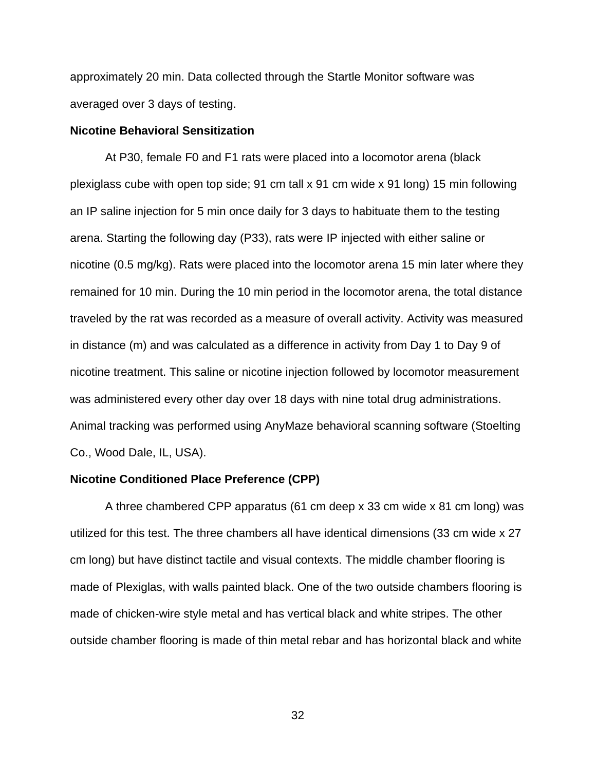approximately 20 min. Data collected through the Startle Monitor software was averaged over 3 days of testing.

#### **Nicotine Behavioral Sensitization**

At P30, female F0 and F1 rats were placed into a locomotor arena (black plexiglass cube with open top side; 91 cm tall x 91 cm wide x 91 long) 15 min following an IP saline injection for 5 min once daily for 3 days to habituate them to the testing arena. Starting the following day (P33), rats were IP injected with either saline or nicotine (0.5 mg/kg). Rats were placed into the locomotor arena 15 min later where they remained for 10 min. During the 10 min period in the locomotor arena, the total distance traveled by the rat was recorded as a measure of overall activity. Activity was measured in distance (m) and was calculated as a difference in activity from Day 1 to Day 9 of nicotine treatment. This saline or nicotine injection followed by locomotor measurement was administered every other day over 18 days with nine total drug administrations. Animal tracking was performed using AnyMaze behavioral scanning software (Stoelting Co., Wood Dale, IL, USA).

#### **Nicotine Conditioned Place Preference (CPP)**

A three chambered CPP apparatus (61 cm deep x 33 cm wide x 81 cm long) was utilized for this test. The three chambers all have identical dimensions (33 cm wide x 27 cm long) but have distinct tactile and visual contexts. The middle chamber flooring is made of Plexiglas, with walls painted black. One of the two outside chambers flooring is made of chicken-wire style metal and has vertical black and white stripes. The other outside chamber flooring is made of thin metal rebar and has horizontal black and white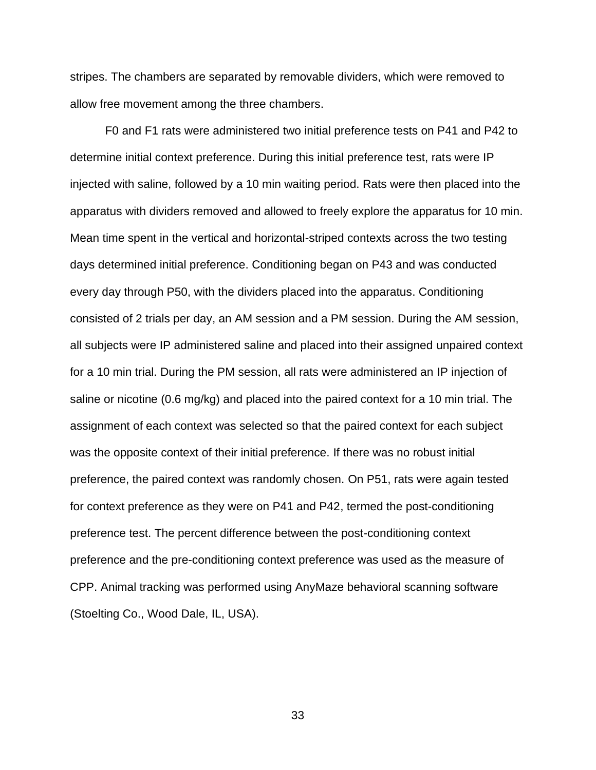stripes. The chambers are separated by removable dividers, which were removed to allow free movement among the three chambers.

F0 and F1 rats were administered two initial preference tests on P41 and P42 to determine initial context preference. During this initial preference test, rats were IP injected with saline, followed by a 10 min waiting period. Rats were then placed into the apparatus with dividers removed and allowed to freely explore the apparatus for 10 min. Mean time spent in the vertical and horizontal-striped contexts across the two testing days determined initial preference. Conditioning began on P43 and was conducted every day through P50, with the dividers placed into the apparatus. Conditioning consisted of 2 trials per day, an AM session and a PM session. During the AM session, all subjects were IP administered saline and placed into their assigned unpaired context for a 10 min trial. During the PM session, all rats were administered an IP injection of saline or nicotine (0.6 mg/kg) and placed into the paired context for a 10 min trial. The assignment of each context was selected so that the paired context for each subject was the opposite context of their initial preference. If there was no robust initial preference, the paired context was randomly chosen. On P51, rats were again tested for context preference as they were on P41 and P42, termed the post-conditioning preference test. The percent difference between the post-conditioning context preference and the pre-conditioning context preference was used as the measure of CPP. Animal tracking was performed using AnyMaze behavioral scanning software (Stoelting Co., Wood Dale, IL, USA).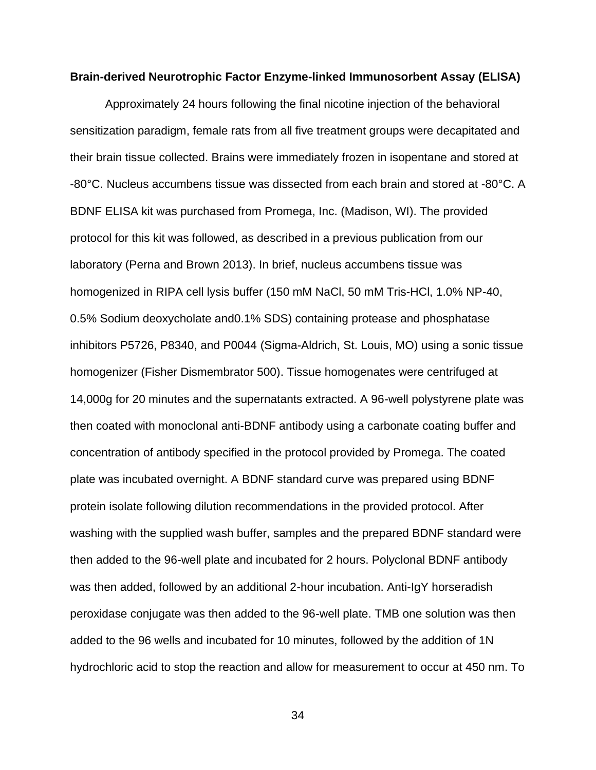#### **Brain-derived Neurotrophic Factor Enzyme-linked Immunosorbent Assay (ELISA)**

Approximately 24 hours following the final nicotine injection of the behavioral sensitization paradigm, female rats from all five treatment groups were decapitated and their brain tissue collected. Brains were immediately frozen in isopentane and stored at -80°C. Nucleus accumbens tissue was dissected from each brain and stored at -80°C. A BDNF ELISA kit was purchased from Promega, Inc. (Madison, WI). The provided protocol for this kit was followed, as described in a previous publication from our laboratory (Perna and Brown 2013). In brief, nucleus accumbens tissue was homogenized in RIPA cell lysis buffer (150 mM NaCl, 50 mM Tris-HCl, 1.0% NP-40, 0.5% Sodium deoxycholate and0.1% SDS) containing protease and phosphatase inhibitors P5726, P8340, and P0044 (Sigma-Aldrich, St. Louis, MO) using a sonic tissue homogenizer (Fisher Dismembrator 500). Tissue homogenates were centrifuged at 14,000g for 20 minutes and the supernatants extracted. A 96-well polystyrene plate was then coated with monoclonal anti-BDNF antibody using a carbonate coating buffer and concentration of antibody specified in the protocol provided by Promega. The coated plate was incubated overnight. A BDNF standard curve was prepared using BDNF protein isolate following dilution recommendations in the provided protocol. After washing with the supplied wash buffer, samples and the prepared BDNF standard were then added to the 96-well plate and incubated for 2 hours. Polyclonal BDNF antibody was then added, followed by an additional 2-hour incubation. Anti-IgY horseradish peroxidase conjugate was then added to the 96-well plate. TMB one solution was then added to the 96 wells and incubated for 10 minutes, followed by the addition of 1N hydrochloric acid to stop the reaction and allow for measurement to occur at 450 nm. To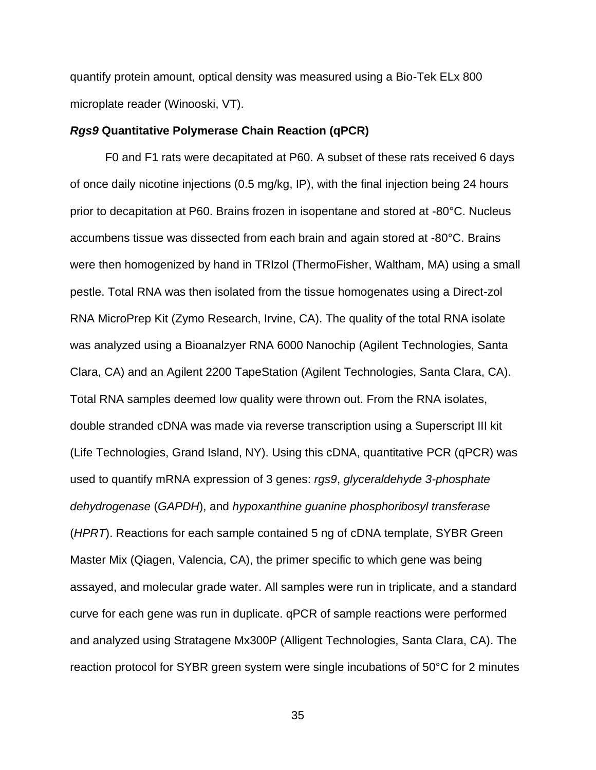quantify protein amount, optical density was measured using a Bio-Tek ELx 800 microplate reader (Winooski, VT).

#### *Rgs9* **Quantitative Polymerase Chain Reaction (qPCR)**

F0 and F1 rats were decapitated at P60. A subset of these rats received 6 days of once daily nicotine injections (0.5 mg/kg, IP), with the final injection being 24 hours prior to decapitation at P60. Brains frozen in isopentane and stored at -80°C. Nucleus accumbens tissue was dissected from each brain and again stored at -80°C. Brains were then homogenized by hand in TRIzol (ThermoFisher, Waltham, MA) using a small pestle. Total RNA was then isolated from the tissue homogenates using a Direct-zol RNA MicroPrep Kit (Zymo Research, Irvine, CA). The quality of the total RNA isolate was analyzed using a Bioanalzyer RNA 6000 Nanochip (Agilent Technologies, Santa Clara, CA) and an Agilent 2200 TapeStation (Agilent Technologies, Santa Clara, CA). Total RNA samples deemed low quality were thrown out. From the RNA isolates, double stranded cDNA was made via reverse transcription using a Superscript III kit (Life Technologies, Grand Island, NY). Using this cDNA, quantitative PCR (qPCR) was used to quantify mRNA expression of 3 genes: *rgs9*, *glyceraldehyde 3-phosphate dehydrogenase* (*GAPDH*), and *hypoxanthine guanine phosphoribosyl transferase* (*HPRT*). Reactions for each sample contained 5 ng of cDNA template, SYBR Green Master Mix (Qiagen, Valencia, CA), the primer specific to which gene was being assayed, and molecular grade water. All samples were run in triplicate, and a standard curve for each gene was run in duplicate. qPCR of sample reactions were performed and analyzed using Stratagene Mx300P (Alligent Technologies, Santa Clara, CA). The reaction protocol for SYBR green system were single incubations of 50°C for 2 minutes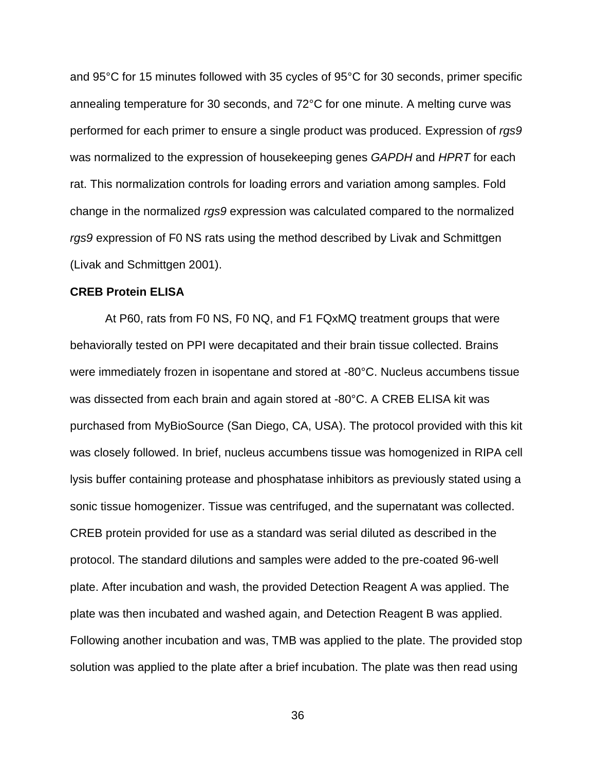and 95°C for 15 minutes followed with 35 cycles of 95°C for 30 seconds, primer specific annealing temperature for 30 seconds, and 72°C for one minute. A melting curve was performed for each primer to ensure a single product was produced. Expression of *rgs9* was normalized to the expression of housekeeping genes *GAPDH* and *HPRT* for each rat. This normalization controls for loading errors and variation among samples. Fold change in the normalized *rgs9* expression was calculated compared to the normalized *rgs9* expression of F0 NS rats using the method described by Livak and Schmittgen (Livak and Schmittgen 2001).

### **CREB Protein ELISA**

At P60, rats from F0 NS, F0 NQ, and F1 FQxMQ treatment groups that were behaviorally tested on PPI were decapitated and their brain tissue collected. Brains were immediately frozen in isopentane and stored at -80°C. Nucleus accumbens tissue was dissected from each brain and again stored at -80°C. A CREB ELISA kit was purchased from MyBioSource (San Diego, CA, USA). The protocol provided with this kit was closely followed. In brief, nucleus accumbens tissue was homogenized in RIPA cell lysis buffer containing protease and phosphatase inhibitors as previously stated using a sonic tissue homogenizer. Tissue was centrifuged, and the supernatant was collected. CREB protein provided for use as a standard was serial diluted as described in the protocol. The standard dilutions and samples were added to the pre-coated 96-well plate. After incubation and wash, the provided Detection Reagent A was applied. The plate was then incubated and washed again, and Detection Reagent B was applied. Following another incubation and was, TMB was applied to the plate. The provided stop solution was applied to the plate after a brief incubation. The plate was then read using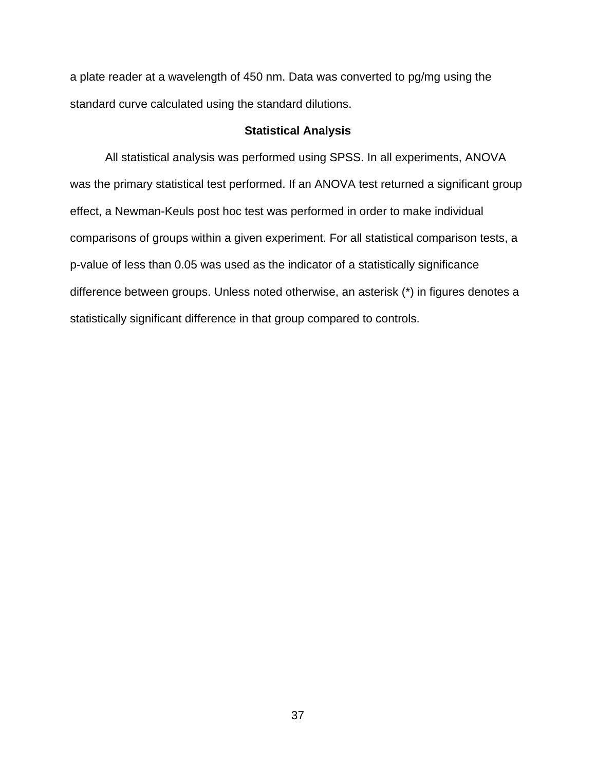a plate reader at a wavelength of 450 nm. Data was converted to pg/mg using the standard curve calculated using the standard dilutions.

## **Statistical Analysis**

All statistical analysis was performed using SPSS. In all experiments, ANOVA was the primary statistical test performed. If an ANOVA test returned a significant group effect, a Newman-Keuls post hoc test was performed in order to make individual comparisons of groups within a given experiment. For all statistical comparison tests, a p-value of less than 0.05 was used as the indicator of a statistically significance difference between groups. Unless noted otherwise, an asterisk (\*) in figures denotes a statistically significant difference in that group compared to controls.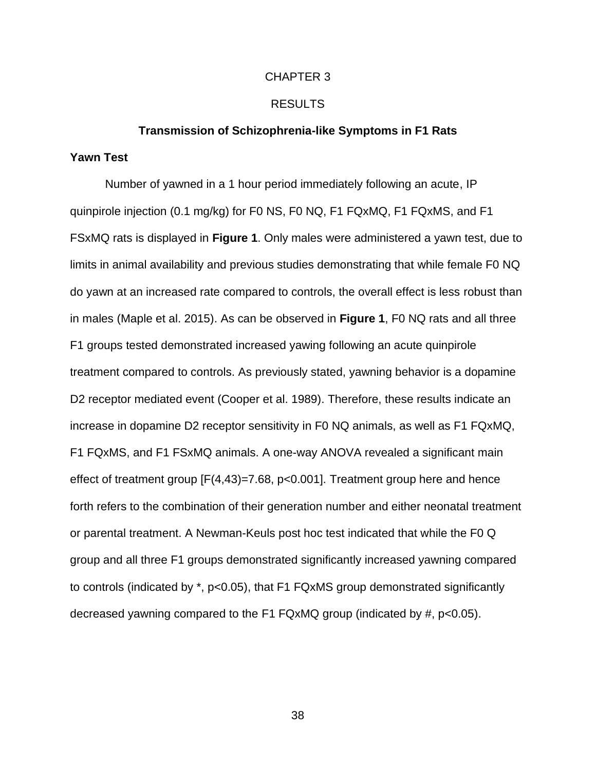### CHAPTER 3

## RESULTS

### **Transmission of Schizophrenia-like Symptoms in F1 Rats**

## **Yawn Test**

Number of yawned in a 1 hour period immediately following an acute, IP quinpirole injection (0.1 mg/kg) for F0 NS, F0 NQ, F1 FQxMQ, F1 FQxMS, and F1 FSxMQ rats is displayed in **Figure 1**. Only males were administered a yawn test, due to limits in animal availability and previous studies demonstrating that while female F0 NQ do yawn at an increased rate compared to controls, the overall effect is less robust than in males (Maple et al. 2015). As can be observed in **Figure 1**, F0 NQ rats and all three F1 groups tested demonstrated increased yawing following an acute quinpirole treatment compared to controls. As previously stated, yawning behavior is a dopamine D2 receptor mediated event (Cooper et al. 1989). Therefore, these results indicate an increase in dopamine D2 receptor sensitivity in F0 NQ animals, as well as F1 FQxMQ, F1 FQxMS, and F1 FSxMQ animals. A one-way ANOVA revealed a significant main effect of treatment group [F(4,43)=7.68, p<0.001]. Treatment group here and hence forth refers to the combination of their generation number and either neonatal treatment or parental treatment. A Newman-Keuls post hoc test indicated that while the F0 Q group and all three F1 groups demonstrated significantly increased yawning compared to controls (indicated by \*, p<0.05), that F1 FQxMS group demonstrated significantly decreased yawning compared to the F1 FQxMQ group (indicated by #, p<0.05).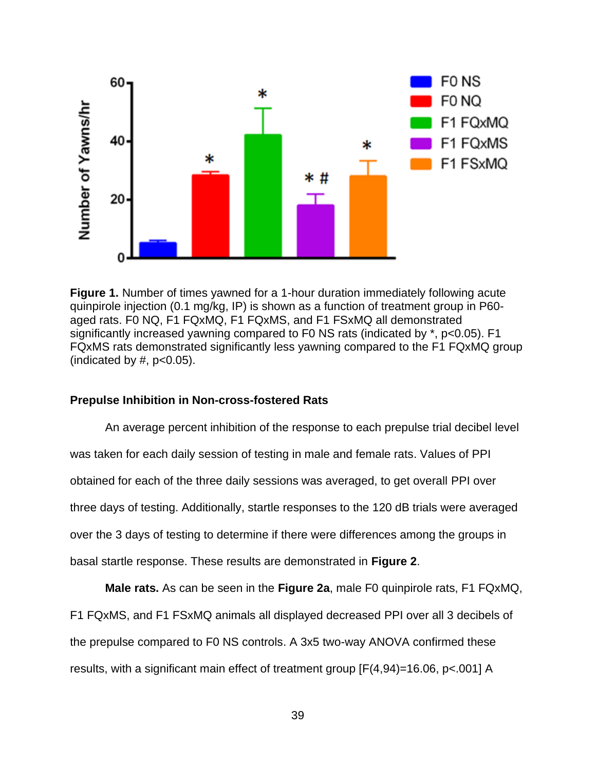

**Figure 1.** Number of times yawned for a 1-hour duration immediately following acute quinpirole injection (0.1 mg/kg, IP) is shown as a function of treatment group in P60 aged rats. F0 NQ, F1 FQxMQ, F1 FQxMS, and F1 FSxMQ all demonstrated significantly increased yawning compared to F0 NS rats (indicated by \*, p<0.05). F1 FQxMS rats demonstrated significantly less yawning compared to the F1 FQxMQ group (indicated by  $#$ ,  $p<0.05$ ).

## **Prepulse Inhibition in Non-cross-fostered Rats**

An average percent inhibition of the response to each prepulse trial decibel level was taken for each daily session of testing in male and female rats. Values of PPI obtained for each of the three daily sessions was averaged, to get overall PPI over three days of testing. Additionally, startle responses to the 120 dB trials were averaged over the 3 days of testing to determine if there were differences among the groups in basal startle response. These results are demonstrated in **Figure 2**.

**Male rats.** As can be seen in the **Figure 2a**, male F0 quinpirole rats, F1 FQxMQ, F1 FQxMS, and F1 FSxMQ animals all displayed decreased PPI over all 3 decibels of the prepulse compared to F0 NS controls. A 3x5 two-way ANOVA confirmed these results, with a significant main effect of treatment group [F(4,94)=16.06, p<.001] A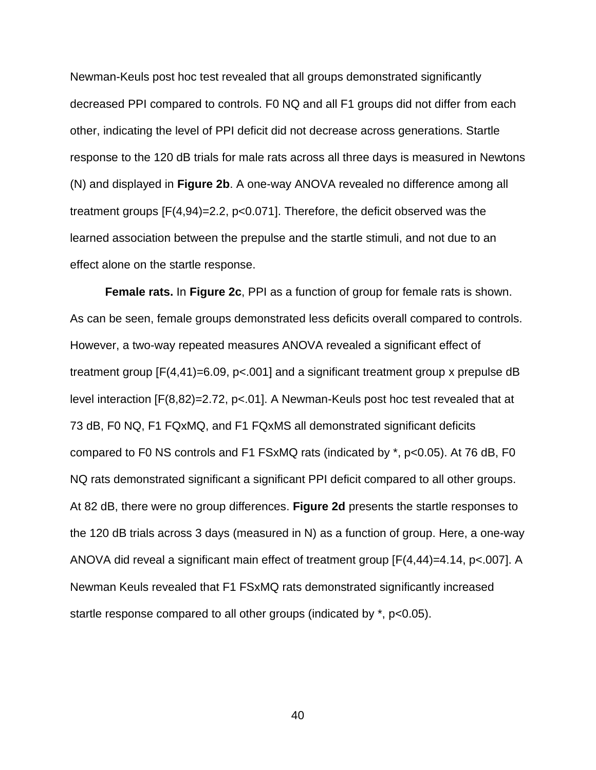Newman-Keuls post hoc test revealed that all groups demonstrated significantly decreased PPI compared to controls. F0 NQ and all F1 groups did not differ from each other, indicating the level of PPI deficit did not decrease across generations. Startle response to the 120 dB trials for male rats across all three days is measured in Newtons (N) and displayed in **Figure 2b**. A one-way ANOVA revealed no difference among all treatment groups [F(4,94)=2.2, p<0.071]. Therefore, the deficit observed was the learned association between the prepulse and the startle stimuli, and not due to an effect alone on the startle response.

**Female rats.** In **Figure 2c**, PPI as a function of group for female rats is shown. As can be seen, female groups demonstrated less deficits overall compared to controls. However, a two-way repeated measures ANOVA revealed a significant effect of treatment group [F(4,41)=6.09, p<.001] and a significant treatment group x prepulse dB level interaction [F(8,82)=2.72, p<.01]. A Newman-Keuls post hoc test revealed that at 73 dB, F0 NQ, F1 FQxMQ, and F1 FQxMS all demonstrated significant deficits compared to F0 NS controls and F1 FSxMQ rats (indicated by \*, p<0.05). At 76 dB, F0 NQ rats demonstrated significant a significant PPI deficit compared to all other groups. At 82 dB, there were no group differences. **Figure 2d** presents the startle responses to the 120 dB trials across 3 days (measured in N) as a function of group. Here, a one-way ANOVA did reveal a significant main effect of treatment group [F(4,44)=4.14, p<.007]. A Newman Keuls revealed that F1 FSxMQ rats demonstrated significantly increased startle response compared to all other groups (indicated by \*, p<0.05).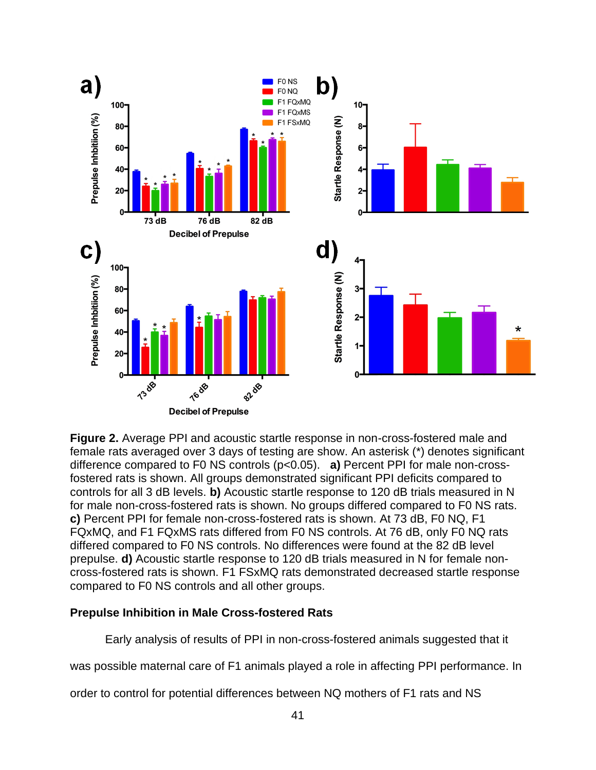

**Figure 2.** Average PPI and acoustic startle response in non-cross-fostered male and female rats averaged over 3 days of testing are show. An asterisk (\*) denotes significant difference compared to F0 NS controls (p<0.05). **a)** Percent PPI for male non-crossfostered rats is shown. All groups demonstrated significant PPI deficits compared to controls for all 3 dB levels. **b)** Acoustic startle response to 120 dB trials measured in N for male non-cross-fostered rats is shown. No groups differed compared to F0 NS rats. **c)** Percent PPI for female non-cross-fostered rats is shown. At 73 dB, F0 NQ, F1 FQxMQ, and F1 FQxMS rats differed from F0 NS controls. At 76 dB, only F0 NQ rats differed compared to F0 NS controls. No differences were found at the 82 dB level prepulse. **d)** Acoustic startle response to 120 dB trials measured in N for female noncross-fostered rats is shown. F1 FSxMQ rats demonstrated decreased startle response compared to F0 NS controls and all other groups.

## **Prepulse Inhibition in Male Cross-fostered Rats**

Early analysis of results of PPI in non-cross-fostered animals suggested that it

was possible maternal care of F1 animals played a role in affecting PPI performance. In

order to control for potential differences between NQ mothers of F1 rats and NS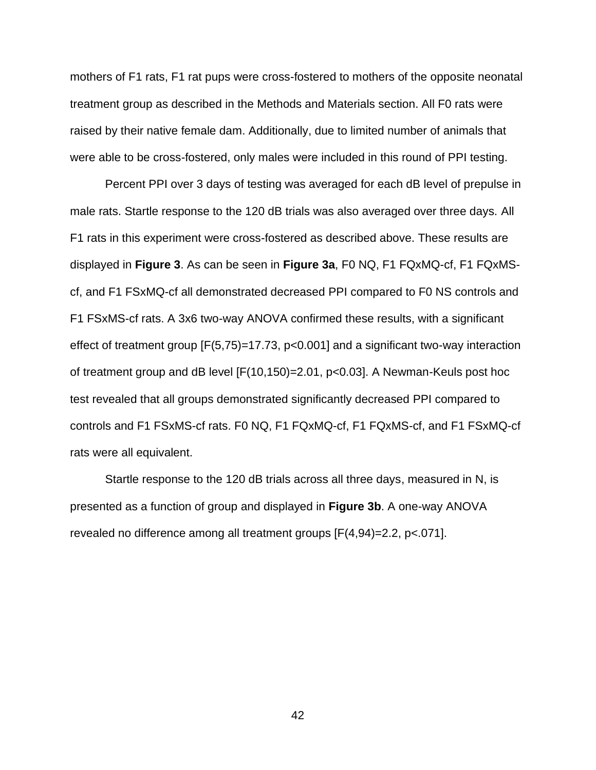mothers of F1 rats, F1 rat pups were cross-fostered to mothers of the opposite neonatal treatment group as described in the Methods and Materials section. All F0 rats were raised by their native female dam. Additionally, due to limited number of animals that were able to be cross-fostered, only males were included in this round of PPI testing.

Percent PPI over 3 days of testing was averaged for each dB level of prepulse in male rats. Startle response to the 120 dB trials was also averaged over three days. All F1 rats in this experiment were cross-fostered as described above. These results are displayed in **Figure 3**. As can be seen in **Figure 3a**, F0 NQ, F1 FQxMQ-cf, F1 FQxMScf, and F1 FSxMQ-cf all demonstrated decreased PPI compared to F0 NS controls and F1 FSxMS-cf rats. A 3x6 two-way ANOVA confirmed these results, with a significant effect of treatment group [F(5,75)=17.73, p<0.001] and a significant two-way interaction of treatment group and dB level [F(10,150)=2.01, p<0.03]. A Newman-Keuls post hoc test revealed that all groups demonstrated significantly decreased PPI compared to controls and F1 FSxMS-cf rats. F0 NQ, F1 FQxMQ-cf, F1 FQxMS-cf, and F1 FSxMQ-cf rats were all equivalent.

Startle response to the 120 dB trials across all three days, measured in N, is presented as a function of group and displayed in **Figure 3b**. A one-way ANOVA revealed no difference among all treatment groups [F(4,94)=2.2, p<.071].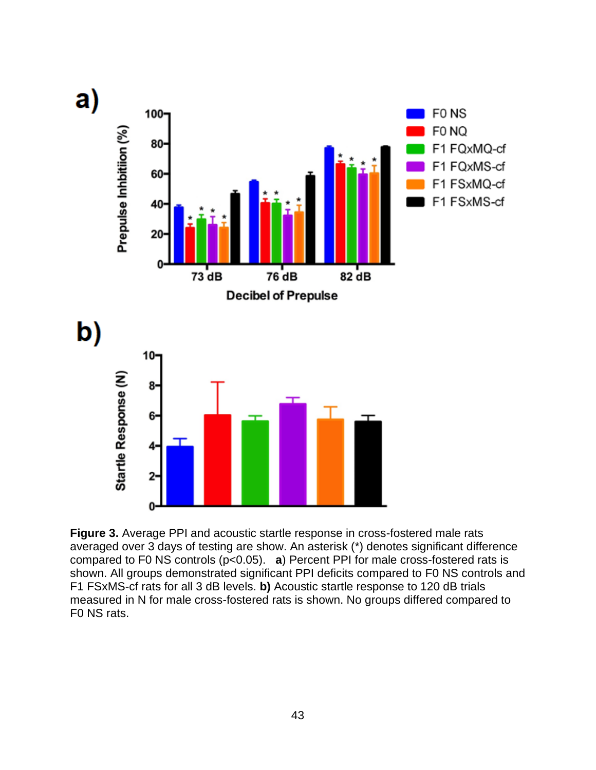

**Figure 3.** Average PPI and acoustic startle response in cross-fostered male rats averaged over 3 days of testing are show. An asterisk (\*) denotes significant difference compared to F0 NS controls (p<0.05). **a**) Percent PPI for male cross-fostered rats is shown. All groups demonstrated significant PPI deficits compared to F0 NS controls and F1 FSxMS-cf rats for all 3 dB levels. **b)** Acoustic startle response to 120 dB trials measured in N for male cross-fostered rats is shown. No groups differed compared to F0 NS rats.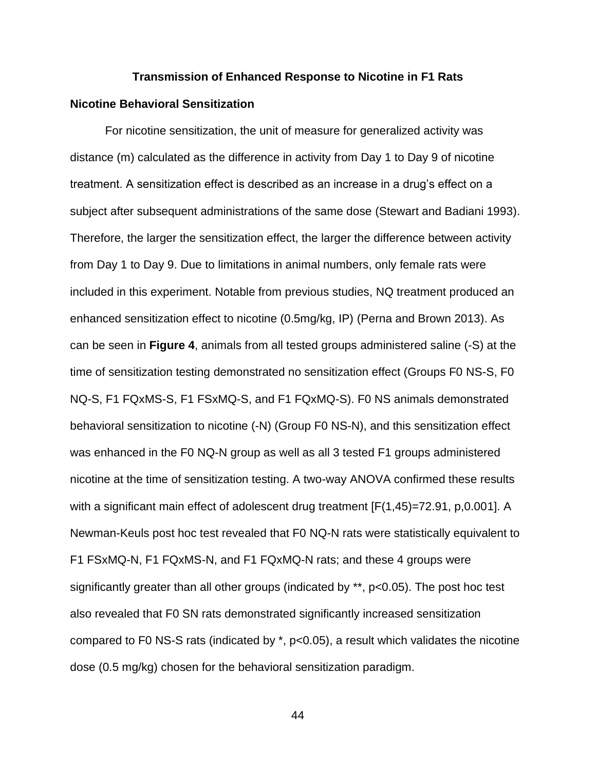# **Transmission of Enhanced Response to Nicotine in F1 Rats**

## **Nicotine Behavioral Sensitization**

For nicotine sensitization, the unit of measure for generalized activity was distance (m) calculated as the difference in activity from Day 1 to Day 9 of nicotine treatment. A sensitization effect is described as an increase in a drug's effect on a subject after subsequent administrations of the same dose (Stewart and Badiani 1993). Therefore, the larger the sensitization effect, the larger the difference between activity from Day 1 to Day 9. Due to limitations in animal numbers, only female rats were included in this experiment. Notable from previous studies, NQ treatment produced an enhanced sensitization effect to nicotine (0.5mg/kg, IP) (Perna and Brown 2013). As can be seen in **Figure 4**, animals from all tested groups administered saline (-S) at the time of sensitization testing demonstrated no sensitization effect (Groups F0 NS-S, F0 NQ-S, F1 FQxMS-S, F1 FSxMQ-S, and F1 FQxMQ-S). F0 NS animals demonstrated behavioral sensitization to nicotine (-N) (Group F0 NS-N), and this sensitization effect was enhanced in the F0 NQ-N group as well as all 3 tested F1 groups administered nicotine at the time of sensitization testing. A two-way ANOVA confirmed these results with a significant main effect of adolescent drug treatment [F(1,45)=72.91, p,0.001]. A Newman-Keuls post hoc test revealed that F0 NQ-N rats were statistically equivalent to F1 FSxMQ-N, F1 FQxMS-N, and F1 FQxMQ-N rats; and these 4 groups were significantly greater than all other groups (indicated by \*\*, p<0.05). The post hoc test also revealed that F0 SN rats demonstrated significantly increased sensitization compared to F0 NS-S rats (indicated by \*, p<0.05), a result which validates the nicotine dose (0.5 mg/kg) chosen for the behavioral sensitization paradigm.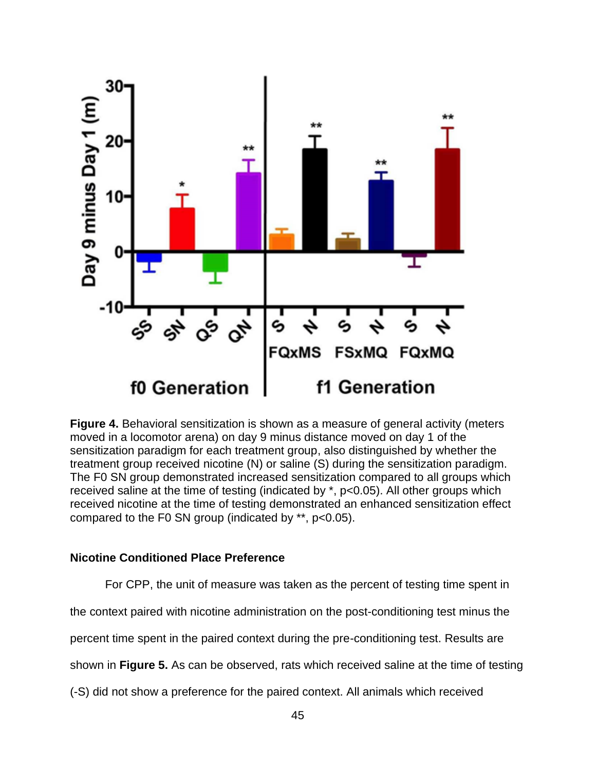

**Figure 4.** Behavioral sensitization is shown as a measure of general activity (meters moved in a locomotor arena) on day 9 minus distance moved on day 1 of the sensitization paradigm for each treatment group, also distinguished by whether the treatment group received nicotine (N) or saline (S) during the sensitization paradigm. The F0 SN group demonstrated increased sensitization compared to all groups which received saline at the time of testing (indicated by \*, p<0.05). All other groups which received nicotine at the time of testing demonstrated an enhanced sensitization effect compared to the F0 SN group (indicated by \*\*, p<0.05).

## **Nicotine Conditioned Place Preference**

For CPP, the unit of measure was taken as the percent of testing time spent in

the context paired with nicotine administration on the post-conditioning test minus the

percent time spent in the paired context during the pre-conditioning test. Results are

shown in **Figure 5.** As can be observed, rats which received saline at the time of testing

(-S) did not show a preference for the paired context. All animals which received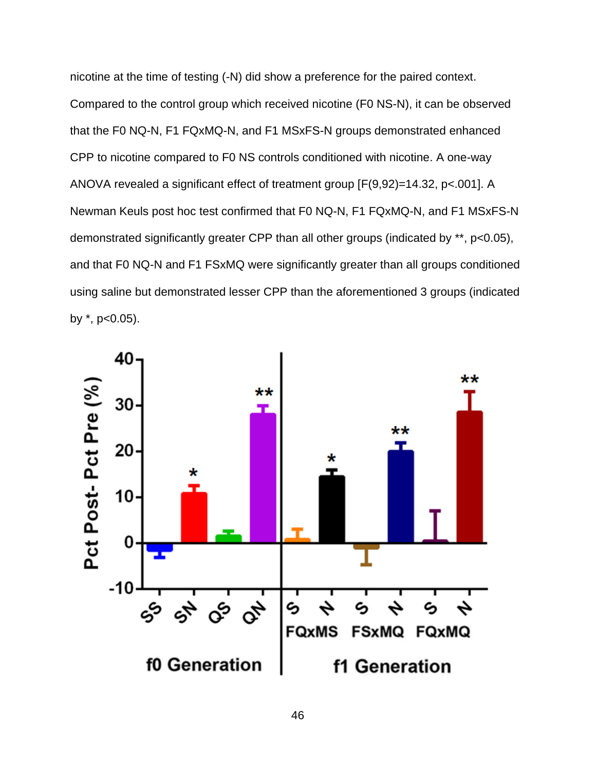nicotine at the time of testing (-N) did show a preference for the paired context. Compared to the control group which received nicotine (F0 NS-N), it can be observed that the F0 NQ-N, F1 FQxMQ-N, and F1 MSxFS-N groups demonstrated enhanced CPP to nicotine compared to F0 NS controls conditioned with nicotine. A one-way ANOVA revealed a significant effect of treatment group [F(9,92)=14.32, p<.001]. A Newman Keuls post hoc test confirmed that F0 NQ-N, F1 FQxMQ-N, and F1 MSxFS-N demonstrated significantly greater CPP than all other groups (indicated by \*\*, p<0.05), and that F0 NQ-N and F1 FSxMQ were significantly greater than all groups conditioned using saline but demonstrated lesser CPP than the aforementioned 3 groups (indicated by  $*$ ,  $p<0.05$ ).

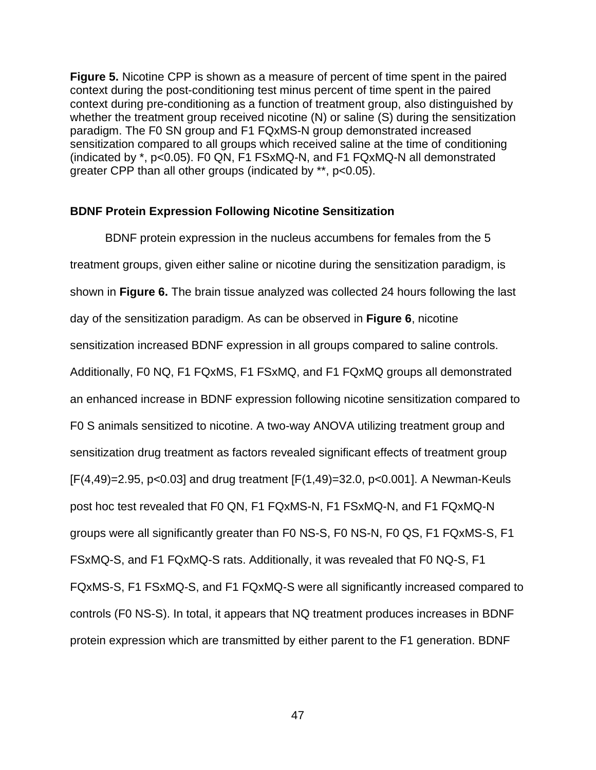**Figure 5.** Nicotine CPP is shown as a measure of percent of time spent in the paired context during the post-conditioning test minus percent of time spent in the paired context during pre-conditioning as a function of treatment group, also distinguished by whether the treatment group received nicotine (N) or saline (S) during the sensitization paradigm. The F0 SN group and F1 FQxMS-N group demonstrated increased sensitization compared to all groups which received saline at the time of conditioning (indicated by \*, p<0.05). F0 QN, F1 FSxMQ-N, and F1 FQxMQ-N all demonstrated greater CPP than all other groups (indicated by \*\*, p<0.05).

## **BDNF Protein Expression Following Nicotine Sensitization**

BDNF protein expression in the nucleus accumbens for females from the 5 treatment groups, given either saline or nicotine during the sensitization paradigm, is shown in **Figure 6.** The brain tissue analyzed was collected 24 hours following the last day of the sensitization paradigm. As can be observed in **Figure 6**, nicotine sensitization increased BDNF expression in all groups compared to saline controls. Additionally, F0 NQ, F1 FQxMS, F1 FSxMQ, and F1 FQxMQ groups all demonstrated an enhanced increase in BDNF expression following nicotine sensitization compared to F0 S animals sensitized to nicotine. A two-way ANOVA utilizing treatment group and sensitization drug treatment as factors revealed significant effects of treatment group [F(4,49)=2.95, p<0.03] and drug treatment [F(1,49)=32.0, p<0.001]. A Newman-Keuls post hoc test revealed that F0 QN, F1 FQxMS-N, F1 FSxMQ-N, and F1 FQxMQ-N groups were all significantly greater than F0 NS-S, F0 NS-N, F0 QS, F1 FQxMS-S, F1 FSxMQ-S, and F1 FQxMQ-S rats. Additionally, it was revealed that F0 NQ-S, F1 FQxMS-S, F1 FSxMQ-S, and F1 FQxMQ-S were all significantly increased compared to controls (F0 NS-S). In total, it appears that NQ treatment produces increases in BDNF protein expression which are transmitted by either parent to the F1 generation. BDNF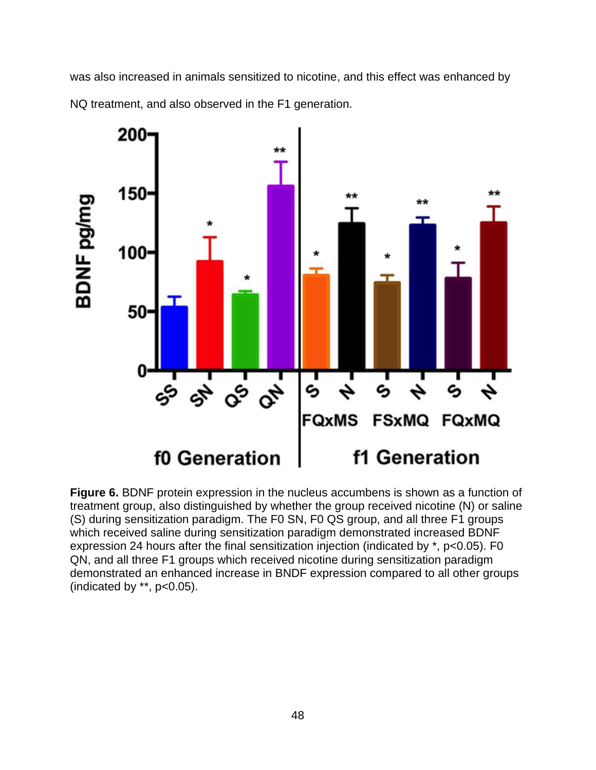was also increased in animals sensitized to nicotine, and this effect was enhanced by NQ treatment, and also observed in the F1 generation.



**Figure 6.** BDNF protein expression in the nucleus accumbens is shown as a function of treatment group, also distinguished by whether the group received nicotine (N) or saline (S) during sensitization paradigm. The F0 SN, F0 QS group, and all three F1 groups which received saline during sensitization paradigm demonstrated increased BDNF expression 24 hours after the final sensitization injection (indicated by \*, p<0.05). F0 QN, and all three F1 groups which received nicotine during sensitization paradigm demonstrated an enhanced increase in BNDF expression compared to all other groups (indicated by  $**$ ,  $p<0.05$ ).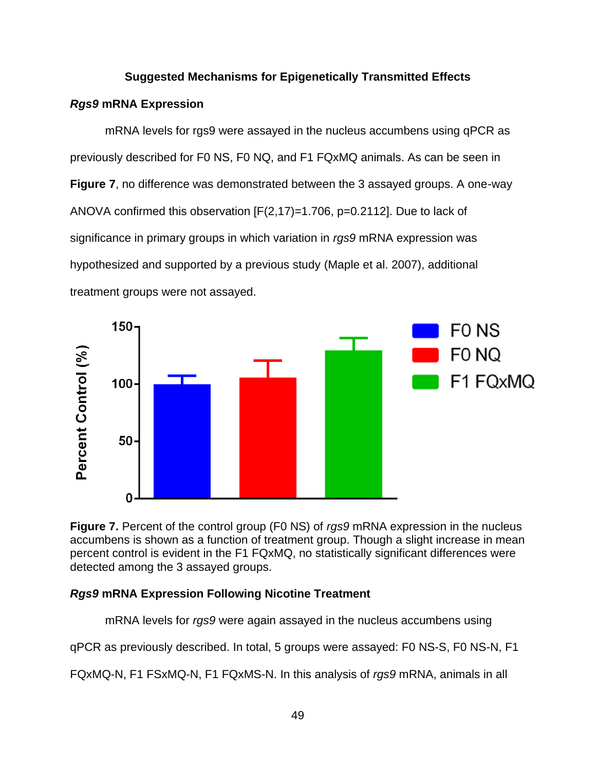## **Suggested Mechanisms for Epigenetically Transmitted Effects**

## *Rgs9* **mRNA Expression**

mRNA levels for rgs9 were assayed in the nucleus accumbens using qPCR as previously described for F0 NS, F0 NQ, and F1 FQxMQ animals. As can be seen in **Figure 7**, no difference was demonstrated between the 3 assayed groups. A one-way ANOVA confirmed this observation [F(2,17)=1.706, p=0.2112]. Due to lack of significance in primary groups in which variation in *rgs9* mRNA expression was hypothesized and supported by a previous study (Maple et al. 2007), additional treatment groups were not assayed.



**Figure 7.** Percent of the control group (F0 NS) of *rgs9* mRNA expression in the nucleus accumbens is shown as a function of treatment group. Though a slight increase in mean percent control is evident in the F1 FQxMQ, no statistically significant differences were detected among the 3 assayed groups.

## *Rgs9* **mRNA Expression Following Nicotine Treatment**

mRNA levels for *rgs9* were again assayed in the nucleus accumbens using

qPCR as previously described. In total, 5 groups were assayed: F0 NS-S, F0 NS-N, F1

FQxMQ-N, F1 FSxMQ-N, F1 FQxMS-N. In this analysis of *rgs9* mRNA, animals in all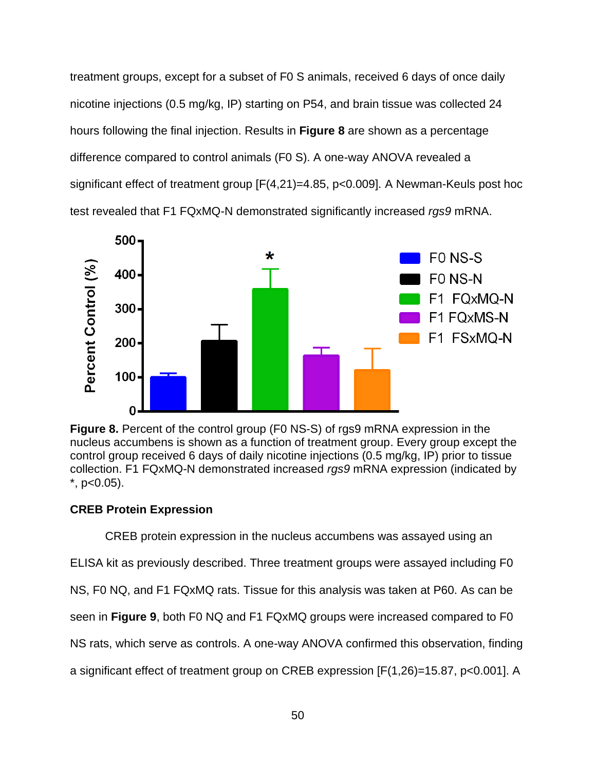treatment groups, except for a subset of F0 S animals, received 6 days of once daily nicotine injections (0.5 mg/kg, IP) starting on P54, and brain tissue was collected 24 hours following the final injection. Results in **Figure 8** are shown as a percentage difference compared to control animals (F0 S). A one-way ANOVA revealed a significant effect of treatment group [F(4,21)=4.85, p<0.009]. A Newman-Keuls post hoc test revealed that F1 FQxMQ-N demonstrated significantly increased *rgs9* mRNA.



**Figure 8.** Percent of the control group (F0 NS-S) of rgs9 mRNA expression in the nucleus accumbens is shown as a function of treatment group. Every group except the control group received 6 days of daily nicotine injections (0.5 mg/kg, IP) prior to tissue collection. F1 FQxMQ-N demonstrated increased *rgs9* mRNA expression (indicated by  $*$ , p<0.05).

## **CREB Protein Expression**

CREB protein expression in the nucleus accumbens was assayed using an ELISA kit as previously described. Three treatment groups were assayed including F0 NS, F0 NQ, and F1 FQxMQ rats. Tissue for this analysis was taken at P60. As can be seen in **Figure 9**, both F0 NQ and F1 FQxMQ groups were increased compared to F0 NS rats, which serve as controls. A one-way ANOVA confirmed this observation, finding a significant effect of treatment group on CREB expression [F(1,26)=15.87, p<0.001]. A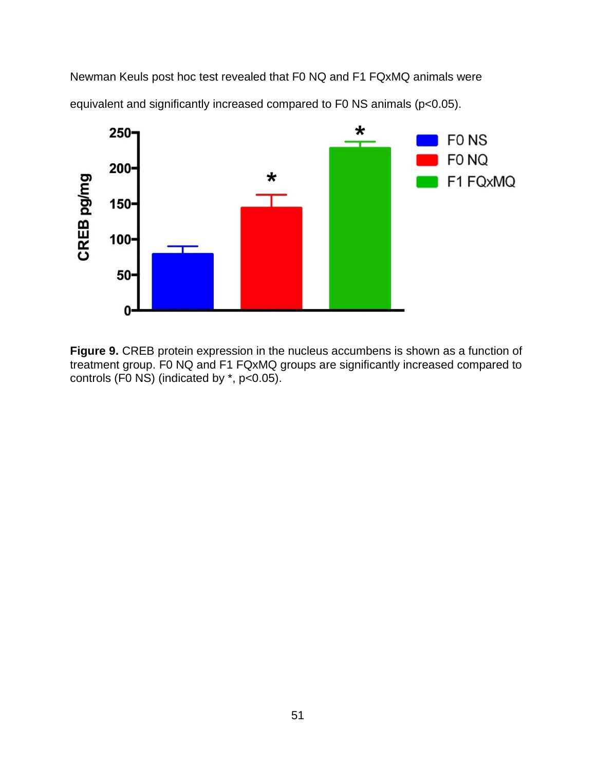Newman Keuls post hoc test revealed that F0 NQ and F1 FQxMQ animals were equivalent and significantly increased compared to F0 NS animals (p<0.05).



**Figure 9.** CREB protein expression in the nucleus accumbens is shown as a function of treatment group. F0 NQ and F1 FQxMQ groups are significantly increased compared to controls (F0 NS) (indicated by \*, p<0.05).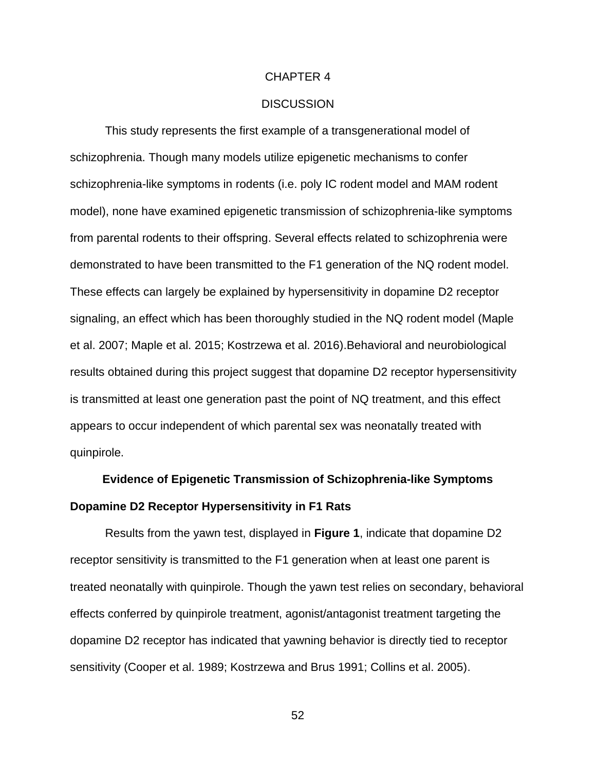#### CHAPTER 4

### **DISCUSSION**

This study represents the first example of a transgenerational model of schizophrenia. Though many models utilize epigenetic mechanisms to confer schizophrenia-like symptoms in rodents (i.e. poly IC rodent model and MAM rodent model), none have examined epigenetic transmission of schizophrenia-like symptoms from parental rodents to their offspring. Several effects related to schizophrenia were demonstrated to have been transmitted to the F1 generation of the NQ rodent model. These effects can largely be explained by hypersensitivity in dopamine D2 receptor signaling, an effect which has been thoroughly studied in the NQ rodent model (Maple et al. 2007; Maple et al. 2015; Kostrzewa et al. 2016).Behavioral and neurobiological results obtained during this project suggest that dopamine D2 receptor hypersensitivity is transmitted at least one generation past the point of NQ treatment, and this effect appears to occur independent of which parental sex was neonatally treated with quinpirole.

## **Evidence of Epigenetic Transmission of Schizophrenia-like Symptoms Dopamine D2 Receptor Hypersensitivity in F1 Rats**

Results from the yawn test, displayed in **Figure 1**, indicate that dopamine D2 receptor sensitivity is transmitted to the F1 generation when at least one parent is treated neonatally with quinpirole. Though the yawn test relies on secondary, behavioral effects conferred by quinpirole treatment, agonist/antagonist treatment targeting the dopamine D2 receptor has indicated that yawning behavior is directly tied to receptor sensitivity (Cooper et al. 1989; Kostrzewa and Brus 1991; Collins et al. 2005).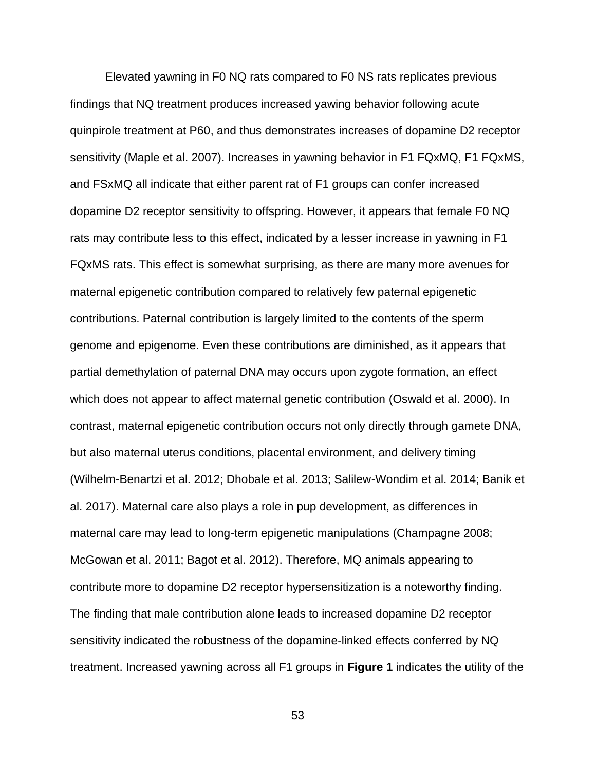Elevated yawning in F0 NQ rats compared to F0 NS rats replicates previous findings that NQ treatment produces increased yawing behavior following acute quinpirole treatment at P60, and thus demonstrates increases of dopamine D2 receptor sensitivity (Maple et al. 2007). Increases in yawning behavior in F1 FQxMQ, F1 FQxMS, and FSxMQ all indicate that either parent rat of F1 groups can confer increased dopamine D2 receptor sensitivity to offspring. However, it appears that female F0 NQ rats may contribute less to this effect, indicated by a lesser increase in yawning in F1 FQxMS rats. This effect is somewhat surprising, as there are many more avenues for maternal epigenetic contribution compared to relatively few paternal epigenetic contributions. Paternal contribution is largely limited to the contents of the sperm genome and epigenome. Even these contributions are diminished, as it appears that partial demethylation of paternal DNA may occurs upon zygote formation, an effect which does not appear to affect maternal genetic contribution (Oswald et al. 2000). In contrast, maternal epigenetic contribution occurs not only directly through gamete DNA, but also maternal uterus conditions, placental environment, and delivery timing (Wilhelm-Benartzi et al. 2012; Dhobale et al. 2013; Salilew-Wondim et al. 2014; Banik et al. 2017). Maternal care also plays a role in pup development, as differences in maternal care may lead to long-term epigenetic manipulations (Champagne 2008; McGowan et al. 2011; Bagot et al. 2012). Therefore, MQ animals appearing to contribute more to dopamine D2 receptor hypersensitization is a noteworthy finding. The finding that male contribution alone leads to increased dopamine D2 receptor sensitivity indicated the robustness of the dopamine-linked effects conferred by NQ treatment. Increased yawning across all F1 groups in **Figure 1** indicates the utility of the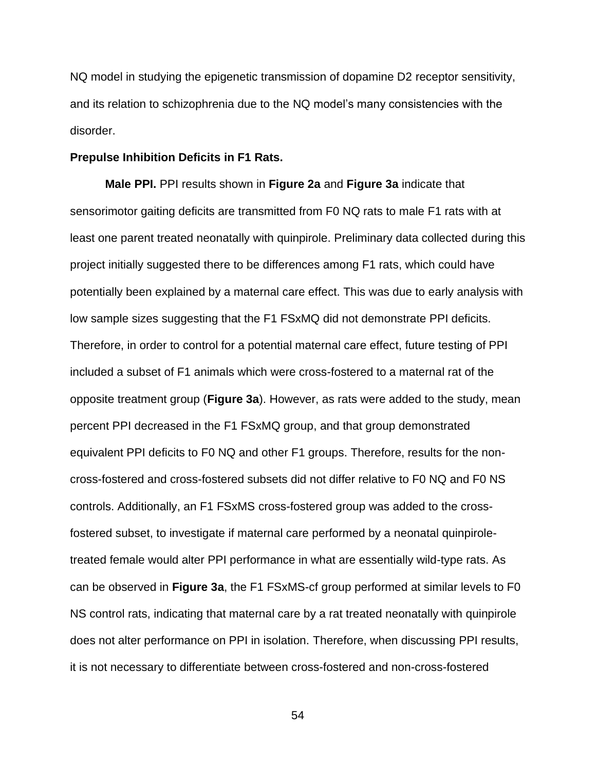NQ model in studying the epigenetic transmission of dopamine D2 receptor sensitivity, and its relation to schizophrenia due to the NQ model's many consistencies with the disorder.

## **Prepulse Inhibition Deficits in F1 Rats.**

**Male PPI.** PPI results shown in **Figure 2a** and **Figure 3a** indicate that sensorimotor gaiting deficits are transmitted from F0 NQ rats to male F1 rats with at least one parent treated neonatally with quinpirole. Preliminary data collected during this project initially suggested there to be differences among F1 rats, which could have potentially been explained by a maternal care effect. This was due to early analysis with low sample sizes suggesting that the F1 FSxMQ did not demonstrate PPI deficits. Therefore, in order to control for a potential maternal care effect, future testing of PPI included a subset of F1 animals which were cross-fostered to a maternal rat of the opposite treatment group (**Figure 3a**). However, as rats were added to the study, mean percent PPI decreased in the F1 FSxMQ group, and that group demonstrated equivalent PPI deficits to F0 NQ and other F1 groups. Therefore, results for the noncross-fostered and cross-fostered subsets did not differ relative to F0 NQ and F0 NS controls. Additionally, an F1 FSxMS cross-fostered group was added to the crossfostered subset, to investigate if maternal care performed by a neonatal quinpiroletreated female would alter PPI performance in what are essentially wild-type rats. As can be observed in **Figure 3a**, the F1 FSxMS-cf group performed at similar levels to F0 NS control rats, indicating that maternal care by a rat treated neonatally with quinpirole does not alter performance on PPI in isolation. Therefore, when discussing PPI results, it is not necessary to differentiate between cross-fostered and non-cross-fostered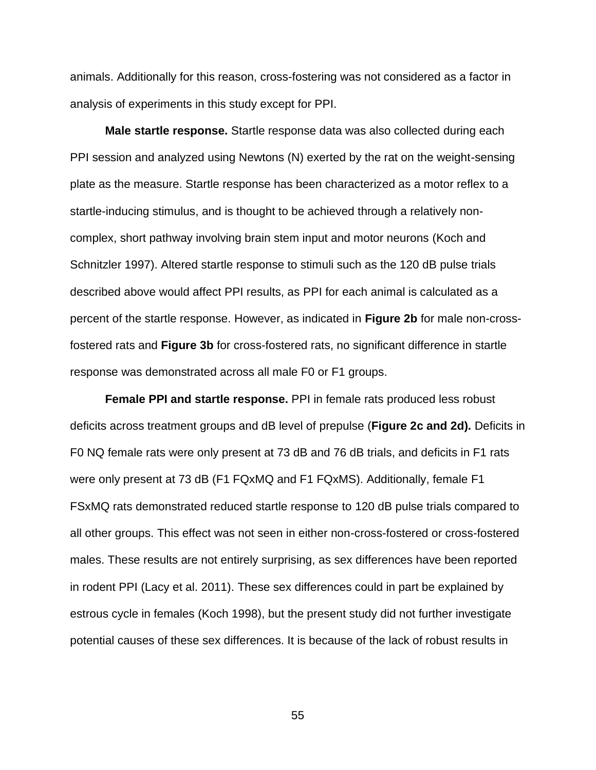animals. Additionally for this reason, cross-fostering was not considered as a factor in analysis of experiments in this study except for PPI.

**Male startle response.** Startle response data was also collected during each PPI session and analyzed using Newtons (N) exerted by the rat on the weight-sensing plate as the measure. Startle response has been characterized as a motor reflex to a startle-inducing stimulus, and is thought to be achieved through a relatively noncomplex, short pathway involving brain stem input and motor neurons (Koch and Schnitzler 1997). Altered startle response to stimuli such as the 120 dB pulse trials described above would affect PPI results, as PPI for each animal is calculated as a percent of the startle response. However, as indicated in **Figure 2b** for male non-crossfostered rats and **Figure 3b** for cross-fostered rats, no significant difference in startle response was demonstrated across all male F0 or F1 groups.

**Female PPI and startle response.** PPI in female rats produced less robust deficits across treatment groups and dB level of prepulse (**Figure 2c and 2d).** Deficits in F0 NQ female rats were only present at 73 dB and 76 dB trials, and deficits in F1 rats were only present at 73 dB (F1 FQxMQ and F1 FQxMS). Additionally, female F1 FSxMQ rats demonstrated reduced startle response to 120 dB pulse trials compared to all other groups. This effect was not seen in either non-cross-fostered or cross-fostered males. These results are not entirely surprising, as sex differences have been reported in rodent PPI (Lacy et al. 2011). These sex differences could in part be explained by estrous cycle in females (Koch 1998), but the present study did not further investigate potential causes of these sex differences. It is because of the lack of robust results in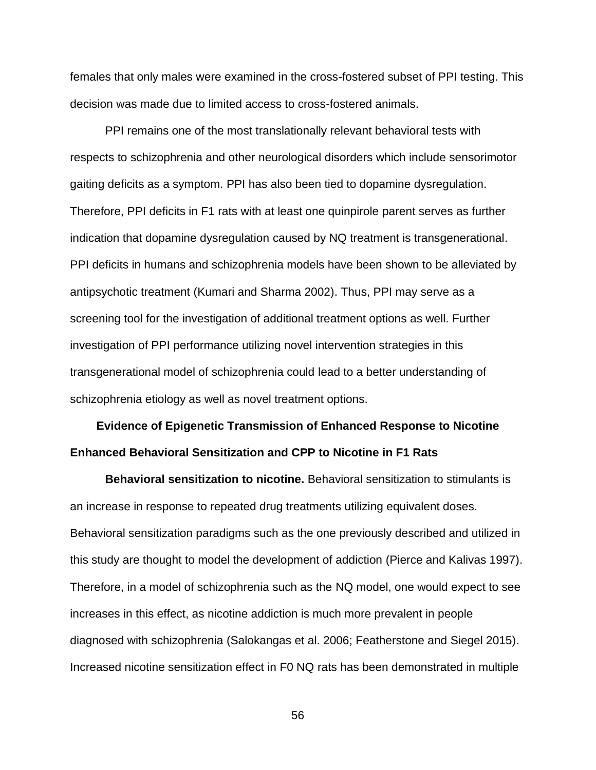females that only males were examined in the cross-fostered subset of PPI testing. This decision was made due to limited access to cross-fostered animals.

PPI remains one of the most translationally relevant behavioral tests with respects to schizophrenia and other neurological disorders which include sensorimotor gaiting deficits as a symptom. PPI has also been tied to dopamine dysregulation. Therefore, PPI deficits in F1 rats with at least one quinpirole parent serves as further indication that dopamine dysregulation caused by NQ treatment is transgenerational. PPI deficits in humans and schizophrenia models have been shown to be alleviated by antipsychotic treatment (Kumari and Sharma 2002). Thus, PPI may serve as a screening tool for the investigation of additional treatment options as well. Further investigation of PPI performance utilizing novel intervention strategies in this transgenerational model of schizophrenia could lead to a better understanding of schizophrenia etiology as well as novel treatment options.

## **Evidence of Epigenetic Transmission of Enhanced Response to Nicotine Enhanced Behavioral Sensitization and CPP to Nicotine in F1 Rats**

**Behavioral sensitization to nicotine.** Behavioral sensitization to stimulants is an increase in response to repeated drug treatments utilizing equivalent doses. Behavioral sensitization paradigms such as the one previously described and utilized in this study are thought to model the development of addiction (Pierce and Kalivas 1997). Therefore, in a model of schizophrenia such as the NQ model, one would expect to see increases in this effect, as nicotine addiction is much more prevalent in people diagnosed with schizophrenia (Salokangas et al. 2006; Featherstone and Siegel 2015). Increased nicotine sensitization effect in F0 NQ rats has been demonstrated in multiple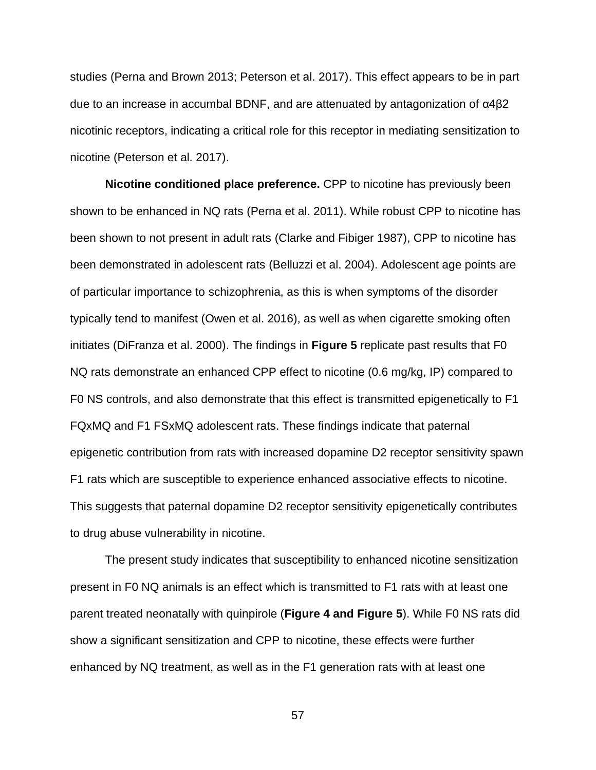studies (Perna and Brown 2013; Peterson et al. 2017). This effect appears to be in part due to an increase in accumbal BDNF, and are attenuated by antagonization of α4β2 nicotinic receptors, indicating a critical role for this receptor in mediating sensitization to nicotine (Peterson et al. 2017).

**Nicotine conditioned place preference.** CPP to nicotine has previously been shown to be enhanced in NQ rats (Perna et al. 2011). While robust CPP to nicotine has been shown to not present in adult rats (Clarke and Fibiger 1987), CPP to nicotine has been demonstrated in adolescent rats (Belluzzi et al. 2004). Adolescent age points are of particular importance to schizophrenia, as this is when symptoms of the disorder typically tend to manifest (Owen et al. 2016), as well as when cigarette smoking often initiates (DiFranza et al. 2000). The findings in **Figure 5** replicate past results that F0 NQ rats demonstrate an enhanced CPP effect to nicotine (0.6 mg/kg, IP) compared to F0 NS controls, and also demonstrate that this effect is transmitted epigenetically to F1 FQxMQ and F1 FSxMQ adolescent rats. These findings indicate that paternal epigenetic contribution from rats with increased dopamine D2 receptor sensitivity spawn F1 rats which are susceptible to experience enhanced associative effects to nicotine. This suggests that paternal dopamine D2 receptor sensitivity epigenetically contributes to drug abuse vulnerability in nicotine.

The present study indicates that susceptibility to enhanced nicotine sensitization present in F0 NQ animals is an effect which is transmitted to F1 rats with at least one parent treated neonatally with quinpirole (**Figure 4 and Figure 5**). While F0 NS rats did show a significant sensitization and CPP to nicotine, these effects were further enhanced by NQ treatment, as well as in the F1 generation rats with at least one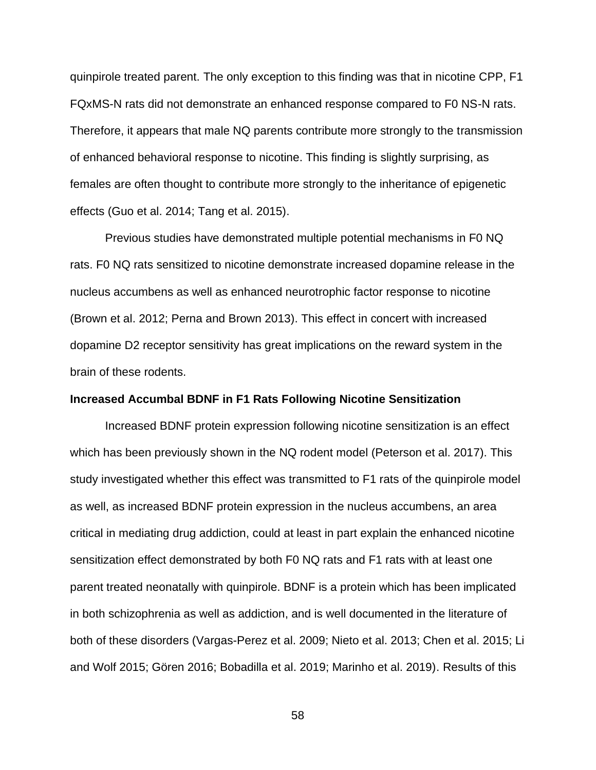quinpirole treated parent. The only exception to this finding was that in nicotine CPP, F1 FQxMS-N rats did not demonstrate an enhanced response compared to F0 NS-N rats. Therefore, it appears that male NQ parents contribute more strongly to the transmission of enhanced behavioral response to nicotine. This finding is slightly surprising, as females are often thought to contribute more strongly to the inheritance of epigenetic effects (Guo et al. 2014; Tang et al. 2015).

Previous studies have demonstrated multiple potential mechanisms in F0 NQ rats. F0 NQ rats sensitized to nicotine demonstrate increased dopamine release in the nucleus accumbens as well as enhanced neurotrophic factor response to nicotine (Brown et al. 2012; Perna and Brown 2013). This effect in concert with increased dopamine D2 receptor sensitivity has great implications on the reward system in the brain of these rodents.

## **Increased Accumbal BDNF in F1 Rats Following Nicotine Sensitization**

Increased BDNF protein expression following nicotine sensitization is an effect which has been previously shown in the NQ rodent model (Peterson et al. 2017). This study investigated whether this effect was transmitted to F1 rats of the quinpirole model as well, as increased BDNF protein expression in the nucleus accumbens, an area critical in mediating drug addiction, could at least in part explain the enhanced nicotine sensitization effect demonstrated by both F0 NQ rats and F1 rats with at least one parent treated neonatally with quinpirole. BDNF is a protein which has been implicated in both schizophrenia as well as addiction, and is well documented in the literature of both of these disorders (Vargas-Perez et al. 2009; Nieto et al. 2013; Chen et al. 2015; Li and Wolf 2015; Gören 2016; Bobadilla et al. 2019; Marinho et al. 2019). Results of this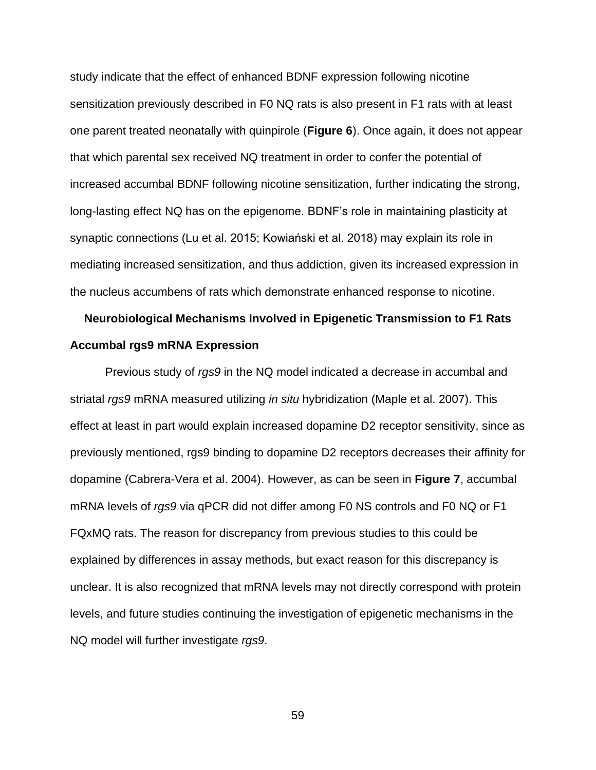study indicate that the effect of enhanced BDNF expression following nicotine sensitization previously described in F0 NQ rats is also present in F1 rats with at least one parent treated neonatally with quinpirole (**Figure 6**). Once again, it does not appear that which parental sex received NQ treatment in order to confer the potential of increased accumbal BDNF following nicotine sensitization, further indicating the strong, long-lasting effect NQ has on the epigenome. BDNF's role in maintaining plasticity at synaptic connections (Lu et al. 2015; Kowiański et al. 2018) may explain its role in mediating increased sensitization, and thus addiction, given its increased expression in the nucleus accumbens of rats which demonstrate enhanced response to nicotine.

## **Neurobiological Mechanisms Involved in Epigenetic Transmission to F1 Rats Accumbal rgs9 mRNA Expression**

Previous study of *rgs9* in the NQ model indicated a decrease in accumbal and striatal *rgs9* mRNA measured utilizing *in situ* hybridization (Maple et al. 2007). This effect at least in part would explain increased dopamine D2 receptor sensitivity, since as previously mentioned, rgs9 binding to dopamine D2 receptors decreases their affinity for dopamine (Cabrera-Vera et al. 2004). However, as can be seen in **Figure 7**, accumbal mRNA levels of *rgs9* via qPCR did not differ among F0 NS controls and F0 NQ or F1 FQxMQ rats. The reason for discrepancy from previous studies to this could be explained by differences in assay methods, but exact reason for this discrepancy is unclear. It is also recognized that mRNA levels may not directly correspond with protein levels, and future studies continuing the investigation of epigenetic mechanisms in the NQ model will further investigate *rgs9*.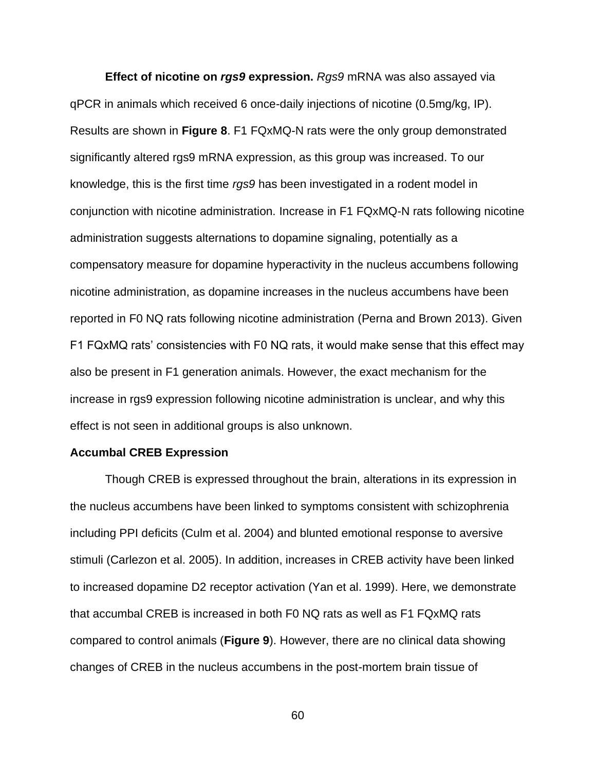**Effect of nicotine on** *rgs9* **expression.** *Rgs9* mRNA was also assayed via qPCR in animals which received 6 once-daily injections of nicotine (0.5mg/kg, IP). Results are shown in **Figure 8**. F1 FQxMQ-N rats were the only group demonstrated significantly altered rgs9 mRNA expression, as this group was increased. To our knowledge, this is the first time *rgs9* has been investigated in a rodent model in conjunction with nicotine administration. Increase in F1 FQxMQ-N rats following nicotine administration suggests alternations to dopamine signaling, potentially as a compensatory measure for dopamine hyperactivity in the nucleus accumbens following nicotine administration, as dopamine increases in the nucleus accumbens have been reported in F0 NQ rats following nicotine administration (Perna and Brown 2013). Given F1 FQxMQ rats' consistencies with F0 NQ rats, it would make sense that this effect may also be present in F1 generation animals. However, the exact mechanism for the increase in rgs9 expression following nicotine administration is unclear, and why this effect is not seen in additional groups is also unknown.

#### **Accumbal CREB Expression**

Though CREB is expressed throughout the brain, alterations in its expression in the nucleus accumbens have been linked to symptoms consistent with schizophrenia including PPI deficits (Culm et al. 2004) and blunted emotional response to aversive stimuli (Carlezon et al. 2005). In addition, increases in CREB activity have been linked to increased dopamine D2 receptor activation (Yan et al. 1999). Here, we demonstrate that accumbal CREB is increased in both F0 NQ rats as well as F1 FQxMQ rats compared to control animals (**Figure 9**). However, there are no clinical data showing changes of CREB in the nucleus accumbens in the post-mortem brain tissue of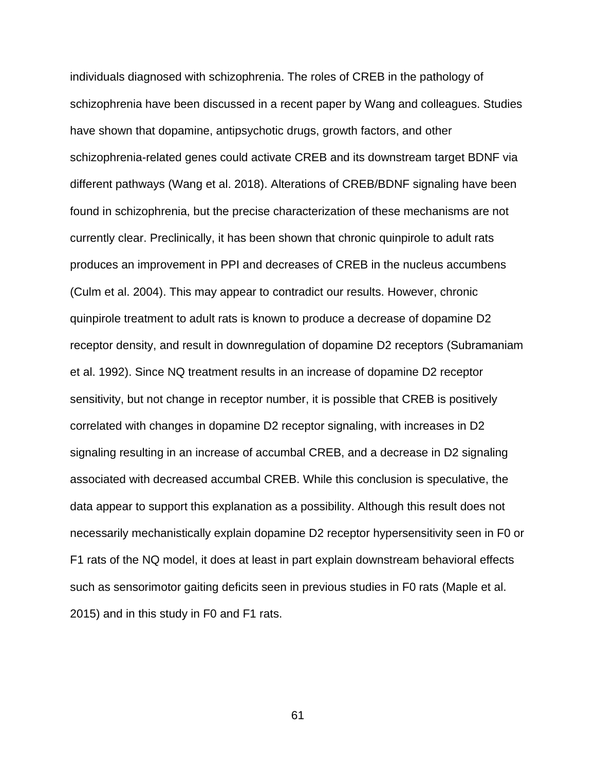individuals diagnosed with schizophrenia. The roles of CREB in the pathology of schizophrenia have been discussed in a recent paper by Wang and colleagues. Studies have shown that dopamine, antipsychotic drugs, growth factors, and other schizophrenia-related genes could activate CREB and its downstream target BDNF via different pathways (Wang et al. 2018). Alterations of CREB/BDNF signaling have been found in schizophrenia, but the precise characterization of these mechanisms are not currently clear. Preclinically, it has been shown that chronic quinpirole to adult rats produces an improvement in PPI and decreases of CREB in the nucleus accumbens (Culm et al. 2004). This may appear to contradict our results. However, chronic quinpirole treatment to adult rats is known to produce a decrease of dopamine D2 receptor density, and result in downregulation of dopamine D2 receptors (Subramaniam et al. 1992). Since NQ treatment results in an increase of dopamine D2 receptor sensitivity, but not change in receptor number, it is possible that CREB is positively correlated with changes in dopamine D2 receptor signaling, with increases in D2 signaling resulting in an increase of accumbal CREB, and a decrease in D2 signaling associated with decreased accumbal CREB. While this conclusion is speculative, the data appear to support this explanation as a possibility. Although this result does not necessarily mechanistically explain dopamine D2 receptor hypersensitivity seen in F0 or F1 rats of the NQ model, it does at least in part explain downstream behavioral effects such as sensorimotor gaiting deficits seen in previous studies in F0 rats (Maple et al. 2015) and in this study in F0 and F1 rats.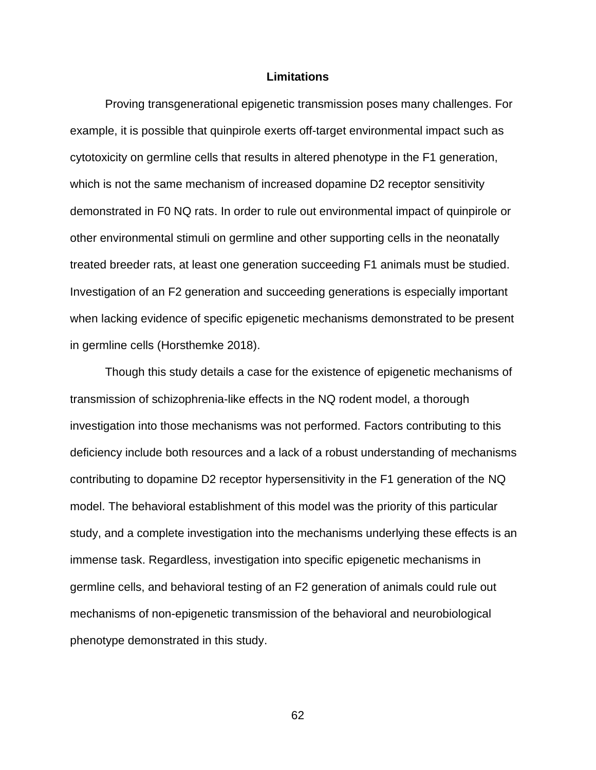## **Limitations**

Proving transgenerational epigenetic transmission poses many challenges. For example, it is possible that quinpirole exerts off-target environmental impact such as cytotoxicity on germline cells that results in altered phenotype in the F1 generation, which is not the same mechanism of increased dopamine D2 receptor sensitivity demonstrated in F0 NQ rats. In order to rule out environmental impact of quinpirole or other environmental stimuli on germline and other supporting cells in the neonatally treated breeder rats, at least one generation succeeding F1 animals must be studied. Investigation of an F2 generation and succeeding generations is especially important when lacking evidence of specific epigenetic mechanisms demonstrated to be present in germline cells (Horsthemke 2018).

Though this study details a case for the existence of epigenetic mechanisms of transmission of schizophrenia-like effects in the NQ rodent model, a thorough investigation into those mechanisms was not performed. Factors contributing to this deficiency include both resources and a lack of a robust understanding of mechanisms contributing to dopamine D2 receptor hypersensitivity in the F1 generation of the NQ model. The behavioral establishment of this model was the priority of this particular study, and a complete investigation into the mechanisms underlying these effects is an immense task. Regardless, investigation into specific epigenetic mechanisms in germline cells, and behavioral testing of an F2 generation of animals could rule out mechanisms of non-epigenetic transmission of the behavioral and neurobiological phenotype demonstrated in this study.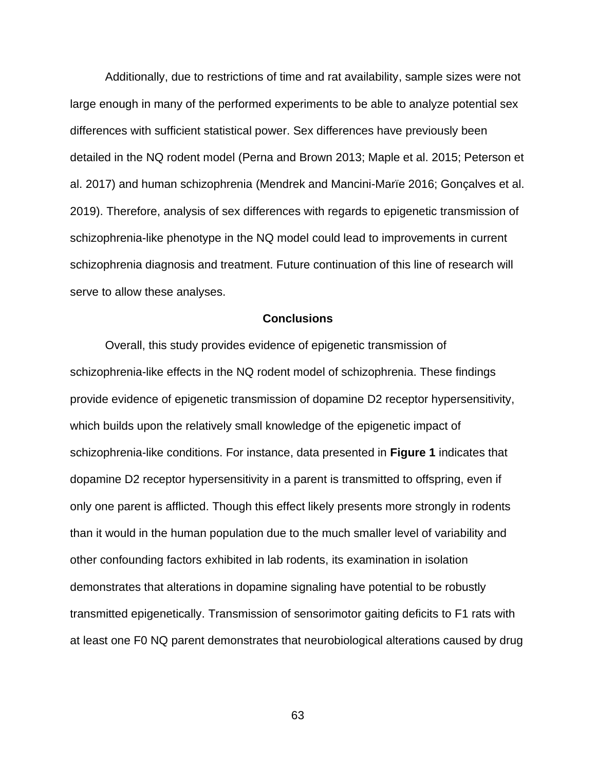Additionally, due to restrictions of time and rat availability, sample sizes were not large enough in many of the performed experiments to be able to analyze potential sex differences with sufficient statistical power. Sex differences have previously been detailed in the NQ rodent model (Perna and Brown 2013; Maple et al. 2015; Peterson et al. 2017) and human schizophrenia (Mendrek and Mancini-Marïe 2016; Gonçalves et al. 2019). Therefore, analysis of sex differences with regards to epigenetic transmission of schizophrenia-like phenotype in the NQ model could lead to improvements in current schizophrenia diagnosis and treatment. Future continuation of this line of research will serve to allow these analyses.

## **Conclusions**

Overall, this study provides evidence of epigenetic transmission of schizophrenia-like effects in the NQ rodent model of schizophrenia. These findings provide evidence of epigenetic transmission of dopamine D2 receptor hypersensitivity, which builds upon the relatively small knowledge of the epigenetic impact of schizophrenia-like conditions. For instance, data presented in **Figure 1** indicates that dopamine D2 receptor hypersensitivity in a parent is transmitted to offspring, even if only one parent is afflicted. Though this effect likely presents more strongly in rodents than it would in the human population due to the much smaller level of variability and other confounding factors exhibited in lab rodents, its examination in isolation demonstrates that alterations in dopamine signaling have potential to be robustly transmitted epigenetically. Transmission of sensorimotor gaiting deficits to F1 rats with at least one F0 NQ parent demonstrates that neurobiological alterations caused by drug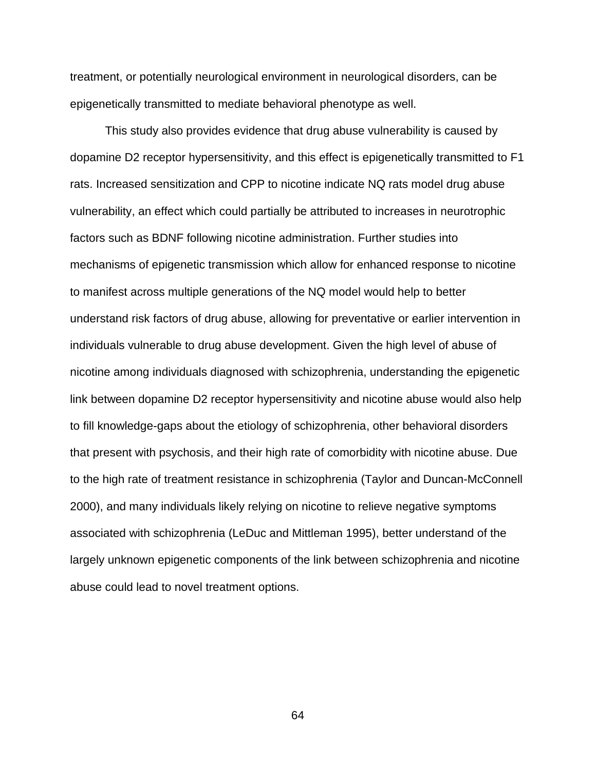treatment, or potentially neurological environment in neurological disorders, can be epigenetically transmitted to mediate behavioral phenotype as well.

This study also provides evidence that drug abuse vulnerability is caused by dopamine D2 receptor hypersensitivity, and this effect is epigenetically transmitted to F1 rats. Increased sensitization and CPP to nicotine indicate NQ rats model drug abuse vulnerability, an effect which could partially be attributed to increases in neurotrophic factors such as BDNF following nicotine administration. Further studies into mechanisms of epigenetic transmission which allow for enhanced response to nicotine to manifest across multiple generations of the NQ model would help to better understand risk factors of drug abuse, allowing for preventative or earlier intervention in individuals vulnerable to drug abuse development. Given the high level of abuse of nicotine among individuals diagnosed with schizophrenia, understanding the epigenetic link between dopamine D2 receptor hypersensitivity and nicotine abuse would also help to fill knowledge-gaps about the etiology of schizophrenia, other behavioral disorders that present with psychosis, and their high rate of comorbidity with nicotine abuse. Due to the high rate of treatment resistance in schizophrenia (Taylor and Duncan-McConnell 2000), and many individuals likely relying on nicotine to relieve negative symptoms associated with schizophrenia (LeDuc and Mittleman 1995), better understand of the largely unknown epigenetic components of the link between schizophrenia and nicotine abuse could lead to novel treatment options.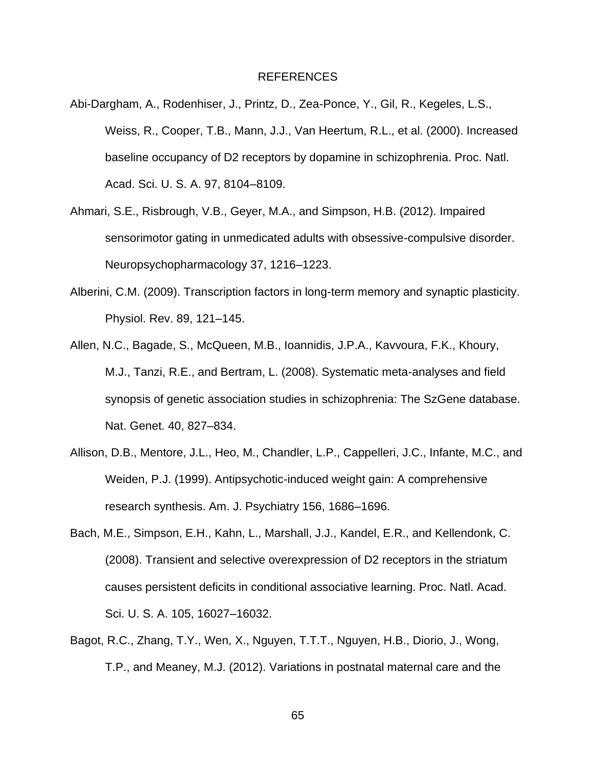### REFERENCES

- Abi-Dargham, A., Rodenhiser, J., Printz, D., Zea-Ponce, Y., Gil, R., Kegeles, L.S., Weiss, R., Cooper, T.B., Mann, J.J., Van Heertum, R.L., et al. (2000). Increased baseline occupancy of D2 receptors by dopamine in schizophrenia. Proc. Natl. Acad. Sci. U. S. A. 97, 8104–8109.
- Ahmari, S.E., Risbrough, V.B., Geyer, M.A., and Simpson, H.B. (2012). Impaired sensorimotor gating in unmedicated adults with obsessive-compulsive disorder. Neuropsychopharmacology 37, 1216–1223.
- Alberini, C.M. (2009). Transcription factors in long-term memory and synaptic plasticity. Physiol. Rev. 89, 121–145.
- Allen, N.C., Bagade, S., McQueen, M.B., Ioannidis, J.P.A., Kavvoura, F.K., Khoury, M.J., Tanzi, R.E., and Bertram, L. (2008). Systematic meta-analyses and field synopsis of genetic association studies in schizophrenia: The SzGene database. Nat. Genet. 40, 827–834.
- Allison, D.B., Mentore, J.L., Heo, M., Chandler, L.P., Cappelleri, J.C., Infante, M.C., and Weiden, P.J. (1999). Antipsychotic-induced weight gain: A comprehensive research synthesis. Am. J. Psychiatry 156, 1686–1696.
- Bach, M.E., Simpson, E.H., Kahn, L., Marshall, J.J., Kandel, E.R., and Kellendonk, C. (2008). Transient and selective overexpression of D2 receptors in the striatum causes persistent deficits in conditional associative learning. Proc. Natl. Acad. Sci. U. S. A. 105, 16027–16032.
- Bagot, R.C., Zhang, T.Y., Wen, X., Nguyen, T.T.T., Nguyen, H.B., Diorio, J., Wong, T.P., and Meaney, M.J. (2012). Variations in postnatal maternal care and the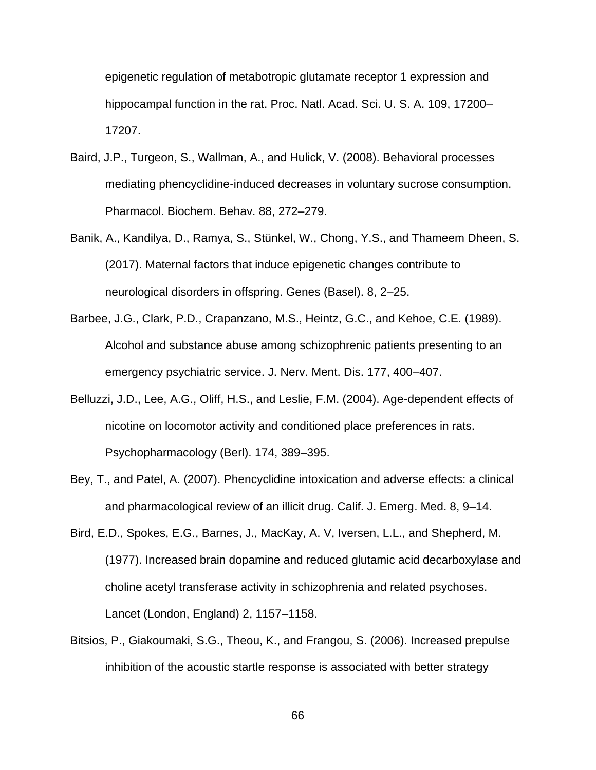epigenetic regulation of metabotropic glutamate receptor 1 expression and hippocampal function in the rat. Proc. Natl. Acad. Sci. U. S. A. 109, 17200– 17207.

- Baird, J.P., Turgeon, S., Wallman, A., and Hulick, V. (2008). Behavioral processes mediating phencyclidine-induced decreases in voluntary sucrose consumption. Pharmacol. Biochem. Behav. 88, 272–279.
- Banik, A., Kandilya, D., Ramya, S., Stünkel, W., Chong, Y.S., and Thameem Dheen, S. (2017). Maternal factors that induce epigenetic changes contribute to neurological disorders in offspring. Genes (Basel). 8, 2–25.
- Barbee, J.G., Clark, P.D., Crapanzano, M.S., Heintz, G.C., and Kehoe, C.E. (1989). Alcohol and substance abuse among schizophrenic patients presenting to an emergency psychiatric service. J. Nerv. Ment. Dis. 177, 400–407.
- Belluzzi, J.D., Lee, A.G., Oliff, H.S., and Leslie, F.M. (2004). Age-dependent effects of nicotine on locomotor activity and conditioned place preferences in rats. Psychopharmacology (Berl). 174, 389–395.
- Bey, T., and Patel, A. (2007). Phencyclidine intoxication and adverse effects: a clinical and pharmacological review of an illicit drug. Calif. J. Emerg. Med. 8, 9–14.
- Bird, E.D., Spokes, E.G., Barnes, J., MacKay, A. V, Iversen, L.L., and Shepherd, M. (1977). Increased brain dopamine and reduced glutamic acid decarboxylase and choline acetyl transferase activity in schizophrenia and related psychoses. Lancet (London, England) 2, 1157–1158.
- Bitsios, P., Giakoumaki, S.G., Theou, K., and Frangou, S. (2006). Increased prepulse inhibition of the acoustic startle response is associated with better strategy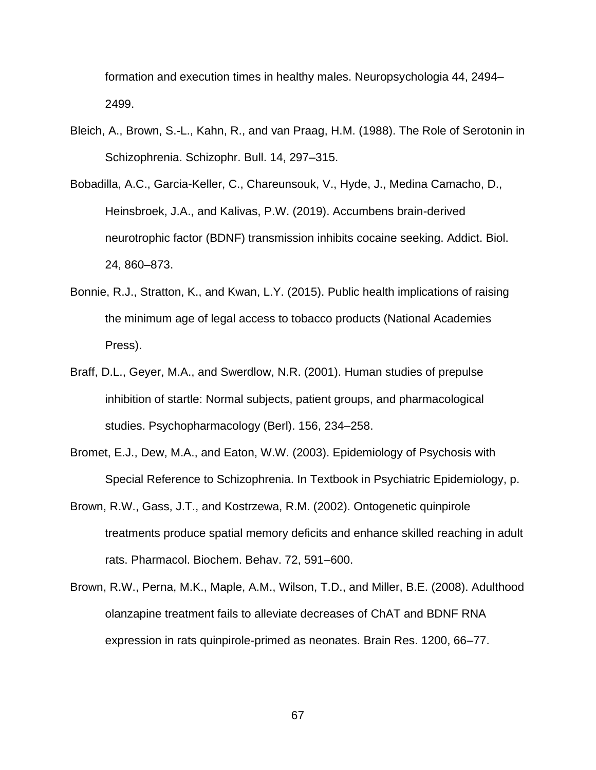formation and execution times in healthy males. Neuropsychologia 44, 2494– 2499.

- Bleich, A., Brown, S.-L., Kahn, R., and van Praag, H.M. (1988). The Role of Serotonin in Schizophrenia. Schizophr. Bull. 14, 297–315.
- Bobadilla, A.C., Garcia-Keller, C., Chareunsouk, V., Hyde, J., Medina Camacho, D., Heinsbroek, J.A., and Kalivas, P.W. (2019). Accumbens brain-derived neurotrophic factor (BDNF) transmission inhibits cocaine seeking. Addict. Biol. 24, 860–873.
- Bonnie, R.J., Stratton, K., and Kwan, L.Y. (2015). Public health implications of raising the minimum age of legal access to tobacco products (National Academies Press).
- Braff, D.L., Geyer, M.A., and Swerdlow, N.R. (2001). Human studies of prepulse inhibition of startle: Normal subjects, patient groups, and pharmacological studies. Psychopharmacology (Berl). 156, 234–258.
- Bromet, E.J., Dew, M.A., and Eaton, W.W. (2003). Epidemiology of Psychosis with Special Reference to Schizophrenia. In Textbook in Psychiatric Epidemiology, p.
- Brown, R.W., Gass, J.T., and Kostrzewa, R.M. (2002). Ontogenetic quinpirole treatments produce spatial memory deficits and enhance skilled reaching in adult rats. Pharmacol. Biochem. Behav. 72, 591–600.
- Brown, R.W., Perna, M.K., Maple, A.M., Wilson, T.D., and Miller, B.E. (2008). Adulthood olanzapine treatment fails to alleviate decreases of ChAT and BDNF RNA expression in rats quinpirole-primed as neonates. Brain Res. 1200, 66–77.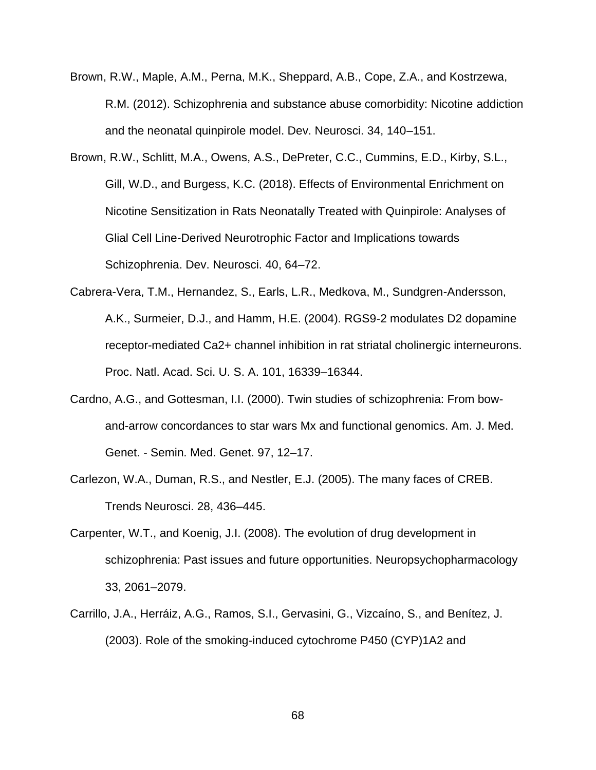- Brown, R.W., Maple, A.M., Perna, M.K., Sheppard, A.B., Cope, Z.A., and Kostrzewa, R.M. (2012). Schizophrenia and substance abuse comorbidity: Nicotine addiction and the neonatal quinpirole model. Dev. Neurosci. 34, 140–151.
- Brown, R.W., Schlitt, M.A., Owens, A.S., DePreter, C.C., Cummins, E.D., Kirby, S.L., Gill, W.D., and Burgess, K.C. (2018). Effects of Environmental Enrichment on Nicotine Sensitization in Rats Neonatally Treated with Quinpirole: Analyses of Glial Cell Line-Derived Neurotrophic Factor and Implications towards Schizophrenia. Dev. Neurosci. 40, 64–72.
- Cabrera-Vera, T.M., Hernandez, S., Earls, L.R., Medkova, M., Sundgren-Andersson, A.K., Surmeier, D.J., and Hamm, H.E. (2004). RGS9-2 modulates D2 dopamine receptor-mediated Ca2+ channel inhibition in rat striatal cholinergic interneurons. Proc. Natl. Acad. Sci. U. S. A. 101, 16339–16344.
- Cardno, A.G., and Gottesman, I.I. (2000). Twin studies of schizophrenia: From bowand-arrow concordances to star wars Mx and functional genomics. Am. J. Med. Genet. - Semin. Med. Genet. 97, 12–17.
- Carlezon, W.A., Duman, R.S., and Nestler, E.J. (2005). The many faces of CREB. Trends Neurosci. 28, 436–445.
- Carpenter, W.T., and Koenig, J.I. (2008). The evolution of drug development in schizophrenia: Past issues and future opportunities. Neuropsychopharmacology 33, 2061–2079.
- Carrillo, J.A., Herráiz, A.G., Ramos, S.I., Gervasini, G., Vizcaíno, S., and Benítez, J. (2003). Role of the smoking-induced cytochrome P450 (CYP)1A2 and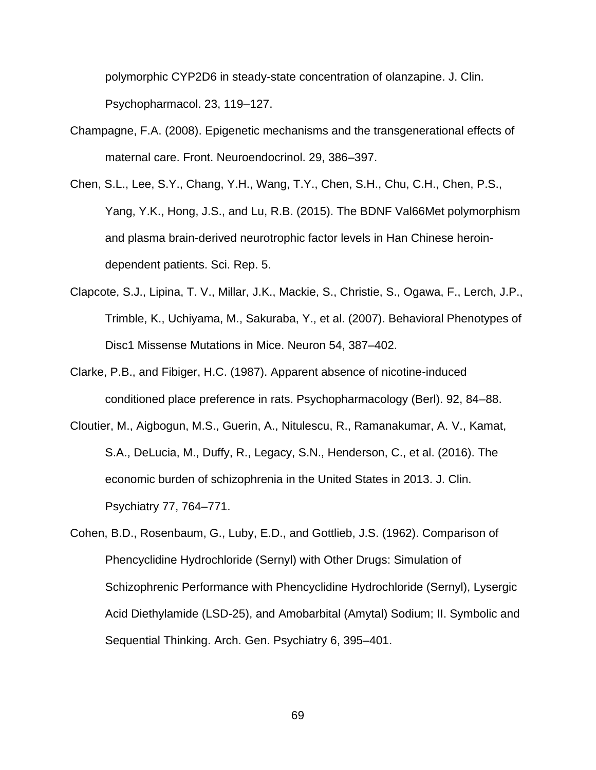polymorphic CYP2D6 in steady-state concentration of olanzapine. J. Clin. Psychopharmacol. 23, 119–127.

- Champagne, F.A. (2008). Epigenetic mechanisms and the transgenerational effects of maternal care. Front. Neuroendocrinol. 29, 386–397.
- Chen, S.L., Lee, S.Y., Chang, Y.H., Wang, T.Y., Chen, S.H., Chu, C.H., Chen, P.S., Yang, Y.K., Hong, J.S., and Lu, R.B. (2015). The BDNF Val66Met polymorphism and plasma brain-derived neurotrophic factor levels in Han Chinese heroindependent patients. Sci. Rep. 5.
- Clapcote, S.J., Lipina, T. V., Millar, J.K., Mackie, S., Christie, S., Ogawa, F., Lerch, J.P., Trimble, K., Uchiyama, M., Sakuraba, Y., et al. (2007). Behavioral Phenotypes of Disc1 Missense Mutations in Mice. Neuron 54, 387–402.
- Clarke, P.B., and Fibiger, H.C. (1987). Apparent absence of nicotine-induced conditioned place preference in rats. Psychopharmacology (Berl). 92, 84–88.
- Cloutier, M., Aigbogun, M.S., Guerin, A., Nitulescu, R., Ramanakumar, A. V., Kamat, S.A., DeLucia, M., Duffy, R., Legacy, S.N., Henderson, C., et al. (2016). The economic burden of schizophrenia in the United States in 2013. J. Clin. Psychiatry 77, 764–771.
- Cohen, B.D., Rosenbaum, G., Luby, E.D., and Gottlieb, J.S. (1962). Comparison of Phencyclidine Hydrochloride (Sernyl) with Other Drugs: Simulation of Schizophrenic Performance with Phencyclidine Hydrochloride (Sernyl), Lysergic Acid Diethylamide (LSD-25), and Amobarbital (Amytal) Sodium; II. Symbolic and Sequential Thinking. Arch. Gen. Psychiatry 6, 395–401.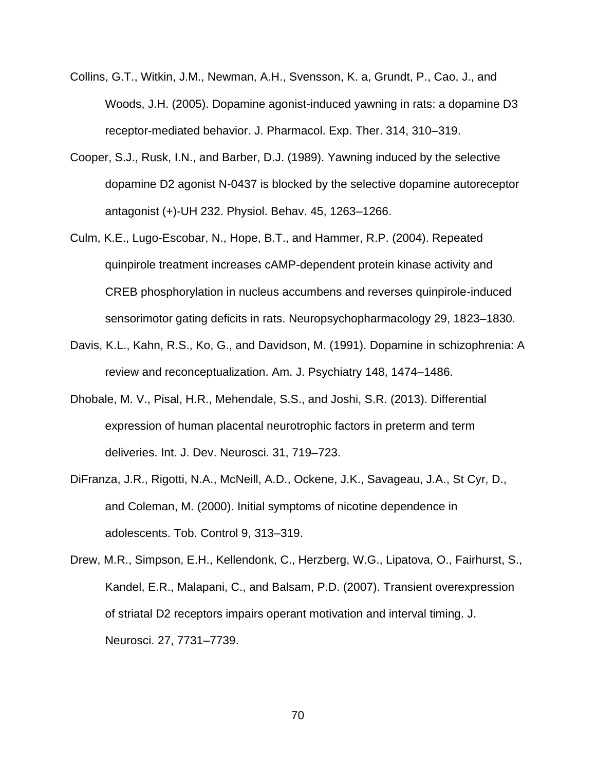- Collins, G.T., Witkin, J.M., Newman, A.H., Svensson, K. a, Grundt, P., Cao, J., and Woods, J.H. (2005). Dopamine agonist-induced yawning in rats: a dopamine D3 receptor-mediated behavior. J. Pharmacol. Exp. Ther. 314, 310–319.
- Cooper, S.J., Rusk, I.N., and Barber, D.J. (1989). Yawning induced by the selective dopamine D2 agonist N-0437 is blocked by the selective dopamine autoreceptor antagonist (+)-UH 232. Physiol. Behav. 45, 1263–1266.
- Culm, K.E., Lugo-Escobar, N., Hope, B.T., and Hammer, R.P. (2004). Repeated quinpirole treatment increases cAMP-dependent protein kinase activity and CREB phosphorylation in nucleus accumbens and reverses quinpirole-induced sensorimotor gating deficits in rats. Neuropsychopharmacology 29, 1823–1830.
- Davis, K.L., Kahn, R.S., Ko, G., and Davidson, M. (1991). Dopamine in schizophrenia: A review and reconceptualization. Am. J. Psychiatry 148, 1474–1486.
- Dhobale, M. V., Pisal, H.R., Mehendale, S.S., and Joshi, S.R. (2013). Differential expression of human placental neurotrophic factors in preterm and term deliveries. Int. J. Dev. Neurosci. 31, 719–723.
- DiFranza, J.R., Rigotti, N.A., McNeill, A.D., Ockene, J.K., Savageau, J.A., St Cyr, D., and Coleman, M. (2000). Initial symptoms of nicotine dependence in adolescents. Tob. Control 9, 313–319.
- Drew, M.R., Simpson, E.H., Kellendonk, C., Herzberg, W.G., Lipatova, O., Fairhurst, S., Kandel, E.R., Malapani, C., and Balsam, P.D. (2007). Transient overexpression of striatal D2 receptors impairs operant motivation and interval timing. J. Neurosci. 27, 7731–7739.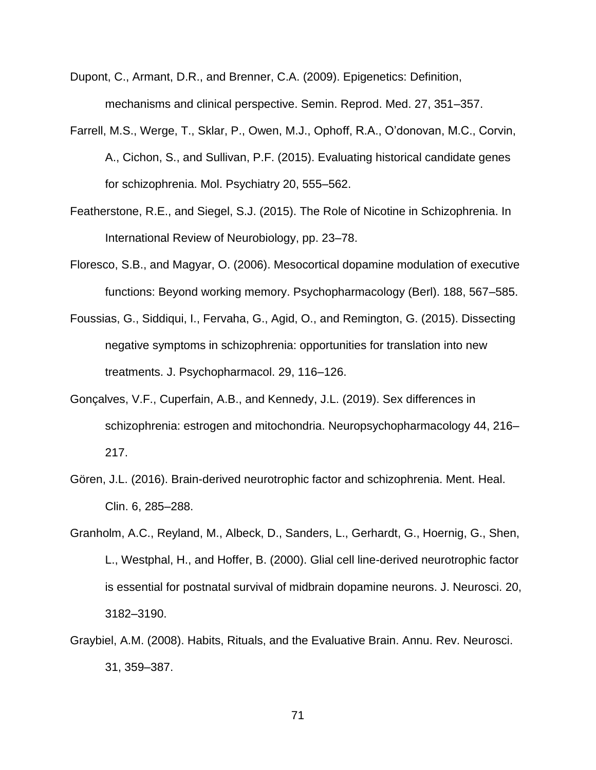- Dupont, C., Armant, D.R., and Brenner, C.A. (2009). Epigenetics: Definition, mechanisms and clinical perspective. Semin. Reprod. Med. 27, 351–357.
- Farrell, M.S., Werge, T., Sklar, P., Owen, M.J., Ophoff, R.A., O'donovan, M.C., Corvin, A., Cichon, S., and Sullivan, P.F. (2015). Evaluating historical candidate genes for schizophrenia. Mol. Psychiatry 20, 555–562.
- Featherstone, R.E., and Siegel, S.J. (2015). The Role of Nicotine in Schizophrenia. In International Review of Neurobiology, pp. 23–78.
- Floresco, S.B., and Magyar, O. (2006). Mesocortical dopamine modulation of executive functions: Beyond working memory. Psychopharmacology (Berl). 188, 567–585.
- Foussias, G., Siddiqui, I., Fervaha, G., Agid, O., and Remington, G. (2015). Dissecting negative symptoms in schizophrenia: opportunities for translation into new treatments. J. Psychopharmacol. 29, 116–126.
- Gonçalves, V.F., Cuperfain, A.B., and Kennedy, J.L. (2019). Sex differences in schizophrenia: estrogen and mitochondria. Neuropsychopharmacology 44, 216– 217.
- Gören, J.L. (2016). Brain-derived neurotrophic factor and schizophrenia. Ment. Heal. Clin. 6, 285–288.
- Granholm, A.C., Reyland, M., Albeck, D., Sanders, L., Gerhardt, G., Hoernig, G., Shen, L., Westphal, H., and Hoffer, B. (2000). Glial cell line-derived neurotrophic factor is essential for postnatal survival of midbrain dopamine neurons. J. Neurosci. 20, 3182–3190.
- Graybiel, A.M. (2008). Habits, Rituals, and the Evaluative Brain. Annu. Rev. Neurosci. 31, 359–387.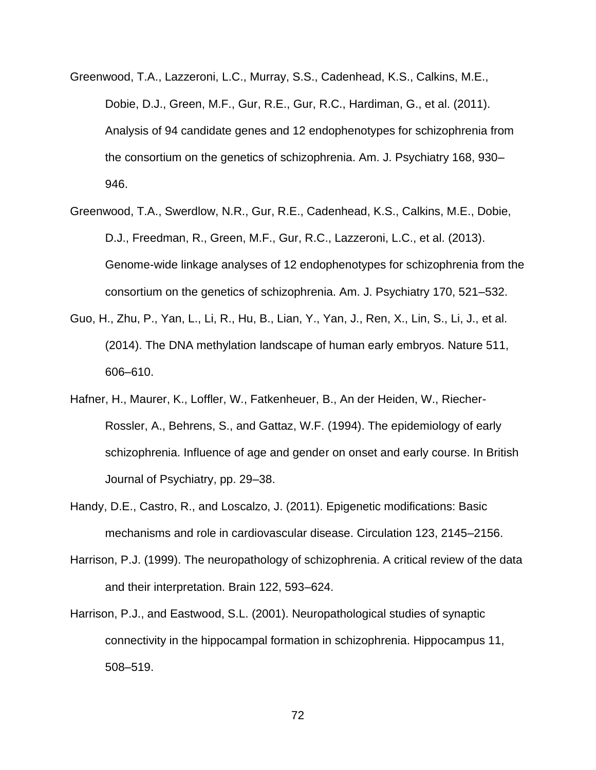- Greenwood, T.A., Lazzeroni, L.C., Murray, S.S., Cadenhead, K.S., Calkins, M.E., Dobie, D.J., Green, M.F., Gur, R.E., Gur, R.C., Hardiman, G., et al. (2011). Analysis of 94 candidate genes and 12 endophenotypes for schizophrenia from the consortium on the genetics of schizophrenia. Am. J. Psychiatry 168, 930– 946.
- Greenwood, T.A., Swerdlow, N.R., Gur, R.E., Cadenhead, K.S., Calkins, M.E., Dobie, D.J., Freedman, R., Green, M.F., Gur, R.C., Lazzeroni, L.C., et al. (2013). Genome-wide linkage analyses of 12 endophenotypes for schizophrenia from the consortium on the genetics of schizophrenia. Am. J. Psychiatry 170, 521–532.
- Guo, H., Zhu, P., Yan, L., Li, R., Hu, B., Lian, Y., Yan, J., Ren, X., Lin, S., Li, J., et al. (2014). The DNA methylation landscape of human early embryos. Nature 511, 606–610.
- Hafner, H., Maurer, K., Loffler, W., Fatkenheuer, B., An der Heiden, W., Riecher-Rossler, A., Behrens, S., and Gattaz, W.F. (1994). The epidemiology of early schizophrenia. Influence of age and gender on onset and early course. In British Journal of Psychiatry, pp. 29–38.
- Handy, D.E., Castro, R., and Loscalzo, J. (2011). Epigenetic modifications: Basic mechanisms and role in cardiovascular disease. Circulation 123, 2145–2156.
- Harrison, P.J. (1999). The neuropathology of schizophrenia. A critical review of the data and their interpretation. Brain 122, 593–624.
- Harrison, P.J., and Eastwood, S.L. (2001). Neuropathological studies of synaptic connectivity in the hippocampal formation in schizophrenia. Hippocampus 11, 508–519.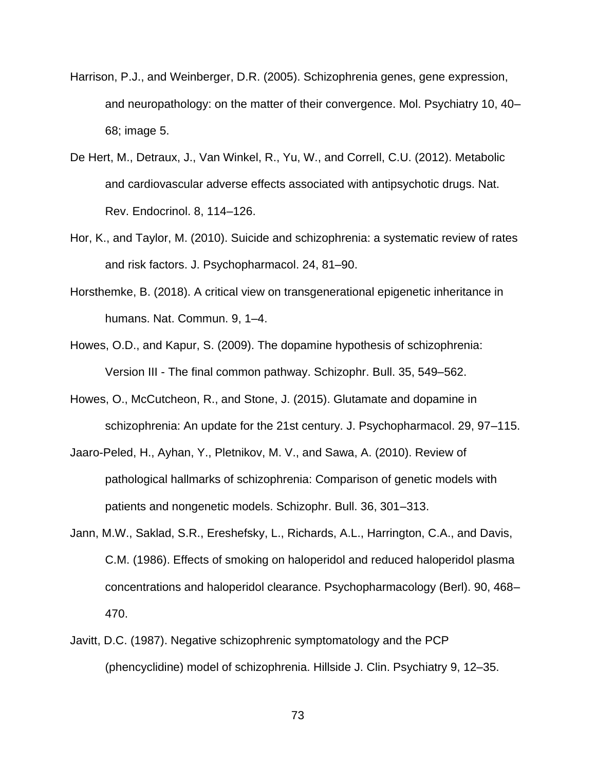- Harrison, P.J., and Weinberger, D.R. (2005). Schizophrenia genes, gene expression, and neuropathology: on the matter of their convergence. Mol. Psychiatry 10, 40– 68; image 5.
- De Hert, M., Detraux, J., Van Winkel, R., Yu, W., and Correll, C.U. (2012). Metabolic and cardiovascular adverse effects associated with antipsychotic drugs. Nat. Rev. Endocrinol. 8, 114–126.
- Hor, K., and Taylor, M. (2010). Suicide and schizophrenia: a systematic review of rates and risk factors. J. Psychopharmacol. 24, 81–90.
- Horsthemke, B. (2018). A critical view on transgenerational epigenetic inheritance in humans. Nat. Commun. 9, 1–4.
- Howes, O.D., and Kapur, S. (2009). The dopamine hypothesis of schizophrenia: Version III - The final common pathway. Schizophr. Bull. 35, 549–562.
- Howes, O., McCutcheon, R., and Stone, J. (2015). Glutamate and dopamine in schizophrenia: An update for the 21st century. J. Psychopharmacol. 29, 97–115.
- Jaaro-Peled, H., Ayhan, Y., Pletnikov, M. V., and Sawa, A. (2010). Review of pathological hallmarks of schizophrenia: Comparison of genetic models with patients and nongenetic models. Schizophr. Bull. 36, 301–313.
- Jann, M.W., Saklad, S.R., Ereshefsky, L., Richards, A.L., Harrington, C.A., and Davis, C.M. (1986). Effects of smoking on haloperidol and reduced haloperidol plasma concentrations and haloperidol clearance. Psychopharmacology (Berl). 90, 468– 470.
- Javitt, D.C. (1987). Negative schizophrenic symptomatology and the PCP (phencyclidine) model of schizophrenia. Hillside J. Clin. Psychiatry 9, 12–35.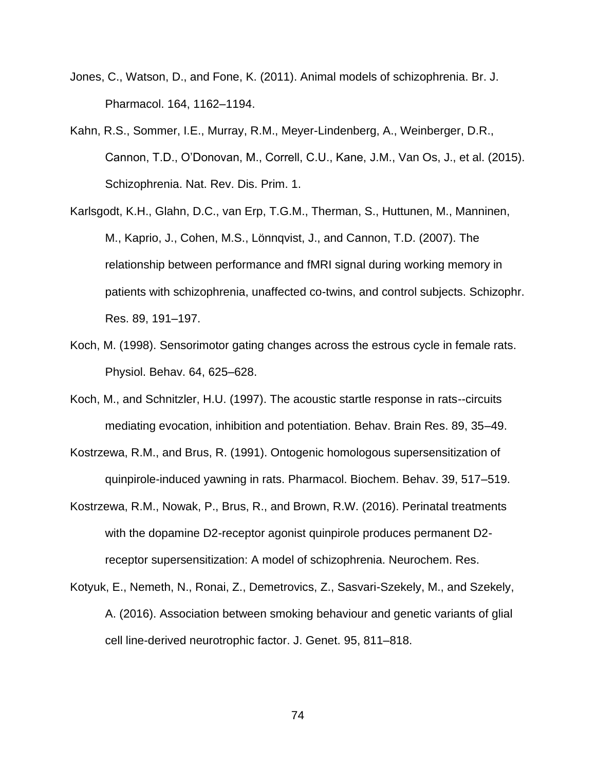- Jones, C., Watson, D., and Fone, K. (2011). Animal models of schizophrenia. Br. J. Pharmacol. 164, 1162–1194.
- Kahn, R.S., Sommer, I.E., Murray, R.M., Meyer-Lindenberg, A., Weinberger, D.R., Cannon, T.D., O'Donovan, M., Correll, C.U., Kane, J.M., Van Os, J., et al. (2015). Schizophrenia. Nat. Rev. Dis. Prim. 1.
- Karlsgodt, K.H., Glahn, D.C., van Erp, T.G.M., Therman, S., Huttunen, M., Manninen, M., Kaprio, J., Cohen, M.S., Lönnqvist, J., and Cannon, T.D. (2007). The relationship between performance and fMRI signal during working memory in patients with schizophrenia, unaffected co-twins, and control subjects. Schizophr. Res. 89, 191–197.
- Koch, M. (1998). Sensorimotor gating changes across the estrous cycle in female rats. Physiol. Behav. 64, 625–628.
- Koch, M., and Schnitzler, H.U. (1997). The acoustic startle response in rats--circuits mediating evocation, inhibition and potentiation. Behav. Brain Res. 89, 35–49.
- Kostrzewa, R.M., and Brus, R. (1991). Ontogenic homologous supersensitization of quinpirole-induced yawning in rats. Pharmacol. Biochem. Behav. 39, 517–519.
- Kostrzewa, R.M., Nowak, P., Brus, R., and Brown, R.W. (2016). Perinatal treatments with the dopamine D2-receptor agonist quinpirole produces permanent D2 receptor supersensitization: A model of schizophrenia. Neurochem. Res.
- Kotyuk, E., Nemeth, N., Ronai, Z., Demetrovics, Z., Sasvari-Szekely, M., and Szekely, A. (2016). Association between smoking behaviour and genetic variants of glial cell line-derived neurotrophic factor. J. Genet. 95, 811–818.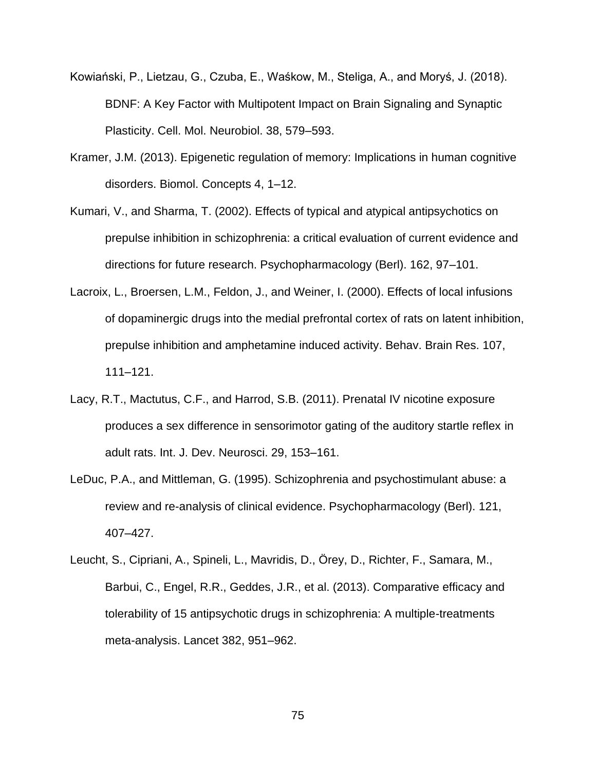- Kowiański, P., Lietzau, G., Czuba, E., Waśkow, M., Steliga, A., and Moryś, J. (2018). BDNF: A Key Factor with Multipotent Impact on Brain Signaling and Synaptic Plasticity. Cell. Mol. Neurobiol. 38, 579–593.
- Kramer, J.M. (2013). Epigenetic regulation of memory: Implications in human cognitive disorders. Biomol. Concepts 4, 1–12.
- Kumari, V., and Sharma, T. (2002). Effects of typical and atypical antipsychotics on prepulse inhibition in schizophrenia: a critical evaluation of current evidence and directions for future research. Psychopharmacology (Berl). 162, 97–101.
- Lacroix, L., Broersen, L.M., Feldon, J., and Weiner, I. (2000). Effects of local infusions of dopaminergic drugs into the medial prefrontal cortex of rats on latent inhibition, prepulse inhibition and amphetamine induced activity. Behav. Brain Res. 107, 111–121.
- Lacy, R.T., Mactutus, C.F., and Harrod, S.B. (2011). Prenatal IV nicotine exposure produces a sex difference in sensorimotor gating of the auditory startle reflex in adult rats. Int. J. Dev. Neurosci. 29, 153–161.
- LeDuc, P.A., and Mittleman, G. (1995). Schizophrenia and psychostimulant abuse: a review and re-analysis of clinical evidence. Psychopharmacology (Berl). 121, 407–427.
- Leucht, S., Cipriani, A., Spineli, L., Mavridis, D., Örey, D., Richter, F., Samara, M., Barbui, C., Engel, R.R., Geddes, J.R., et al. (2013). Comparative efficacy and tolerability of 15 antipsychotic drugs in schizophrenia: A multiple-treatments meta-analysis. Lancet 382, 951–962.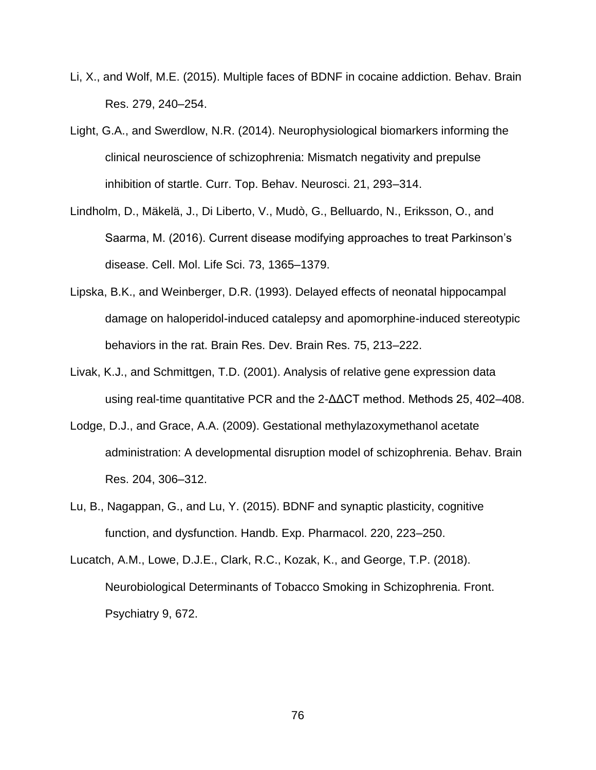- Li, X., and Wolf, M.E. (2015). Multiple faces of BDNF in cocaine addiction. Behav. Brain Res. 279, 240–254.
- Light, G.A., and Swerdlow, N.R. (2014). Neurophysiological biomarkers informing the clinical neuroscience of schizophrenia: Mismatch negativity and prepulse inhibition of startle. Curr. Top. Behav. Neurosci. 21, 293–314.
- Lindholm, D., Mäkelä, J., Di Liberto, V., Mudò, G., Belluardo, N., Eriksson, O., and Saarma, M. (2016). Current disease modifying approaches to treat Parkinson's disease. Cell. Mol. Life Sci. 73, 1365–1379.
- Lipska, B.K., and Weinberger, D.R. (1993). Delayed effects of neonatal hippocampal damage on haloperidol-induced catalepsy and apomorphine-induced stereotypic behaviors in the rat. Brain Res. Dev. Brain Res. 75, 213–222.
- Livak, K.J., and Schmittgen, T.D. (2001). Analysis of relative gene expression data using real-time quantitative PCR and the 2-ΔΔCT method. Methods 25, 402–408.
- Lodge, D.J., and Grace, A.A. (2009). Gestational methylazoxymethanol acetate administration: A developmental disruption model of schizophrenia. Behav. Brain Res. 204, 306–312.
- Lu, B., Nagappan, G., and Lu, Y. (2015). BDNF and synaptic plasticity, cognitive function, and dysfunction. Handb. Exp. Pharmacol. 220, 223–250.
- Lucatch, A.M., Lowe, D.J.E., Clark, R.C., Kozak, K., and George, T.P. (2018). Neurobiological Determinants of Tobacco Smoking in Schizophrenia. Front. Psychiatry 9, 672.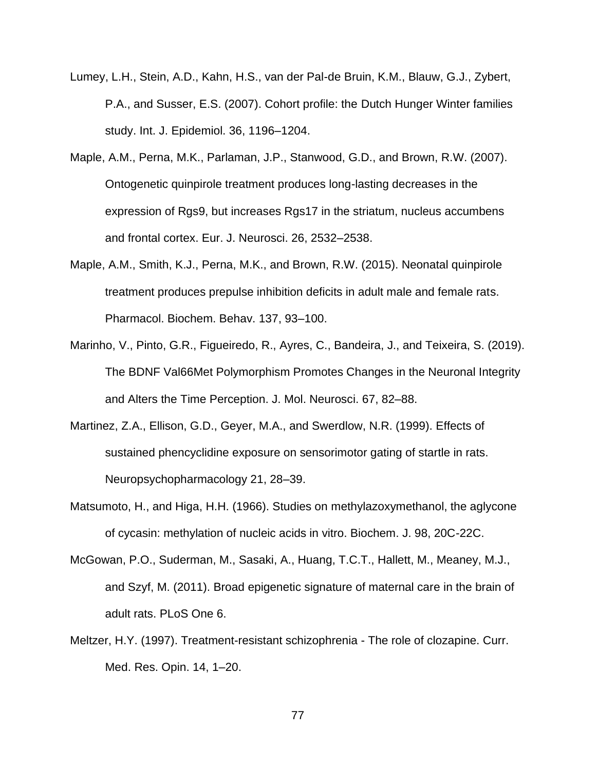- Lumey, L.H., Stein, A.D., Kahn, H.S., van der Pal-de Bruin, K.M., Blauw, G.J., Zybert, P.A., and Susser, E.S. (2007). Cohort profile: the Dutch Hunger Winter families study. Int. J. Epidemiol. 36, 1196–1204.
- Maple, A.M., Perna, M.K., Parlaman, J.P., Stanwood, G.D., and Brown, R.W. (2007). Ontogenetic quinpirole treatment produces long-lasting decreases in the expression of Rgs9, but increases Rgs17 in the striatum, nucleus accumbens and frontal cortex. Eur. J. Neurosci. 26, 2532–2538.
- Maple, A.M., Smith, K.J., Perna, M.K., and Brown, R.W. (2015). Neonatal quinpirole treatment produces prepulse inhibition deficits in adult male and female rats. Pharmacol. Biochem. Behav. 137, 93–100.
- Marinho, V., Pinto, G.R., Figueiredo, R., Ayres, C., Bandeira, J., and Teixeira, S. (2019). The BDNF Val66Met Polymorphism Promotes Changes in the Neuronal Integrity and Alters the Time Perception. J. Mol. Neurosci. 67, 82–88.
- Martinez, Z.A., Ellison, G.D., Geyer, M.A., and Swerdlow, N.R. (1999). Effects of sustained phencyclidine exposure on sensorimotor gating of startle in rats. Neuropsychopharmacology 21, 28–39.
- Matsumoto, H., and Higa, H.H. (1966). Studies on methylazoxymethanol, the aglycone of cycasin: methylation of nucleic acids in vitro. Biochem. J. 98, 20C-22C.
- McGowan, P.O., Suderman, M., Sasaki, A., Huang, T.C.T., Hallett, M., Meaney, M.J., and Szyf, M. (2011). Broad epigenetic signature of maternal care in the brain of adult rats. PLoS One 6.
- Meltzer, H.Y. (1997). Treatment-resistant schizophrenia The role of clozapine. Curr. Med. Res. Opin. 14, 1–20.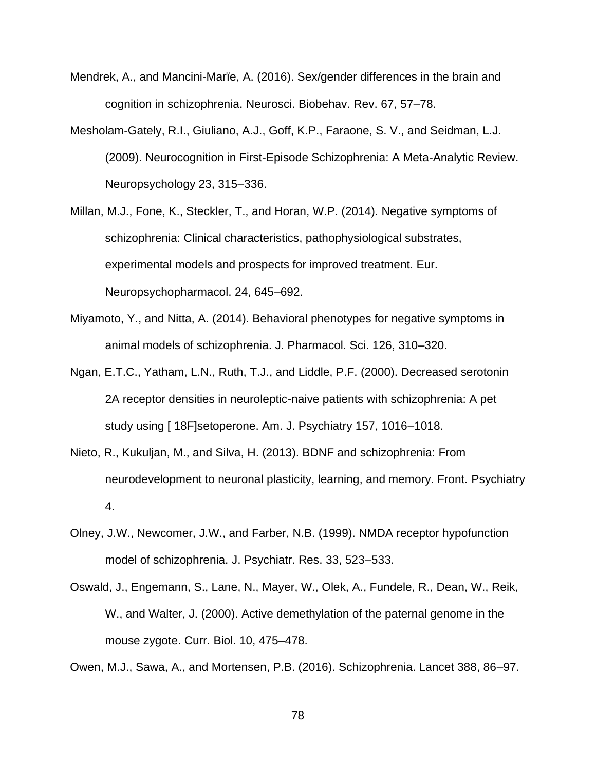- Mendrek, A., and Mancini-Marïe, A. (2016). Sex/gender differences in the brain and cognition in schizophrenia. Neurosci. Biobehav. Rev. 67, 57–78.
- Mesholam-Gately, R.I., Giuliano, A.J., Goff, K.P., Faraone, S. V., and Seidman, L.J. (2009). Neurocognition in First-Episode Schizophrenia: A Meta-Analytic Review. Neuropsychology 23, 315–336.
- Millan, M.J., Fone, K., Steckler, T., and Horan, W.P. (2014). Negative symptoms of schizophrenia: Clinical characteristics, pathophysiological substrates, experimental models and prospects for improved treatment. Eur. Neuropsychopharmacol. 24, 645–692.
- Miyamoto, Y., and Nitta, A. (2014). Behavioral phenotypes for negative symptoms in animal models of schizophrenia. J. Pharmacol. Sci. 126, 310–320.
- Ngan, E.T.C., Yatham, L.N., Ruth, T.J., and Liddle, P.F. (2000). Decreased serotonin 2A receptor densities in neuroleptic-naive patients with schizophrenia: A pet study using [ 18F]setoperone. Am. J. Psychiatry 157, 1016–1018.
- Nieto, R., Kukuljan, M., and Silva, H. (2013). BDNF and schizophrenia: From neurodevelopment to neuronal plasticity, learning, and memory. Front. Psychiatry 4.
- Olney, J.W., Newcomer, J.W., and Farber, N.B. (1999). NMDA receptor hypofunction model of schizophrenia. J. Psychiatr. Res. 33, 523–533.
- Oswald, J., Engemann, S., Lane, N., Mayer, W., Olek, A., Fundele, R., Dean, W., Reik, W., and Walter, J. (2000). Active demethylation of the paternal genome in the mouse zygote. Curr. Biol. 10, 475–478.

Owen, M.J., Sawa, A., and Mortensen, P.B. (2016). Schizophrenia. Lancet 388, 86–97.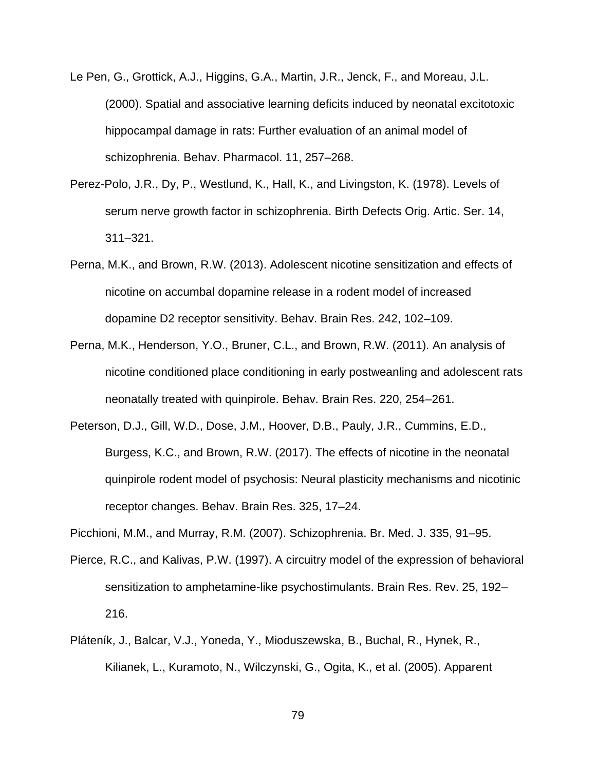- Le Pen, G., Grottick, A.J., Higgins, G.A., Martin, J.R., Jenck, F., and Moreau, J.L. (2000). Spatial and associative learning deficits induced by neonatal excitotoxic hippocampal damage in rats: Further evaluation of an animal model of schizophrenia. Behav. Pharmacol. 11, 257–268.
- Perez-Polo, J.R., Dy, P., Westlund, K., Hall, K., and Livingston, K. (1978). Levels of serum nerve growth factor in schizophrenia. Birth Defects Orig. Artic. Ser. 14, 311–321.
- Perna, M.K., and Brown, R.W. (2013). Adolescent nicotine sensitization and effects of nicotine on accumbal dopamine release in a rodent model of increased dopamine D2 receptor sensitivity. Behav. Brain Res. 242, 102–109.
- Perna, M.K., Henderson, Y.O., Bruner, C.L., and Brown, R.W. (2011). An analysis of nicotine conditioned place conditioning in early postweanling and adolescent rats neonatally treated with quinpirole. Behav. Brain Res. 220, 254–261.
- Peterson, D.J., Gill, W.D., Dose, J.M., Hoover, D.B., Pauly, J.R., Cummins, E.D., Burgess, K.C., and Brown, R.W. (2017). The effects of nicotine in the neonatal quinpirole rodent model of psychosis: Neural plasticity mechanisms and nicotinic receptor changes. Behav. Brain Res. 325, 17–24.
- Picchioni, M.M., and Murray, R.M. (2007). Schizophrenia. Br. Med. J. 335, 91–95.
- Pierce, R.C., and Kalivas, P.W. (1997). A circuitry model of the expression of behavioral sensitization to amphetamine-like psychostimulants. Brain Res. Rev. 25, 192– 216.
- Pláteník, J., Balcar, V.J., Yoneda, Y., Mioduszewska, B., Buchal, R., Hynek, R., Kilianek, L., Kuramoto, N., Wilczynski, G., Ogita, K., et al. (2005). Apparent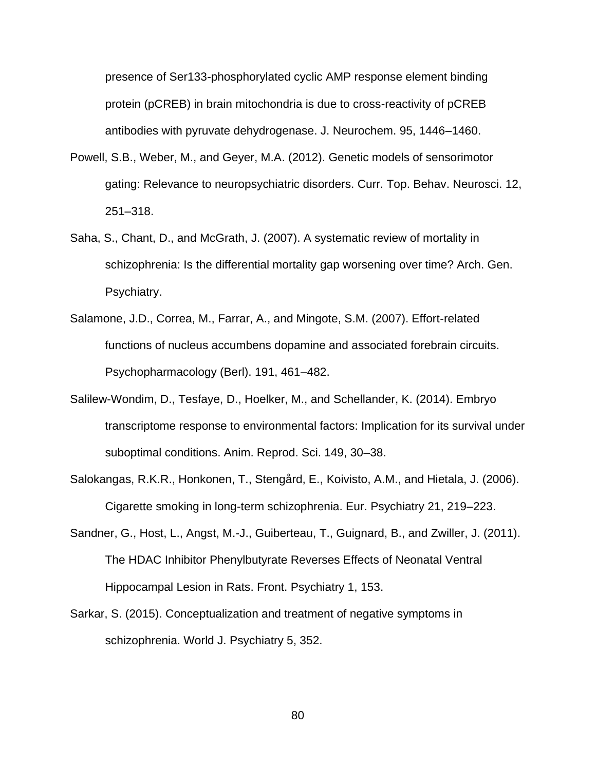presence of Ser133-phosphorylated cyclic AMP response element binding protein (pCREB) in brain mitochondria is due to cross-reactivity of pCREB antibodies with pyruvate dehydrogenase. J. Neurochem. 95, 1446–1460.

- Powell, S.B., Weber, M., and Geyer, M.A. (2012). Genetic models of sensorimotor gating: Relevance to neuropsychiatric disorders. Curr. Top. Behav. Neurosci. 12, 251–318.
- Saha, S., Chant, D., and McGrath, J. (2007). A systematic review of mortality in schizophrenia: Is the differential mortality gap worsening over time? Arch. Gen. Psychiatry.
- Salamone, J.D., Correa, M., Farrar, A., and Mingote, S.M. (2007). Effort-related functions of nucleus accumbens dopamine and associated forebrain circuits. Psychopharmacology (Berl). 191, 461–482.
- Salilew-Wondim, D., Tesfaye, D., Hoelker, M., and Schellander, K. (2014). Embryo transcriptome response to environmental factors: Implication for its survival under suboptimal conditions. Anim. Reprod. Sci. 149, 30–38.
- Salokangas, R.K.R., Honkonen, T., Stengård, E., Koivisto, A.M., and Hietala, J. (2006). Cigarette smoking in long-term schizophrenia. Eur. Psychiatry 21, 219–223.
- Sandner, G., Host, L., Angst, M.-J., Guiberteau, T., Guignard, B., and Zwiller, J. (2011). The HDAC Inhibitor Phenylbutyrate Reverses Effects of Neonatal Ventral Hippocampal Lesion in Rats. Front. Psychiatry 1, 153.
- Sarkar, S. (2015). Conceptualization and treatment of negative symptoms in schizophrenia. World J. Psychiatry 5, 352.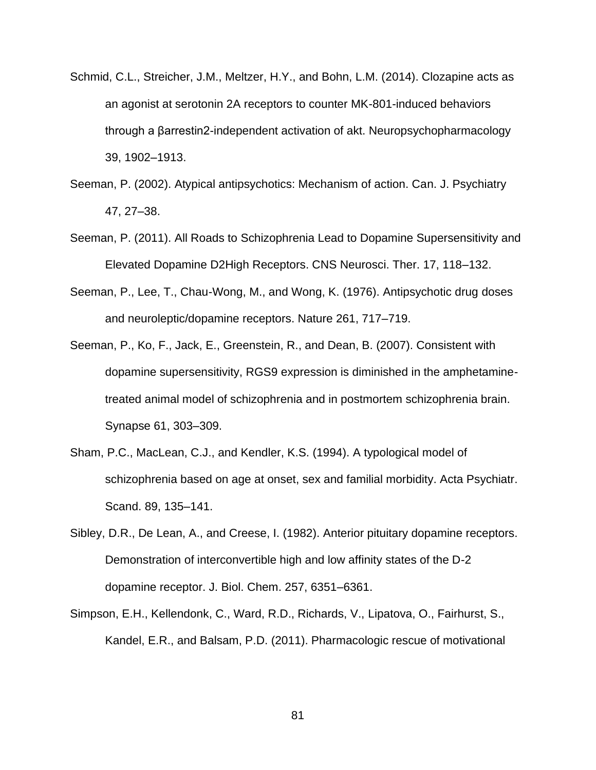- Schmid, C.L., Streicher, J.M., Meltzer, H.Y., and Bohn, L.M. (2014). Clozapine acts as an agonist at serotonin 2A receptors to counter MK-801-induced behaviors through a βarrestin2-independent activation of akt. Neuropsychopharmacology 39, 1902–1913.
- Seeman, P. (2002). Atypical antipsychotics: Mechanism of action. Can. J. Psychiatry 47, 27–38.
- Seeman, P. (2011). All Roads to Schizophrenia Lead to Dopamine Supersensitivity and Elevated Dopamine D2High Receptors. CNS Neurosci. Ther. 17, 118–132.
- Seeman, P., Lee, T., Chau-Wong, M., and Wong, K. (1976). Antipsychotic drug doses and neuroleptic/dopamine receptors. Nature 261, 717–719.
- Seeman, P., Ko, F., Jack, E., Greenstein, R., and Dean, B. (2007). Consistent with dopamine supersensitivity, RGS9 expression is diminished in the amphetaminetreated animal model of schizophrenia and in postmortem schizophrenia brain. Synapse 61, 303–309.
- Sham, P.C., MacLean, C.J., and Kendler, K.S. (1994). A typological model of schizophrenia based on age at onset, sex and familial morbidity. Acta Psychiatr. Scand. 89, 135–141.
- Sibley, D.R., De Lean, A., and Creese, I. (1982). Anterior pituitary dopamine receptors. Demonstration of interconvertible high and low affinity states of the D-2 dopamine receptor. J. Biol. Chem. 257, 6351–6361.
- Simpson, E.H., Kellendonk, C., Ward, R.D., Richards, V., Lipatova, O., Fairhurst, S., Kandel, E.R., and Balsam, P.D. (2011). Pharmacologic rescue of motivational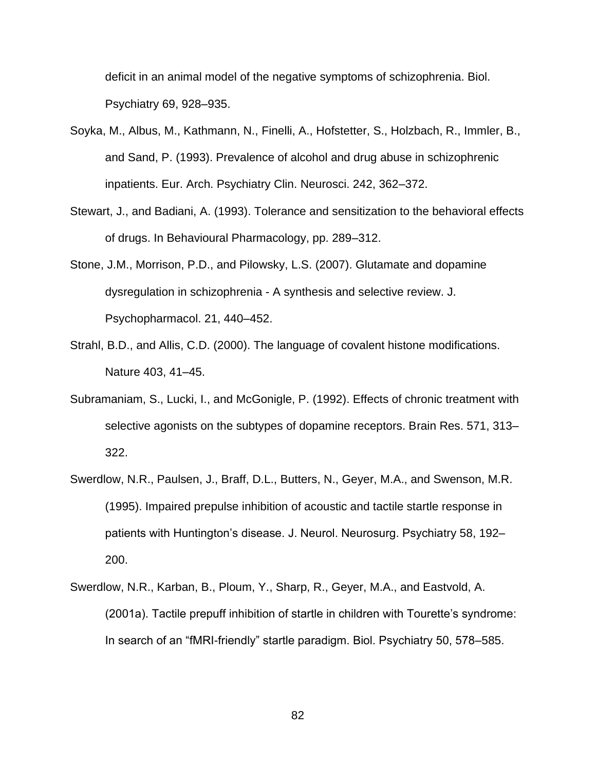deficit in an animal model of the negative symptoms of schizophrenia. Biol. Psychiatry 69, 928–935.

- Soyka, M., Albus, M., Kathmann, N., Finelli, A., Hofstetter, S., Holzbach, R., Immler, B., and Sand, P. (1993). Prevalence of alcohol and drug abuse in schizophrenic inpatients. Eur. Arch. Psychiatry Clin. Neurosci. 242, 362–372.
- Stewart, J., and Badiani, A. (1993). Tolerance and sensitization to the behavioral effects of drugs. In Behavioural Pharmacology, pp. 289–312.
- Stone, J.M., Morrison, P.D., and Pilowsky, L.S. (2007). Glutamate and dopamine dysregulation in schizophrenia - A synthesis and selective review. J. Psychopharmacol. 21, 440–452.
- Strahl, B.D., and Allis, C.D. (2000). The language of covalent histone modifications. Nature 403, 41–45.
- Subramaniam, S., Lucki, I., and McGonigle, P. (1992). Effects of chronic treatment with selective agonists on the subtypes of dopamine receptors. Brain Res. 571, 313– 322.
- Swerdlow, N.R., Paulsen, J., Braff, D.L., Butters, N., Geyer, M.A., and Swenson, M.R. (1995). Impaired prepulse inhibition of acoustic and tactile startle response in patients with Huntington's disease. J. Neurol. Neurosurg. Psychiatry 58, 192– 200.
- Swerdlow, N.R., Karban, B., Ploum, Y., Sharp, R., Geyer, M.A., and Eastvold, A. (2001a). Tactile prepuff inhibition of startle in children with Tourette's syndrome: In search of an "fMRI-friendly" startle paradigm. Biol. Psychiatry 50, 578–585.

82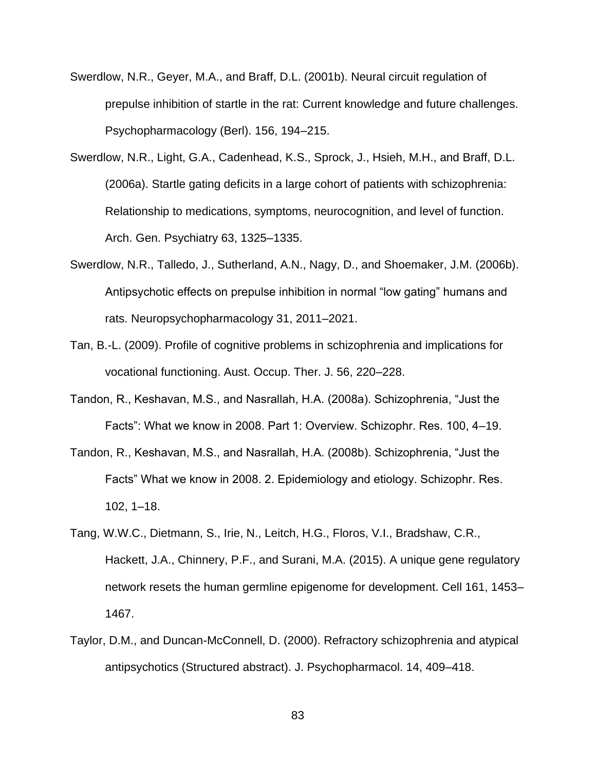- Swerdlow, N.R., Geyer, M.A., and Braff, D.L. (2001b). Neural circuit regulation of prepulse inhibition of startle in the rat: Current knowledge and future challenges. Psychopharmacology (Berl). 156, 194–215.
- Swerdlow, N.R., Light, G.A., Cadenhead, K.S., Sprock, J., Hsieh, M.H., and Braff, D.L. (2006a). Startle gating deficits in a large cohort of patients with schizophrenia: Relationship to medications, symptoms, neurocognition, and level of function. Arch. Gen. Psychiatry 63, 1325–1335.
- Swerdlow, N.R., Talledo, J., Sutherland, A.N., Nagy, D., and Shoemaker, J.M. (2006b). Antipsychotic effects on prepulse inhibition in normal "low gating" humans and rats. Neuropsychopharmacology 31, 2011–2021.
- Tan, B.-L. (2009). Profile of cognitive problems in schizophrenia and implications for vocational functioning. Aust. Occup. Ther. J. 56, 220–228.
- Tandon, R., Keshavan, M.S., and Nasrallah, H.A. (2008a). Schizophrenia, "Just the Facts": What we know in 2008. Part 1: Overview. Schizophr. Res. 100, 4–19.
- Tandon, R., Keshavan, M.S., and Nasrallah, H.A. (2008b). Schizophrenia, "Just the Facts" What we know in 2008. 2. Epidemiology and etiology. Schizophr. Res. 102, 1–18.
- Tang, W.W.C., Dietmann, S., Irie, N., Leitch, H.G., Floros, V.I., Bradshaw, C.R., Hackett, J.A., Chinnery, P.F., and Surani, M.A. (2015). A unique gene regulatory network resets the human germline epigenome for development. Cell 161, 1453– 1467.
- Taylor, D.M., and Duncan-McConnell, D. (2000). Refractory schizophrenia and atypical antipsychotics (Structured abstract). J. Psychopharmacol. 14, 409–418.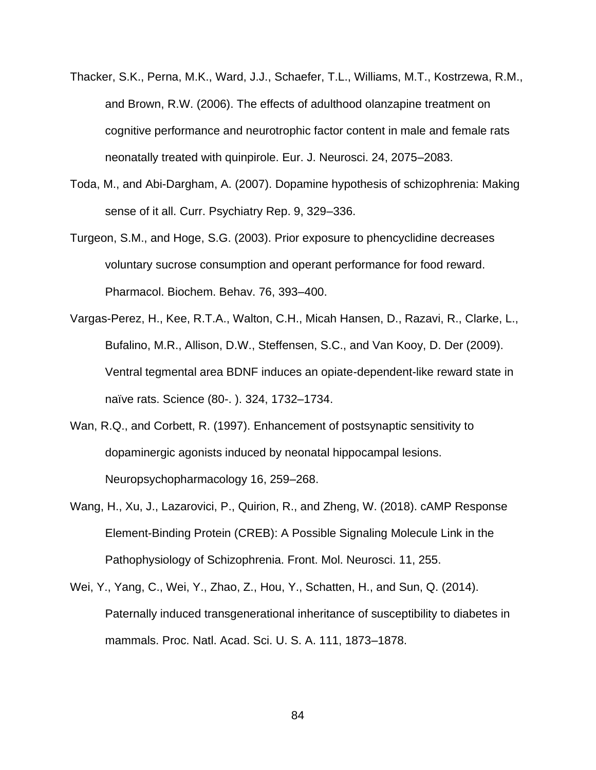- Thacker, S.K., Perna, M.K., Ward, J.J., Schaefer, T.L., Williams, M.T., Kostrzewa, R.M., and Brown, R.W. (2006). The effects of adulthood olanzapine treatment on cognitive performance and neurotrophic factor content in male and female rats neonatally treated with quinpirole. Eur. J. Neurosci. 24, 2075–2083.
- Toda, M., and Abi-Dargham, A. (2007). Dopamine hypothesis of schizophrenia: Making sense of it all. Curr. Psychiatry Rep. 9, 329–336.
- Turgeon, S.M., and Hoge, S.G. (2003). Prior exposure to phencyclidine decreases voluntary sucrose consumption and operant performance for food reward. Pharmacol. Biochem. Behav. 76, 393–400.
- Vargas-Perez, H., Kee, R.T.A., Walton, C.H., Micah Hansen, D., Razavi, R., Clarke, L., Bufalino, M.R., Allison, D.W., Steffensen, S.C., and Van Kooy, D. Der (2009). Ventral tegmental area BDNF induces an opiate-dependent-like reward state in naïve rats. Science (80-. ). 324, 1732–1734.
- Wan, R.Q., and Corbett, R. (1997). Enhancement of postsynaptic sensitivity to dopaminergic agonists induced by neonatal hippocampal lesions. Neuropsychopharmacology 16, 259–268.
- Wang, H., Xu, J., Lazarovici, P., Quirion, R., and Zheng, W. (2018). cAMP Response Element-Binding Protein (CREB): A Possible Signaling Molecule Link in the Pathophysiology of Schizophrenia. Front. Mol. Neurosci. 11, 255.
- Wei, Y., Yang, C., Wei, Y., Zhao, Z., Hou, Y., Schatten, H., and Sun, Q. (2014). Paternally induced transgenerational inheritance of susceptibility to diabetes in mammals. Proc. Natl. Acad. Sci. U. S. A. 111, 1873–1878.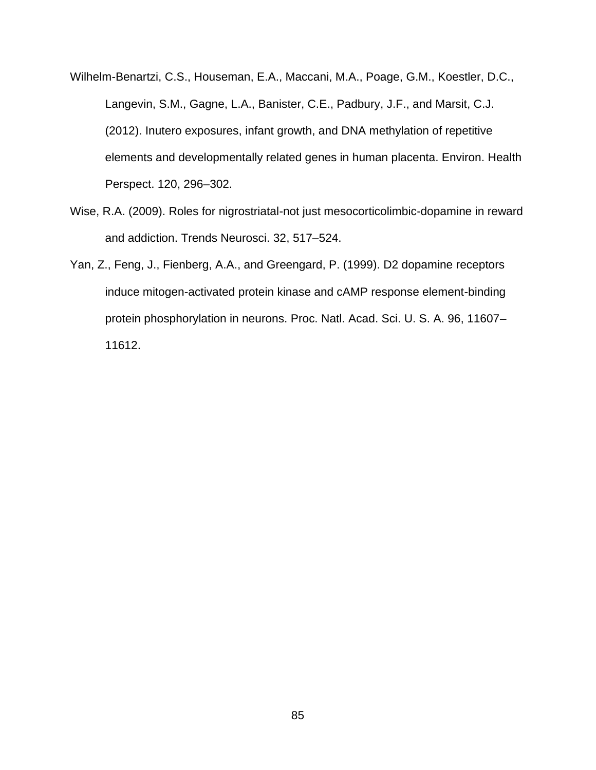- Wilhelm-Benartzi, C.S., Houseman, E.A., Maccani, M.A., Poage, G.M., Koestler, D.C., Langevin, S.M., Gagne, L.A., Banister, C.E., Padbury, J.F., and Marsit, C.J. (2012). Inutero exposures, infant growth, and DNA methylation of repetitive elements and developmentally related genes in human placenta. Environ. Health Perspect. 120, 296–302.
- Wise, R.A. (2009). Roles for nigrostriatal-not just mesocorticolimbic-dopamine in reward and addiction. Trends Neurosci. 32, 517–524.
- Yan, Z., Feng, J., Fienberg, A.A., and Greengard, P. (1999). D2 dopamine receptors induce mitogen-activated protein kinase and cAMP response element-binding protein phosphorylation in neurons. Proc. Natl. Acad. Sci. U. S. A. 96, 11607– 11612.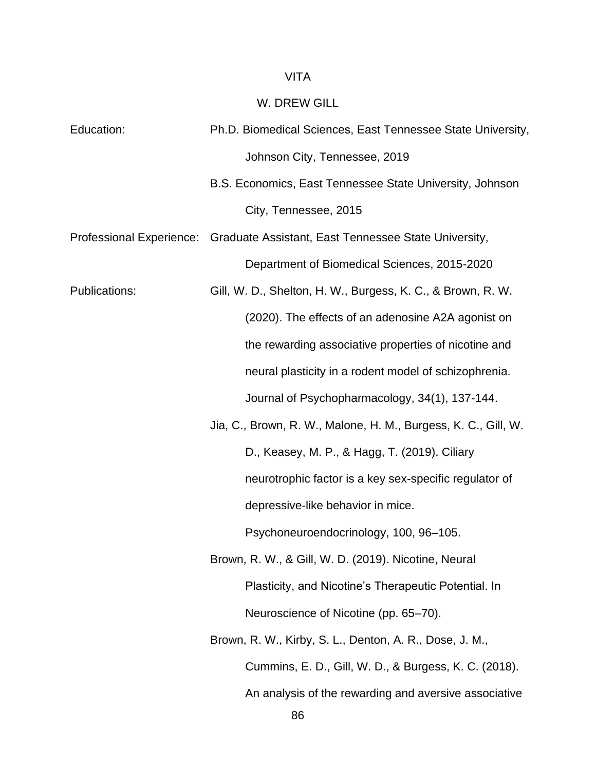## VITA

## W. DREW GILL

| Education:               | Ph.D. Biomedical Sciences, East Tennessee State University,    |
|--------------------------|----------------------------------------------------------------|
|                          | Johnson City, Tennessee, 2019                                  |
|                          | B.S. Economics, East Tennessee State University, Johnson       |
|                          | City, Tennessee, 2015                                          |
| Professional Experience: | Graduate Assistant, East Tennessee State University,           |
|                          | Department of Biomedical Sciences, 2015-2020                   |
| <b>Publications:</b>     | Gill, W. D., Shelton, H. W., Burgess, K. C., & Brown, R. W.    |
|                          | (2020). The effects of an adenosine A2A agonist on             |
|                          | the rewarding associative properties of nicotine and           |
|                          | neural plasticity in a rodent model of schizophrenia.          |
|                          | Journal of Psychopharmacology, 34(1), 137-144.                 |
|                          | Jia, C., Brown, R. W., Malone, H. M., Burgess, K. C., Gill, W. |
|                          | D., Keasey, M. P., & Hagg, T. (2019). Ciliary                  |
|                          | neurotrophic factor is a key sex-specific regulator of         |
|                          | depressive-like behavior in mice.                              |
|                          | Psychoneuroendocrinology, 100, 96-105.                         |
|                          | Brown, R. W., & Gill, W. D. (2019). Nicotine, Neural           |
|                          | Plasticity, and Nicotine's Therapeutic Potential. In           |
|                          | Neuroscience of Nicotine (pp. 65-70).                          |
|                          | Brown, R. W., Kirby, S. L., Denton, A. R., Dose, J. M.,        |
|                          | Cummins, E. D., Gill, W. D., & Burgess, K. C. (2018).          |
|                          | An analysis of the rewarding and aversive associative          |